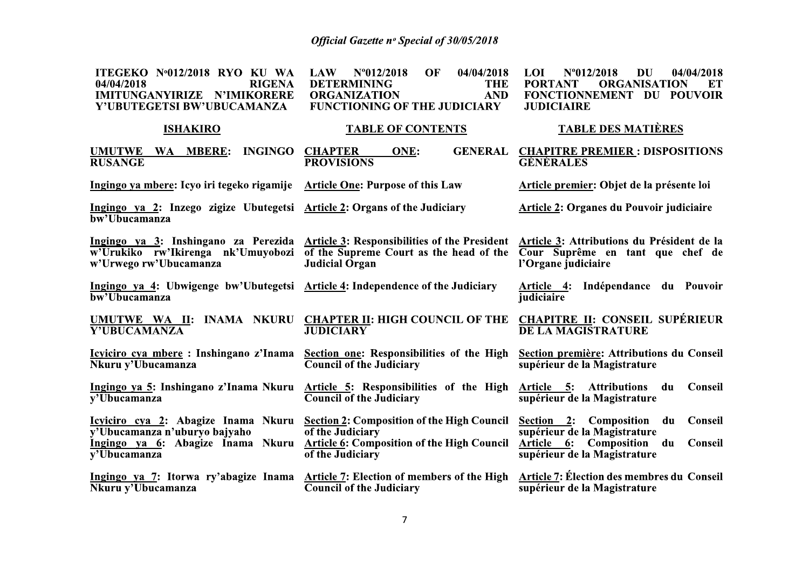| ITEGEKO Nº012/2018 RYO KU WA<br><b>RIGENA</b><br>04/04/2018<br>IMITUNGANYIRIZE N'IMIKORERE<br>Y'UBUTEGETSI BW'UBUCAMANZA | OF<br>04/04/2018<br><b>LAW</b><br>$N^{\circ}012/2018$<br><b>DETERMINING</b><br><b>THE</b><br><b>AND</b><br><b>ORGANIZATION</b><br><b>FUNCTIONING OF THE JUDICIARY</b>                            | $N^{\circ}012/2018$<br><b>LOI</b><br>DU<br>04/04/2018<br><b>PORTANT</b><br><b>ORGANISATION</b><br>ET<br>FONCTIONNEMENT DU POUVOIR<br><b>JUDICIAIRE</b> |  |  |
|--------------------------------------------------------------------------------------------------------------------------|--------------------------------------------------------------------------------------------------------------------------------------------------------------------------------------------------|--------------------------------------------------------------------------------------------------------------------------------------------------------|--|--|
| <b>ISHAKIRO</b>                                                                                                          | <b>TABLE OF CONTENTS</b>                                                                                                                                                                         | <b>TABLE DES MATIÈRES</b>                                                                                                                              |  |  |
| UMUTWE WA MBERE:<br><b>INGINGO</b><br><b>RUSANGE</b>                                                                     | <b>CHAPTER</b><br><b>GENERAL</b><br>ONE:<br><b>PROVISIONS</b>                                                                                                                                    | <b>CHAPITRE PREMIER: DISPOSITIONS</b><br><b>GÉNÉRALES</b>                                                                                              |  |  |
| Ingingo ya mbere: Icyo iri tegeko rigamije Article One: Purpose of this Law                                              |                                                                                                                                                                                                  | Article premier: Objet de la présente loi                                                                                                              |  |  |
| Ingingo ya 2: Inzego zigize Ubutegetsi Article 2: Organs of the Judiciary<br>bw'Ubucamanza                               |                                                                                                                                                                                                  | <b>Article 2: Organes du Pouvoir judiciaire</b>                                                                                                        |  |  |
| w'Urukiko rw'Ikirenga nk'Umuyobozi<br>w'Urwego rw'Ubucamanza                                                             | Ingingo ya 3: Inshingano za Perezida Article 3: Responsibilities of the President Article 3: Attributions du Président de la<br>of the Supreme Court as the head of the<br><b>Judicial Organ</b> | Cour Suprême en tant que chef de<br>l'Organe judiciaire                                                                                                |  |  |
| Ingingo ya 4: Ubwigenge bw'Ubutegetsi Article 4: Independence of the Judiciary<br>bw'Ubucamanza                          |                                                                                                                                                                                                  | Article 4:<br>Indépendance du Pouvoir<br>judiciaire                                                                                                    |  |  |
| UMUTWE WA II: INAMA NKURU<br>Y'UBUCAMANZA                                                                                | <b>CHAPTER II: HIGH COUNCIL OF THE</b><br><b>JUDICIARY</b>                                                                                                                                       | <b>CHAPITRE II: CONSEIL SUPÉRIEUR</b><br><b>DE LA MAGISTRATURE</b>                                                                                     |  |  |
| Icyiciro cya mbere: Inshingano z'Inama<br>Nkuru y'Ubucamanza                                                             | Section one: Responsibilities of the High<br><b>Council of the Judiciary</b>                                                                                                                     | Section première: Attributions du Conseil<br>supérieur de la Magistrature                                                                              |  |  |
| Ingingo ya 5: Inshingano z'Inama Nkuru<br>$\overline{v'U}$ bucamanza                                                     | Article 5: Responsibilities of the High<br><b>Council of the Judiciary</b>                                                                                                                       | Article 5: Attributions du<br>Conseil<br>supérieur de la Magistrature                                                                                  |  |  |
| y'Ubucamanza n'uburyo bajyaho<br>Ingingo ya 6: Abagize Inama Nkuru<br>$\overline{v'U}$ bucamanza                         | <u>Icyiciro cya 2:</u> Abagize Inama Nkuru <u>Section 2</u> : Composition of the High Council<br>of the Judiciary<br><b>Article 6: Composition of the High Council</b><br>of the Judiciary       | Section 2: Composition du<br>Conseil<br>supérieur de la Magistrature<br>Article 6: Composition du<br><b>Conseil</b><br>supérieur de la Magistrature    |  |  |
| Ingingo ya 7: Itorwa ry'abagize Inama<br>Nkuru y'Ubucamanza                                                              | <b>Article 7: Election of members of the High</b><br><b>Council of the Judiciary</b>                                                                                                             | Article 7: Élection des membres du Conseil<br>supérieur de la Magistrature                                                                             |  |  |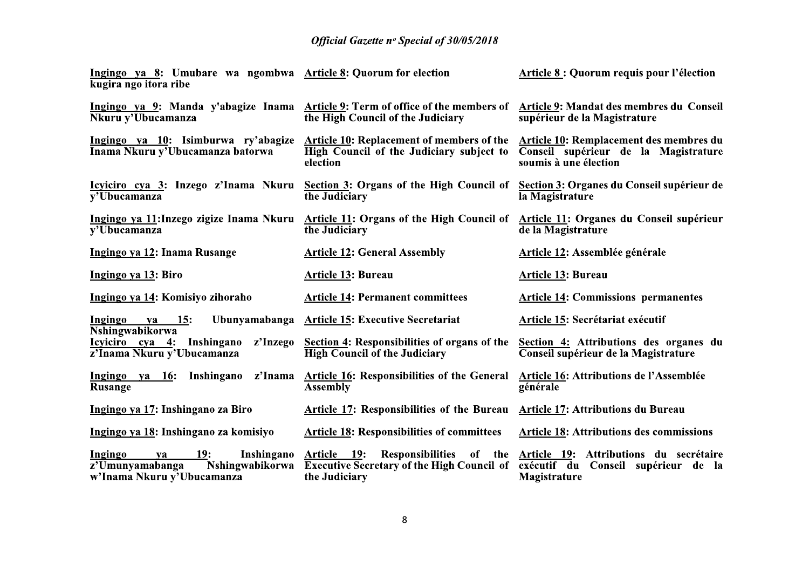| Ingingo ya 8: Umubare wa ngombwa Article 8: Quorum for election<br>kugira ngo itora ribe                      |                                                                                                                        | Article 8 : Quorum requis pour l'élection                                                                       |
|---------------------------------------------------------------------------------------------------------------|------------------------------------------------------------------------------------------------------------------------|-----------------------------------------------------------------------------------------------------------------|
| Ingingo ya 9: Manda y'abagize Inama Article 9: Term of office of the members of<br>Nkuru y'Ubucamanza         | the High Council of the Judiciary                                                                                      | Article 9: Mandat des membres du Conseil<br>supérieur de la Magistrature                                        |
| Ingingo ya 10: Isimburwa ry'abagize<br>Inama Nkuru y'Ubucamanza batorwa                                       | <b>Article 10: Replacement of members of the</b><br>High Council of the Judiciary subject to<br>election               | <b>Article 10: Remplacement des membres du</b><br>Conseil supérieur de la Magistrature<br>soumis à une élection |
| Icyiciro cya 3: Inzego z'Inama Nkuru<br>v'Ubucamanza                                                          | Section 3: Organs of the High Council of<br>the Judiciary                                                              | Section 3: Organes du Conseil supérieur de<br>la Magistrature                                                   |
| Ingingo ya 11: Inzego zigize Inama Nkuru<br>y'Ubucamanza                                                      | <b>Article 11: Organs of the High Council of</b><br>the Judiciary                                                      | Article 11: Organes du Conseil supérieur<br>de la Magistrature                                                  |
| Ingingo ya 12: Inama Rusange                                                                                  | <b>Article 12: General Assembly</b>                                                                                    | <b>Article 12: Assemblée générale</b>                                                                           |
| Ingingo ya 13: Biro                                                                                           | <b>Article 13: Bureau</b>                                                                                              | <b>Article 13: Bureau</b>                                                                                       |
| Ingingo ya 14: Komisiyo zihoraho                                                                              | <b>Article 14: Permanent committees</b>                                                                                | <b>Article 14: Commissions permanentes</b>                                                                      |
| Ingingo<br><u>ya 15</u> :<br>Nshingwabikorwa                                                                  | Ubunyamabanga Article 15: Executive Secretariat                                                                        | Article 15: Secrétariat exécutif                                                                                |
| z'Inzego<br>Icyiciro cya 4: Inshingano<br>z'lnama Nkuru y'Ubucamanza                                          | Section 4: Responsibilities of organs of the<br><b>High Council of the Judiciary</b>                                   | Section 4: Attributions des organes du<br>Conseil supérieur de la Magistrature                                  |
| Ingingo ya 16: Inshingano<br>z'Inama<br><b>Rusange</b>                                                        | <b>Article 16: Responsibilities of the General</b><br><b>Assembly</b>                                                  | Article 16: Attributions de l'Assemblée<br>générale                                                             |
| Ingingo ya 17: Inshingano za Biro                                                                             | Article 17: Responsibilities of the Bureau                                                                             | <b>Article 17: Attributions du Bureau</b>                                                                       |
| Ingingo ya 18: Inshingano za komisiyo                                                                         | <b>Article 18: Responsibilities of committees</b>                                                                      | <b>Article 18: Attributions des commissions</b>                                                                 |
| Inshingano<br>Ingingo<br><b>19:</b><br>ya<br>Nshingwabikorwa<br>z'Umunyamabanga<br>w'Inama Nkuru y'Ubucamanza | Article 19:<br><b>Responsibilities</b><br>of the<br><b>Executive Secretary of the High Council of</b><br>the Judiciary | Article 19: Attributions du secrétaire<br>exécutif du<br>Conseil supérieur de la<br>Magistrature                |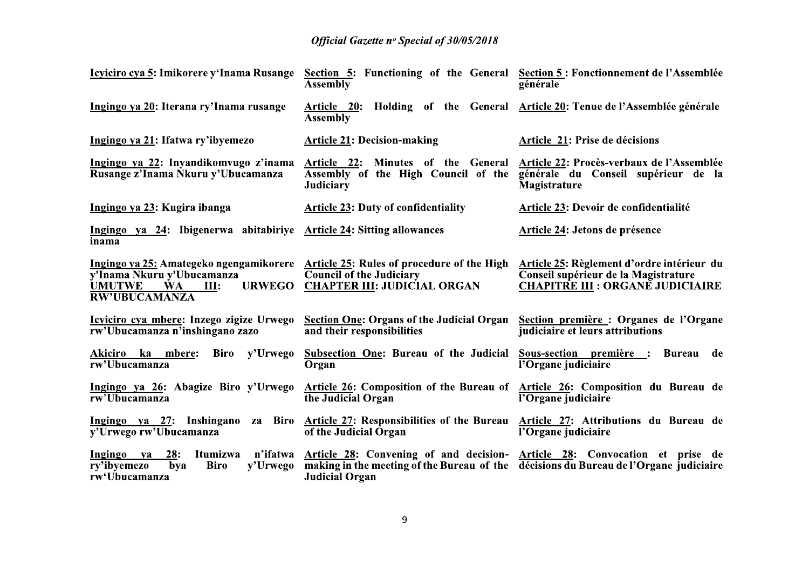| Icyiciro cya 5: Imikorere y'Inama Rusange                                                       | <b>Assembly</b>                                                                                                                                             | Section 5: Functioning of the General Section 5: Fonctionnement de l'Assemblée<br>générale                                    |  |
|-------------------------------------------------------------------------------------------------|-------------------------------------------------------------------------------------------------------------------------------------------------------------|-------------------------------------------------------------------------------------------------------------------------------|--|
| Ingingo ya 20: Iterana ry'Inama rusange                                                         | Article 20: Holding of the General Article 20: Tenue de l'Assemblée générale<br><b>Assembly</b>                                                             |                                                                                                                               |  |
| Ingingo ya 21: Ifatwa ry'ibyemezo                                                               | <b>Article 21: Decision-making</b>                                                                                                                          | Article 21: Prise de décisions                                                                                                |  |
| Ingingo ya 22: Inyandikomvugo z'inama<br>Rusange z'Inama Nkuru y'Ubucamanza                     | Article 22: Minutes of the General<br><b>Assembly of the High Council of the</b><br><b>Judiciary</b>                                                        | Article 22: Procès-verbaux de l'Assemblée<br>générale du Conseil supérieur de la<br>Magistrature                              |  |
| Ingingo ya 23: Kugira ibanga                                                                    | <b>Article 23: Duty of confidentiality</b>                                                                                                                  | Article 23: Devoir de confidentialité                                                                                         |  |
| Ingingo ya 24: Ibigenerwa abitabiriye Article 24: Sitting allowances<br>inama                   |                                                                                                                                                             | Article 24: Jetons de présence                                                                                                |  |
| v'Inama Nkuru y'Ubucamanza<br><b>UMUTWE</b><br><b>WA</b><br>III:<br><b>RW'UBUCAMANZA</b>        | Ingingo ya 25: Amategeko ngengamikorere Article 25: Rules of procedure of the High<br><b>Council of the Judiciary</b><br>URWEGO CHAPTER III: JUDICIAL ORGAN | Article 25: Règlement d'ordre intérieur du<br>Conseil supérieur de la Magistrature<br><b>CHAPITRE III : ORGANE JUDICIAIRE</b> |  |
| Icyiciro cya mbere: Inzego zigize Urwego<br>rw'Ubucamanza n'inshingano zazo                     | <b>Section One: Organs of the Judicial Organ</b><br>and their responsibilities                                                                              | Section première : Organes de l'Organe<br>judiciaire et leurs attributions                                                    |  |
| Biro y'Urwego<br>Akiciro ka mbere:<br>rw'Ubucamanza                                             | <b>Subsection One: Bureau of the Judicial</b><br><b>Organ</b>                                                                                               | Sous-section première : Bureau<br>de<br>l'Organe judiciaire                                                                   |  |
| Ingingo ya 26: Abagize Biro y'Urwego<br>rw'Ubucamanza                                           | Article 26: Composition of the Bureau of Article 26: Composition du Bureau de<br>the Judicial Organ                                                         | l'Organe judiciaire                                                                                                           |  |
| Ingingo ya 27: Inshingano za<br>y'Urwego rw'Ubucamanza                                          | Biro Article 27: Responsibilities of the Bureau Article 27: Attributions du Bureau de<br>of the Judicial Organ                                              | l'Organe judiciaire                                                                                                           |  |
| 28:<br>Ingingo ya<br>Itumizwa<br>ry'ibyemezo<br>bya<br><b>Biro</b><br>y'Urwego<br>rw'Ubucamanza | n'ifatwa Article 28: Convening of and decision- Article 28: Convocation et prise de<br><b>Judicial Organ</b>                                                | making in the meeting of the Bureau of the décisions du Bureau de l'Organe judiciaire                                         |  |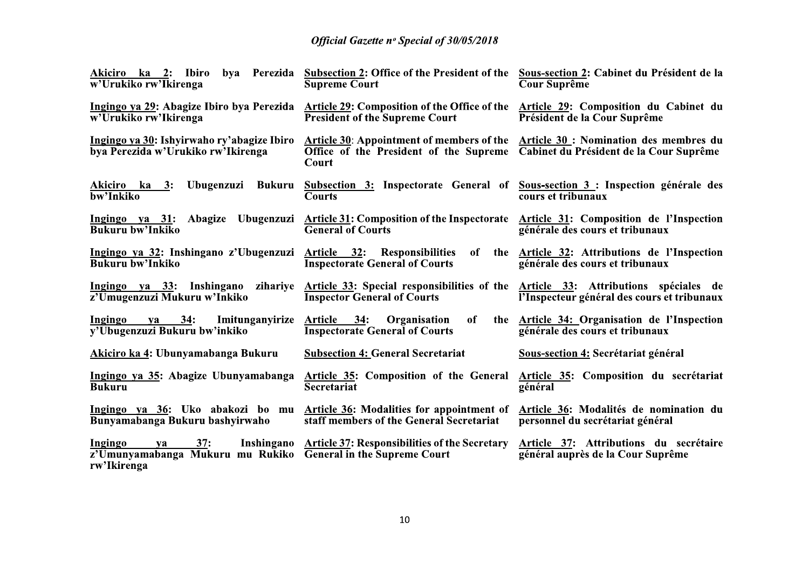| Akiciro ka 2: Ibiro<br>bya Perezida<br>w'Urukiko rw'Ikirenga                     | Subsection 2: Office of the President of the<br><b>Supreme Court</b>                                                   | Sous-section 2: Cabinet du Président de la<br><b>Cour Suprême</b>                    |
|----------------------------------------------------------------------------------|------------------------------------------------------------------------------------------------------------------------|--------------------------------------------------------------------------------------|
| Ingingo ya 29: Abagize Ibiro bya Perezida<br>w'Urukiko rw'Ikirenga               | Article 29: Composition of the Office of the<br><b>President of the Supreme Court</b>                                  | Article 29: Composition du Cabinet du<br>Président de la Cour Suprême                |
| Ingingo ya 30: Ishyirwaho ry'abagize Ibiro<br>bya Perezida w'Urukiko rw'Ikirenga | <b>Article 30: Appointment of members of the</b><br>Office of the President of the Supreme<br>Court                    | Article 30 : Nomination des membres du<br>Cabinet du Président de la Cour Suprême    |
| Ubugenzuzi<br>Akiciro ka 3:<br>Bukuru<br>bw'Inkiko                               | Subsection 3: Inspectorate General of Sous-section 3: Inspection générale des<br><b>Courts</b>                         | cours et tribunaux                                                                   |
| Ingingo ya 31: Abagize Ubugenzuzi<br><b>Bukuru bw'Inkiko</b>                     | <b>Article 31: Composition of the Inspectorate</b><br><b>General of Courts</b>                                         | Article 31: Composition de l'Inspection<br>générale des cours et tribunaux           |
| Ingingo ya 32: Inshingano z'Ubugenzuzi<br><b>Bukuru bw'Inkiko</b>                | Article 32: Responsibilities<br>of<br>the<br><b>Inspectorate General of Courts</b>                                     | Article 32: Attributions de l'Inspection<br>générale des cours et tribunaux          |
| Ingingo ya 33: Inshingano<br>zihariye<br>z'Umugenzuzi Mukuru w'Inkiko            | Article 33: Special responsibilities of the<br><b>Inspector General of Courts</b>                                      | Article 33: Attributions spéciales de<br>l'Inspecteur général des cours et tribunaux |
| 34:<br>Imitunganyirize<br>Ingingo<br>va<br>y'Ubugenzuzi Bukuru bw'inkiko         | Article 34: Organisation<br>of<br>the<br><b>Inspectorate General of Courts</b>                                         | Article 34: Organisation de l'Inspection<br>générale des cours et tribunaux          |
| Akiciro ka 4: Ubunyamabanga Bukuru                                               | <b>Subsection 4: General Secretariat</b>                                                                               | Sous-section 4: Secrétariat général                                                  |
| Ingingo ya 35: Abagize Ubunyamabanga<br><b>Bukuru</b>                            | <b>Article 35: Composition of the General</b><br><b>Secretariat</b>                                                    | Article 35: Composition du secrétariat<br>général                                    |
| Bunyamabanga Bukuru bashyirwaho                                                  | Ingingo ya 36: Uko abakozi bo mu Article 36: Modalities for appointment of<br>staff members of the General Secretariat | Article 36: Modalités de nomination du<br>personnel du secrétariat général           |
| <b>Ingingo</b><br>37:<br>ya<br>z'Umunyamabanga Mukuru mu Rukiko<br>rw'Ikirenga   | Inshingano Article 37: Responsibilities of the Secretary<br><b>General in the Supreme Court</b>                        | Article 37: Attributions du secrétaire<br>général auprès de la Cour Suprême          |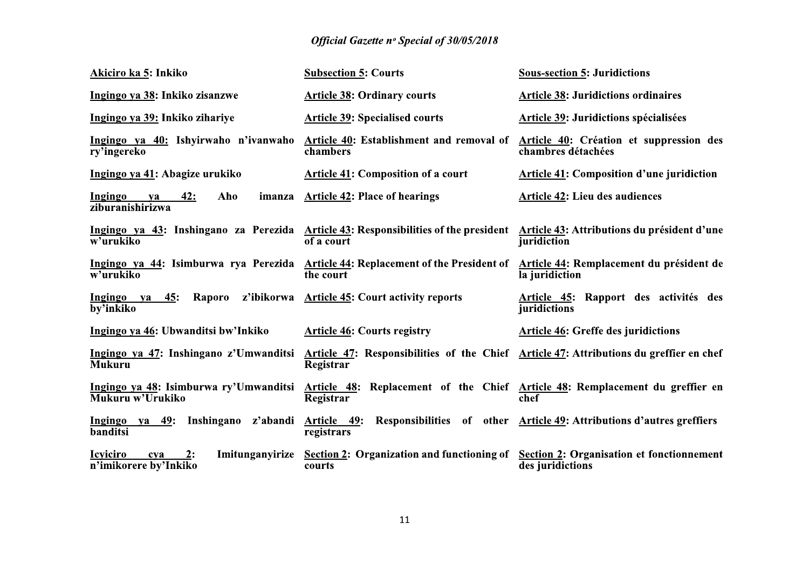| Akiciro ka 5: Inkiko                                                     | <b>Subsection 5: Courts</b>                                                                                                                   | <b>Sous-section 5: Juridictions</b>                                   |
|--------------------------------------------------------------------------|-----------------------------------------------------------------------------------------------------------------------------------------------|-----------------------------------------------------------------------|
| Ingingo ya 38: Inkiko zisanzwe                                           | <b>Article 38: Ordinary courts</b>                                                                                                            | <b>Article 38: Juridictions ordinaires</b>                            |
| Ingingo ya 39: Inkiko zihariye                                           | <b>Article 39: Specialised courts</b>                                                                                                         | Article 39: Juridictions spécialisées                                 |
| Ingingo ya 40: Ishyirwaho n'ivanwaho<br>ry'ingereko                      | Article 40: Establishment and removal of<br>chambers                                                                                          | Article 40: Création et suppression des<br>chambres détachées         |
| Ingingo ya 41: Abagize urukiko                                           | <b>Article 41: Composition of a court</b>                                                                                                     | <b>Article 41: Composition d'une juridiction</b>                      |
| 42:<br>Aho<br><b>Ingingo</b><br>imanza<br>ya<br>ziburanishirizwa         | <b>Article 42: Place of hearings</b>                                                                                                          | <b>Article 42: Lieu des audiences</b>                                 |
| w'urukiko                                                                | Ingingo ya 43: Inshingano za Perezida Article 43: Responsibilities of the president Article 43: Attributions du président d'une<br>of a court | juridiction                                                           |
| w'urukiko                                                                | Ingingo ya 44: Isimburwa rya Perezida Article 44: Replacement of the President of<br>the court                                                | Article 44: Remplacement du président de<br>la juridiction            |
| Ingingo ya 45:<br>Raporo<br>by'inkiko                                    | z'ibikorwa Article 45: Court activity reports                                                                                                 | Article 45: Rapport des activités des<br>juridictions                 |
| Ingingo ya 46: Ubwanditsi bw'Inkiko                                      | <b>Article 46: Courts registry</b>                                                                                                            | <b>Article 46: Greffe des juridictions</b>                            |
| Ingingo ya 47: Inshingano z'Umwanditsi<br><b>Mukuru</b>                  | Article 47: Responsibilities of the Chief Article 47: Attributions du greffier en chef<br>Registrar                                           |                                                                       |
| Ingingo ya 48: Isimburwa ry'Umwanditsi<br>Mukuru w'Urukiko               | Article 48: Replacement of the Chief Article 48: Remplacement du greffier en<br>Registrar                                                     | chef                                                                  |
| Inshingano z'abandi<br><b>Ingingo</b><br>ya 49:<br>banditsi              | Article 49:<br>registrars                                                                                                                     | Responsibilities of other Article 49: Attributions d'autres greffiers |
| <b>Icviciro</b><br>2:<br>Imitunganyirize<br>cya<br>n'imikorere by'Inkiko | <b>Section 2: Organization and functioning of</b><br>courts                                                                                   | <b>Section 2: Organisation et fonctionnement</b><br>des juridictions  |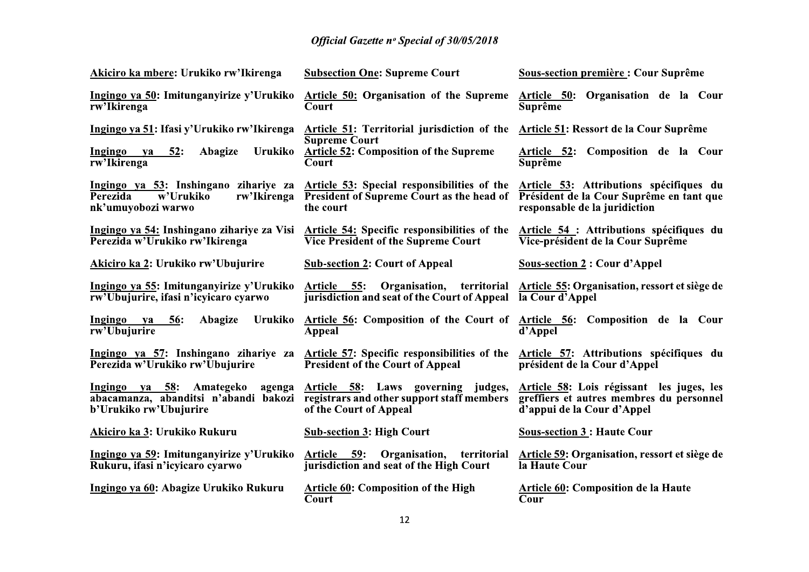| Akiciro ka mbere: Urukiko rw'Ikirenga                                                                      | <b>Subsection One: Supreme Court</b>                                                                         | <b>Sous-section première : Cour Suprême</b>                                                                          |
|------------------------------------------------------------------------------------------------------------|--------------------------------------------------------------------------------------------------------------|----------------------------------------------------------------------------------------------------------------------|
| Ingingo ya 50: Imitunganyirize y'Urukiko<br>rw'Ikirenga                                                    | <b>Article 50: Organisation of the Supreme</b><br>Court                                                      | Article 50: Organisation de la Cour<br>Suprême                                                                       |
| Ingingo ya 51: Ifasi y'Urukiko rw'Ikirenga                                                                 | Article 51: Territorial jurisdiction of the                                                                  | Article 51: Ressort de la Cour Suprême                                                                               |
| Urukiko<br>$Ingingo$ ya 52:<br>Abagize<br>rw'Ikirenga                                                      | <b>Supreme Court</b><br><b>Article 52: Composition of the Supreme</b><br>Court                               | Article 52: Composition de la Cour<br>Suprême                                                                        |
| Ingingo ya 53: Inshingano zihariye za<br><b>Perezida</b><br>w'Urukiko<br>rw'Ikirenga<br>nk'umuyobozi warwo | Article 53: Special responsibilities of the<br><b>President of Supreme Court as the head of</b><br>the court | Article 53: Attributions spécifiques du<br>Président de la Cour Suprême en tant que<br>responsable de la juridiction |
| Ingingo ya 54: Inshingano zihariye za Visi<br>Perezida w'Urukiko rw'Ikirenga                               | <b>Article 54:</b> Specific responsibilities of the<br><b>Vice President of the Supreme Court</b>            | Article 54 : Attributions spécifiques du<br>Vice-président de la Cour Suprême                                        |
| Akiciro ka 2: Urukiko rw'Ubujurire                                                                         | <b>Sub-section 2: Court of Appeal</b>                                                                        | <b>Sous-section 2: Cour d'Appel</b>                                                                                  |
| Ingingo ya 55: Imitunganyirize y'Urukiko<br>rw'Ubujurire, ifasi n'icyicaro cyarwo                          | Article 55:<br>Organisation,<br>territorial<br>jurisdiction and seat of the Court of Appeal                  | Article 55: Organisation, ressort et siège de<br>la Cour d'Appel                                                     |
| Ingingo ya<br>Abagize<br>Urukiko<br><b>56:</b><br>rw'Ubujurire                                             | Article 56: Composition of the Court of Article 56: Composition de la Cour<br><b>Appeal</b>                  | d'Appel                                                                                                              |
| Ingingo ya 57: Inshingano zihariye za<br>Perezida w'Urukiko rw'Ubujurire                                   | Article 57: Specific responsibilities of the<br><b>President of the Court of Appeal</b>                      | Article 57: Attributions spécifiques du<br>président de la Cour d'Appel                                              |
| Ingingo ya 58: Amategeko<br>agenga<br>abacamanza, abanditsi n'abandi bakozi<br>b'Urukiko rw'Ubujurire      | Article 58: Laws governing judges,<br>registrars and other support staff members<br>of the Court of Appeal   | Article 58: Lois régissant les juges, les<br>greffiers et autres membres du personnel<br>d'appui de la Cour d'Appel  |
| Akiciro ka 3: Urukiko Rukuru                                                                               | <b>Sub-section 3: High Court</b>                                                                             | <b>Sous-section 3 : Haute Cour</b>                                                                                   |
| Ingingo ya 59: Imitunganyirize y'Urukiko Article 59:<br>Rukuru, ifasi n'icyicaro cyarwo                    | Organisation,<br>territorial<br>jurisdiction and seat of the High Court                                      | Article 59: Organisation, ressort et siège de<br>la Haute Cour                                                       |
| Ingingo ya 60: Abagize Urukiko Rukuru                                                                      | <b>Article 60: Composition of the High</b><br>Court                                                          | <b>Article 60: Composition de la Haute</b><br>Cour                                                                   |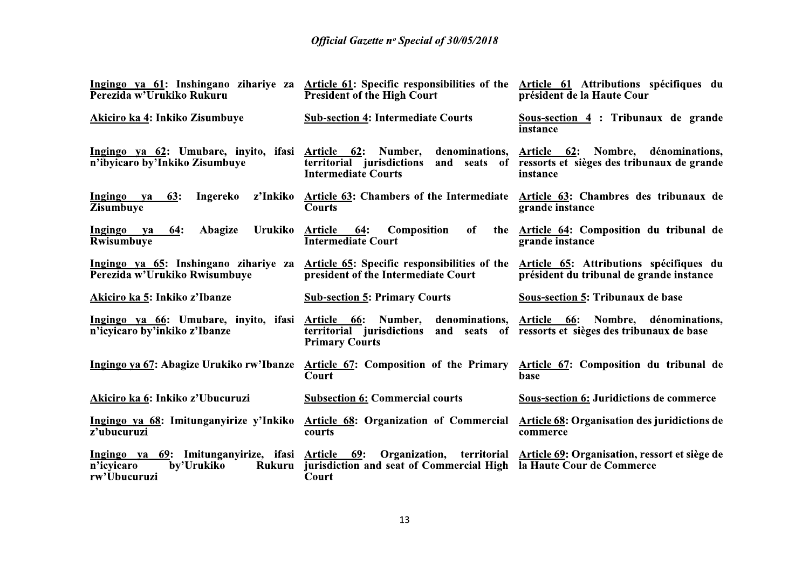| Perezida w'Urukiko Rukuru                                                                     | Ingingo ya 61: Inshingano zihariye za Article 61: Specific responsibilities of the<br><b>President of the High Court</b>  | Article 61 Attributions spécifiques du<br>président de la Haute Cour                                       |
|-----------------------------------------------------------------------------------------------|---------------------------------------------------------------------------------------------------------------------------|------------------------------------------------------------------------------------------------------------|
| Akiciro ka 4: Inkiko Zisumbuye                                                                | <b>Sub-section 4: Intermediate Courts</b>                                                                                 | Sous-section 4 : Tribunaux de grande<br>instance                                                           |
| Ingingo ya 62: Umubare, inyito, ifasi Article 62: Number,<br>n'ibyicaro by'Inkiko Zisumbuye   | denominations,<br>and seats of<br>territorial jurisdictions<br><b>Intermediate Courts</b>                                 | Article 62: Nombre, dénominations,<br>ressorts et sièges des tribunaux de grande<br>instance               |
| Ingingo ya<br>63:<br>Ingereko<br><b>Zisumbuye</b>                                             | z'Inkiko Article 63: Chambers of the Intermediate Article 63: Chambres des tribunaux de<br><b>Courts</b>                  | grande instance                                                                                            |
| Urukiko<br>Ingingo<br><b>64:</b><br>Abagize<br><b>va</b><br>Rwisumbuye                        | Article 64:<br>of<br><b>Composition</b><br>the<br><b>Intermediate Court</b>                                               | Article 64: Composition du tribunal de<br>grande instance                                                  |
| Perezida w'Urukiko Rwisumbuye                                                                 | Ingingo ya 65: Inshingano zihariye za Article 65: Specific responsibilities of the<br>president of the Intermediate Court | Article 65: Attributions spécifiques du<br>président du tribunal de grande instance                        |
| Akiciro ka 5: Inkiko z'Ibanze                                                                 | <b>Sub-section 5: Primary Courts</b>                                                                                      | Sous-section 5: Tribunaux de base                                                                          |
| Ingingo ya 66: Umubare, inyito, ifasi Article 66: Number,<br>n'icyicaro by'inkiko z'Ibanze    | territorial jurisdictions<br><b>Primary Courts</b>                                                                        | denominations, Article 66: Nombre, dénominations,<br>and seats of ressorts et sièges des tribunaux de base |
| Ingingo ya 67: Abagize Urukiko rw'Ibanze                                                      | <b>Article 67: Composition of the Primary</b><br>Court                                                                    | Article 67: Composition du tribunal de<br>base                                                             |
| Akiciro ka 6: Inkiko z'Ubucuruzi                                                              | <b>Subsection 6: Commercial courts</b>                                                                                    | <b>Sous-section 6: Juridictions de commerce</b>                                                            |
| Ingingo ya 68: Imitunganyirize y'Inkiko<br>z'ubucuruzi                                        | <b>Article 68: Organization of Commercial</b><br>courts                                                                   | <b>Article 68: Organisation des juridictions de</b><br>commerce                                            |
| Ingingo ya 69: Imitunganyirize, ifasi Article 69:<br>n'icyicaro<br>by'Urukiko<br>rw'Ubucuruzi | Rukuru jurisdiction and seat of Commercial High<br>Court                                                                  | Organization, territorial Article 69: Organisation, ressort et siège de<br>la Haute Cour de Commerce       |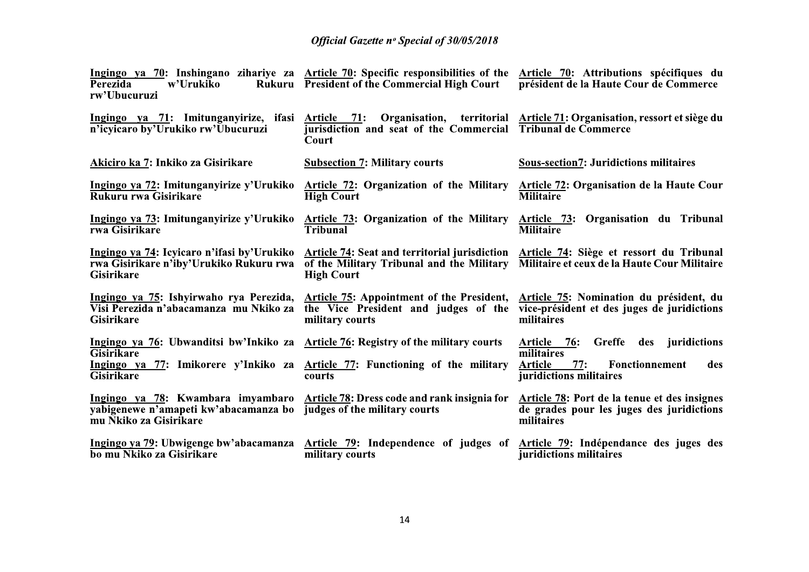|                                                                                                            | <b>Official Gazette nº Special of 30/05/2018</b>                                                                                                                                                                                 |                                                                                                         |
|------------------------------------------------------------------------------------------------------------|----------------------------------------------------------------------------------------------------------------------------------------------------------------------------------------------------------------------------------|---------------------------------------------------------------------------------------------------------|
| Perezida<br>w'Urukiko<br>rw'Ubucuruzi                                                                      | Ingingo ya 70: Inshingano zihariye za Article 70: Specific responsibilities of the Article 70: Attributions spécifiques du<br>Rukuru President of the Commercial High Court                                                      | président de la Haute Cour de Commerce                                                                  |
| Ingingo ya 71: Imitunganyirize, ifasi<br>n'icyicaro by'Urukiko rw'Ubucuruzi                                | Article 71: Organisation, territorial Article 71: Organisation, ressort et siège du<br>jurisdiction and seat of the Commercial Tribunal de Commerce<br>Court                                                                     |                                                                                                         |
| Akiciro ka 7: Inkiko za Gisirikare                                                                         | <b>Subsection 7: Military courts</b>                                                                                                                                                                                             | <b>Sous-section7: Juridictions militaires</b>                                                           |
| Ingingo ya 72: Imitunganyirize y'Urukiko<br>Rukuru rwa Gisirikare                                          | <b>Article 72: Organization of the Military</b><br><b>High Court</b>                                                                                                                                                             | <b>Article 72: Organisation de la Haute Cour</b><br><b>Militaire</b>                                    |
| Ingingo ya 73: Imitunganyirize y'Urukiko<br>rwa Gisirikare                                                 | Article 73: Organization of the Military<br>Tribunal                                                                                                                                                                             | Article 73: Organisation du Tribunal<br><b>Militaire</b>                                                |
| Ingingo ya 74: Icyicaro n'ifasi by'Urukiko<br>rwa Gisirikare n'iby'Urukiko Rukuru rwa<br><b>Gisirikare</b> | Article 74: Seat and territorial jurisdiction Article 74: Siège et ressort du Tribunal<br>of the Military Tribunal and the Military<br><b>High Court</b>                                                                         | Militaire et ceux de la Haute Cour Militaire                                                            |
| Visi Perezida n'abacamanza mu Nkiko za<br><b>Gisirikare</b>                                                | Ingingo ya 75: Ishyirwaho rya Perezida, Article 75: Appointment of the President, Article 75: Nomination du président, du<br>the Vice President and judges of the vice-président et des juges de juridictions<br>military courts | militaires                                                                                              |
| Ingingo ya 76: Ubwanditsi bw'Inkiko za Article 76: Registry of the military courts                         |                                                                                                                                                                                                                                  | Greffe des juridictions<br><u>Article 76:</u>                                                           |
| <b>Gisirikare</b><br>Gisirikare                                                                            | Ingingo ya 77: Imikorere y'Inkiko za Article 77: Functioning of the military Article 77: Fonctionnement des<br>courts                                                                                                            | militaires<br>juridictions militaires                                                                   |
| yabigenewe n'amapeti kw'abacamanza bo judges of the military courts<br>mu Nkiko za Gisirikare              | Ingingo ya 78: Kwambara imyambaro Article 78: Dress code and rank insignia for                                                                                                                                                   | Article 78: Port de la tenue et des insignes<br>de grades pour les juges des juridictions<br>militaires |
| Ingingo ya 79: Ubwigenge bw'abacamanza<br>bo mu Nkiko za Gisirikare                                        | Article 79: Independence of judges of Article 79: Indépendance des juges des<br>military courts                                                                                                                                  | juridictions militaires                                                                                 |
|                                                                                                            |                                                                                                                                                                                                                                  |                                                                                                         |
|                                                                                                            | 14                                                                                                                                                                                                                               |                                                                                                         |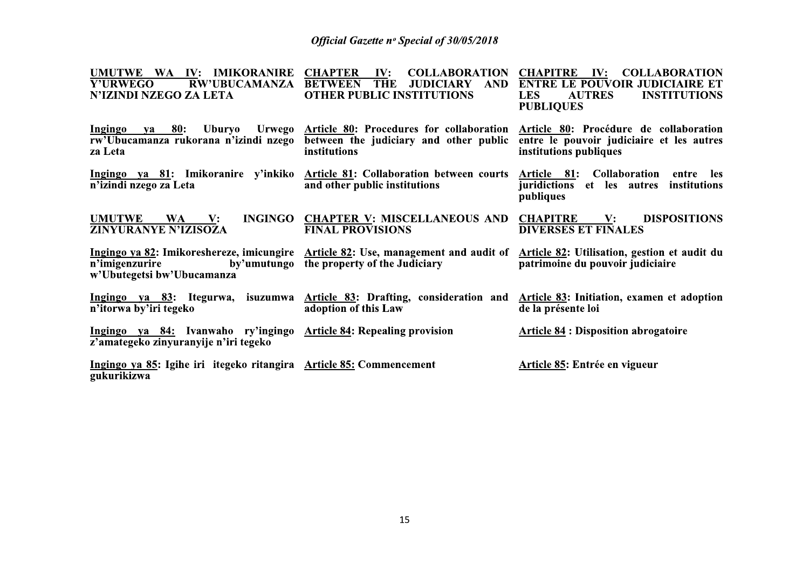| UMUTWE WA IV: IMIKORANIRE<br><b>RW'UBUCAMANZA</b><br><b>Y'URWEGO</b><br>N'IZINDI NZEGO ZA LETA              | <b>CHAPTER</b><br>IV:<br><b>COLLABORATION</b><br><b>BETWEEN</b><br><b>THE</b><br><b>AND</b><br><b>JUDICIARY</b><br><b>OTHER PUBLIC INSTITUTIONS</b>                     | <b>CHAPITRE</b><br>$\mathbf{IV:}$<br><b>COLLABORATION</b><br><b>ENTRE LE POUVOIR JUDICIAIRE ET</b><br><b>AUTRES</b><br><b>INSTITUTIONS</b><br><b>LES</b><br><b>PUBLIQUES</b> |
|-------------------------------------------------------------------------------------------------------------|-------------------------------------------------------------------------------------------------------------------------------------------------------------------------|------------------------------------------------------------------------------------------------------------------------------------------------------------------------------|
| Ingingo<br>80:<br>va <i>v</i><br>rw'Ubucamanza rukorana n'izindi nzego<br>za Leta                           | Uburyo Urwego <u>Article 80</u> : Procedures for collaboration <u>Article 80</u> : Procédure de collaboration<br>between the judiciary and other public<br>institutions | entre le pouvoir judiciaire et les autres<br>institutions publiques                                                                                                          |
| n'izindi nzego za Leta                                                                                      | Ingingo ya 81: Imikoranire y'inkiko Article 81: Collaboration between courts Article 81: Collaboration entre les<br>and other public institutions                       | juridictions et les autres institutions<br>publiques                                                                                                                         |
| <b>INGINGO</b><br><b>UMUTWE</b><br>WA  <br>$\mathbf{V}$ :<br><b>ZINYURANYE N'IZISOZA</b>                    | <b>CHAPTER V: MISCELLANEOUS AND</b><br><b>FINAL PROVISIONS</b>                                                                                                          | <b>CHAPITRE</b><br><b>DISPOSITIONS</b><br>$\mathbf{V}$ :<br><b>DIVERSES ET FINALES</b>                                                                                       |
| n'imigenzurire<br>w'Ubutegetsi bw'Ubucamanza                                                                | Ingingo ya 82: Imikoreshereze, imicungire Article 82: Use, management and audit of<br>by'umutungo the property of the Judiciary                                         | Article 82: Utilisation, gestion et audit du<br>patrimoine du pouvoir judiciaire                                                                                             |
| n'itorwa by'iri tegeko                                                                                      | Ingingo ya 83: Itegurwa, isuzumwa Article 83: Drafting, consideration and Article 83: Initiation, examen et adoption<br>adoption of this Law                            | de la présente loi                                                                                                                                                           |
| Ingingo ya 84: Ivanwaho ry'ingingo Article 84: Repealing provision<br>z'amategeko zinyuranyije n'iri tegeko |                                                                                                                                                                         | <b>Article 84: Disposition abrogatoire</b>                                                                                                                                   |
| Ingingo ya 85: Igihe iri itegeko ritangira Article 85: Commencement<br>gukurikizwa                          |                                                                                                                                                                         | Article 85: Entrée en vigueur                                                                                                                                                |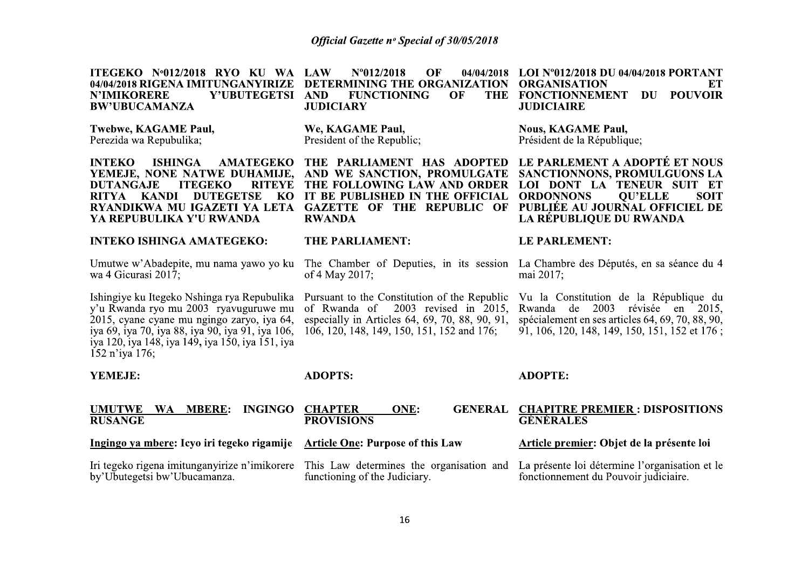| ITEGEKO Nº012/2018 RYO KU WA<br>04/04/2018 RIGENA IMITUNGANYIRIZE<br>Y'UBUTEGETSI<br><b>N'IMIKORERE</b><br><b>BW'UBUCAMANZA</b>                                                                                                                                  | N°012/2018<br>OF<br>LAW<br>04/04/2018<br>DETERMINING THE ORGANIZATION<br><b>FUNCTIONING</b><br>OF<br><b>THE</b><br><b>AND</b><br><b>JUDICIARY</b>                                          | LOI Nº012/2018 DU 04/04/2018 PORTANT<br><b>ORGANISATION</b><br>EТ<br><b>POUVOIR</b><br><b>FONCTIONNEMENT</b><br>DU<br><b>JUDICIAIRE</b>                                                                              |  |  |
|------------------------------------------------------------------------------------------------------------------------------------------------------------------------------------------------------------------------------------------------------------------|--------------------------------------------------------------------------------------------------------------------------------------------------------------------------------------------|----------------------------------------------------------------------------------------------------------------------------------------------------------------------------------------------------------------------|--|--|
| Twebwe, KAGAME Paul,<br>Perezida wa Repubulika;                                                                                                                                                                                                                  | We, KAGAME Paul,<br>President of the Republic;                                                                                                                                             | <b>Nous, KAGAME Paul,</b><br>Président de la République;                                                                                                                                                             |  |  |
| <b>INTEKO</b><br><b>ISHINGA</b><br><b>AMATEGEKO</b><br>YEMEJE, NONE NATWE DUHAMIJE.<br><b>DUTANGAJE</b><br><b>ITEGEKO</b><br><b>RITEYE</b><br><b>DUTEGETSE</b><br><b>KANDI</b><br>KO<br><b>RITYA</b><br>RYANDIKWA MU IGAZETI YA LETA<br>YA REPUBULIKA Y'U RWANDA | THE PARLIAMENT HAS ADOPTED<br>AND WE SANCTION, PROMULGATE<br>THE FOLLOWING LAW AND ORDER<br>IT BE PUBLISHED IN THE OFFICIAL<br><b>GAZETTE OF THE REPUBLIC OF</b><br><b>RWANDA</b>          | LE PARLEMENT A ADOPTÉ ET NOUS<br>SANCTIONNONS, PROMULGUONS LA<br>LOI DONT LA TENEUR SUIT ET<br><b>SOIT</b><br><b>ORDONNONS</b><br><b>OU'ELLE</b><br>PUBLIÉE AU JOURNAL OFFICIEL DE<br><b>LA RÉPUBLIQUE DU RWANDA</b> |  |  |
| <b>INTEKO ISHINGA AMATEGEKO:</b>                                                                                                                                                                                                                                 | THE PARLIAMENT:                                                                                                                                                                            | <b>LE PARLEMENT:</b>                                                                                                                                                                                                 |  |  |
| Umutwe w'Abadepite, mu nama yawo yo ku<br>wa 4 Gicurasi 2017;                                                                                                                                                                                                    | The Chamber of Deputies, in its session<br>of 4 May 2017;                                                                                                                                  | La Chambre des Députés, en sa séance du 4<br>mai 2017;                                                                                                                                                               |  |  |
| Ishingiye ku Itegeko Nshinga rya Repubulika<br>y'u Rwanda ryo mu 2003 ryavuguruwe mu<br>2015, cyane cyane mu ngingo zaryo, iya 64,<br>iya 69, iya 70, iya 88, iya 90, iya 91, iya 106,<br>iya 120, iya 148, iya 149, iya 150, iya 151, iya<br>152 n'iya 176;     | Pursuant to the Constitution of the Republic<br>$2003$ revised in $2015$ ,<br>of Rwanda of<br>especially in Articles 64, 69, 70, 88, 90, 91,<br>106, 120, 148, 149, 150, 151, 152 and 176; | Vu la Constitution de la République du<br>Rwanda<br>2003<br>révisée<br>de<br>en<br>2015.<br>spécialement en ses articles 64, 69, 70, 88, 90,<br>91, 106, 120, 148, 149, 150, 151, 152 et 176;                        |  |  |
| YEMEJE:                                                                                                                                                                                                                                                          | <b>ADOPTS:</b>                                                                                                                                                                             | <b>ADOPTE:</b>                                                                                                                                                                                                       |  |  |
| <b>MBERE:</b><br><b>INGINGO</b><br><b>UMUTWE</b><br><b>WA</b><br><b>RUSANGE</b>                                                                                                                                                                                  | <b>CHAPTER</b><br><b>GENERAL</b><br>ONE:<br><b>PROVISIONS</b>                                                                                                                              | <b>CHAPITRE PREMIER: DISPOSITIONS</b><br><b>GÉNÉRALES</b>                                                                                                                                                            |  |  |
| Ingingo ya mbere: Icyo iri tegeko rigamije                                                                                                                                                                                                                       | <b>Article One: Purpose of this Law</b>                                                                                                                                                    | Article premier: Objet de la présente loi                                                                                                                                                                            |  |  |
| Iri tegeko rigena imitunganyirize n'imikorere<br>by'Ubutegetsi bw'Ubucamanza.                                                                                                                                                                                    | This Law determines the organisation and<br>functioning of the Judiciary.                                                                                                                  | La présente loi détermine l'organisation et le<br>fonctionnement du Pouvoir judiciaire.                                                                                                                              |  |  |
|                                                                                                                                                                                                                                                                  |                                                                                                                                                                                            |                                                                                                                                                                                                                      |  |  |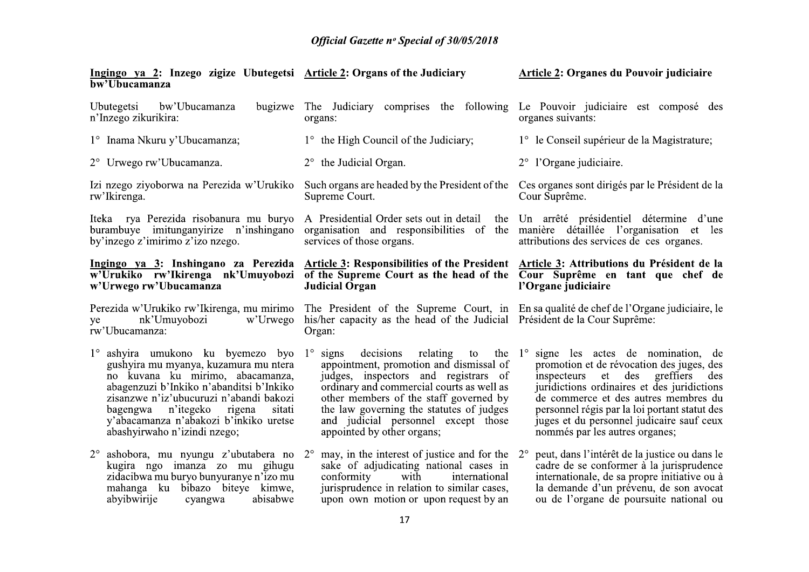| Ingingo ya 2: Inzego zigize Ubutegetsi Article 2: Organs of the Judiciary<br>bw'Ubucamanza                                                                                                                                                                                                                                                                             |                                                                                                                                                                                                                                                                                                            | Article 2: Organes du Pouvoir judiciaire                                                                                                                                                                                                                                                                                                     |  |  |
|------------------------------------------------------------------------------------------------------------------------------------------------------------------------------------------------------------------------------------------------------------------------------------------------------------------------------------------------------------------------|------------------------------------------------------------------------------------------------------------------------------------------------------------------------------------------------------------------------------------------------------------------------------------------------------------|----------------------------------------------------------------------------------------------------------------------------------------------------------------------------------------------------------------------------------------------------------------------------------------------------------------------------------------------|--|--|
| Ubutegetsi<br>bw'Ubucamanza<br>bugizwe<br>n'Inzego zikurikira:                                                                                                                                                                                                                                                                                                         | The Judiciary comprises the following Le Pouvoir judiciaire est composé des<br>organs:                                                                                                                                                                                                                     | organes suivants:                                                                                                                                                                                                                                                                                                                            |  |  |
| 1° Inama Nkuru y'Ubucamanza;                                                                                                                                                                                                                                                                                                                                           | 1° the High Council of the Judiciary;                                                                                                                                                                                                                                                                      | 1° le Conseil supérieur de la Magistrature;                                                                                                                                                                                                                                                                                                  |  |  |
| 2° Urwego rw'Ubucamanza.                                                                                                                                                                                                                                                                                                                                               | $2^{\circ}$ the Judicial Organ.                                                                                                                                                                                                                                                                            | $2^{\circ}$ l'Organe judiciaire.                                                                                                                                                                                                                                                                                                             |  |  |
| Izi nzego ziyoborwa na Perezida w'Urukiko<br>rw'Ikirenga.                                                                                                                                                                                                                                                                                                              | Such organs are headed by the President of the<br>Supreme Court.                                                                                                                                                                                                                                           | Ces organes sont dirigés par le Président de la<br>Cour Suprême.                                                                                                                                                                                                                                                                             |  |  |
| Iteka rya Perezida risobanura mu buryo<br>burambuye imitunganyirize n'inshingano<br>by'inzego z'imirimo z'izo nzego.                                                                                                                                                                                                                                                   | services of those organs.                                                                                                                                                                                                                                                                                  | A Presidential Order sets out in detail the Un arrêté présidentiel détermine d'une<br>organisation and responsibilities of the manière détaillée l'organisation et les<br>attributions des services de ces organes.                                                                                                                          |  |  |
| Ingingo ya 3: Inshingano za Perezida<br>w'Urukiko rw'Ikirenga nk'Umuyobozi<br>w'Urwego rw'Ubucamanza                                                                                                                                                                                                                                                                   | Article 3: Responsibilities of the President Article 3: Attributions du Président de la<br>of the Supreme Court as the head of the $\overline{Cour}$ Suprême en tant que chef de<br><b>Judicial Organ</b>                                                                                                  | l'Organe judiciaire                                                                                                                                                                                                                                                                                                                          |  |  |
| Perezida w'Urukiko rw'Ikirenga, mu mirimo<br>w'Urwego<br>nk'Umuyobozi<br>ye<br>rw'Ubucamanza:                                                                                                                                                                                                                                                                          | The President of the Supreme Court, in En sa qualité de chef de l'Organe judiciaire, le<br>his/her capacity as the head of the Judicial Président de la Cour Suprême:<br>Organ:                                                                                                                            |                                                                                                                                                                                                                                                                                                                                              |  |  |
| $1^\circ$ ashyira umukono ku byemezo byo $1^\circ$ signs decisions relating to<br>gushyira mu myanya, kuzamura mu ntera<br>no kuvana ku mirimo, abacamanza,<br>abagenzuzi b'Inkiko n'abanditsi b'Inkiko<br>zisanzwe n'iz'ubucuruzi n'abandi bakozi<br>bagengwa n'itegeko<br>sitati<br>rigena<br>y'abacamanza n'abakozi b'inkiko uretse<br>abashyirwaho n'izindi nzego; | the $1^{\circ}$<br>appointment, promotion and dismissal of<br>judges, inspectors and registrars of<br>ordinary and commercial courts as well as<br>other members of the staff governed by<br>the law governing the statutes of judges<br>and judicial personnel except those<br>appointed by other organs; | signe les actes de nomination, de<br>promotion et de révocation des juges, des<br>inspecteurs et des greffiers<br>des<br>juridictions ordinaires et des juridictions<br>de commerce et des autres membres du<br>personnel régis par la loi portant statut des<br>juges et du personnel judicaire sauf ceux<br>nommés par les autres organes; |  |  |
| kugira ngo imanza zo mu gihugu<br>zidacibwa mu buryo bunyuranye n'izo mu<br>mahanga ku bibazo biteye kimwe,<br>abyibwirije<br>abisabwe<br>cyangwa                                                                                                                                                                                                                      | ashobora, mu nyungu z'ubutabera no $2^{\circ}$ may, in the interest of justice and for the $2^{\circ}$<br>sake of adjudicating national cases in<br>conformity with international<br>jurisprudence in relation to similar cases,<br>upon own motion or upon request by an                                  | peut, dans l'intérêt de la justice ou dans le<br>cadre de se conformer à la jurisprudence<br>internationale, de sa propre initiative ou à<br>la demande d'un prévenu, de son avocat<br>ou de l'organe de poursuite national ou                                                                                                               |  |  |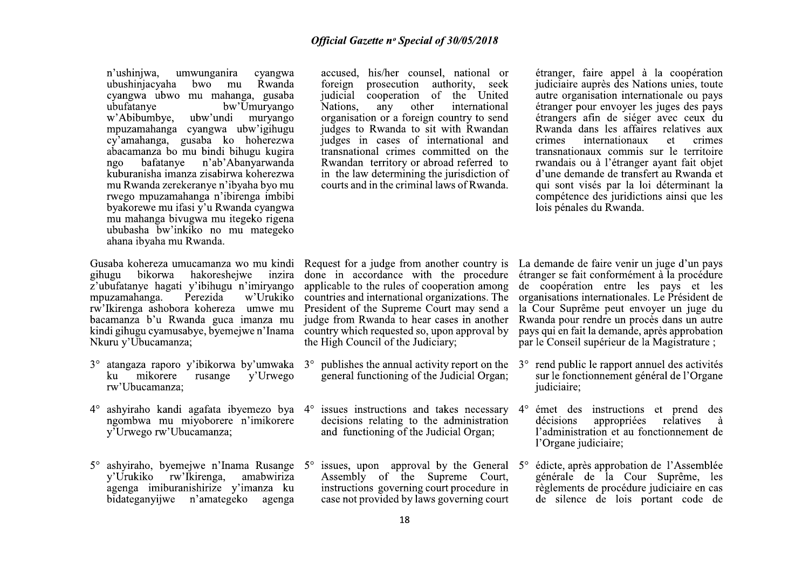n'ushinjwa, umwunganira cyangwa ubushinjacyaha bwo mu Rwanda cvangwa ubwo mu mahanga, gusaba ubufatanye bw'Umuryango ubw'undi muryango w'Abibumbye. mpuzamahanga cyangwa ubw'igihugu cy'amahanga, gusaba ko hoherezwa abacamanza bo mu bindi bihugu kugira bafatanye n'ab'Abanyarwanda  $n\alpha$ kuburanisha imanza zisabirwa koherezwa mu Rwanda zerekeranye n'ibyaha byo mu rwego mpuzamahanga n'ibirenga imbibi byakorewe mu ifasi y'u Rwanda cyangwa mu mahanga biyugwa mu itegeko rigena ububasha bw'inkiko no mu mategeko ahana ibyaha mu Rwanda.

Gusaba kohereza umucamanza wo mu kindi gihugu bikorwa hakoresheiwe inzira z'ubufatanye hagati y'ibihugu n'imiryango mpuzamahanga. Perezida w'Urukiko rw'Ikirenga ashobora kohereza umwe mu bacamanza b'u Rwanda guca imanza mu kindi gihugu cyamusabye, byemejwe n'Inama Nkuru y'Ubucamanza;

- $3^{\circ}$  atangaza raporo y'ibikorwa by'umwaka  $3^{\circ}$  publishes the annual activity report on the mikorere rusange ku y'Urwego rw'Ubucamanza:
- ashyiraho kandi agafata ibyemezo bya 4°  $4^{\circ}$ ngombwa mu miyoborere n'imikorere y'Urwego rw'Ubucamanza;
- $5^{\circ}$  ashyiraho, byemejwe n'Inama Rusange  $5^{\circ}$  issues, upon approval by the General  $5^{\circ}$ y'Urukiko rw'Ikirenga, amabwiriza agenga imiburanishirize y'imanza ku bidateganyijwe n'amategeko agenga

accused, his/her counsel, national or prosecution authority, seek foreign judicial cooperation of the United any other Nations. international organisation or a foreign country to send judges to Rwanda to sit with Rwandan judges in cases of international and transnational crimes committed on the Rwandan territory or abroad referred to in the law determining the jurisdiction of courts and in the criminal laws of Rwanda.

étranger, faire appel à la coopération judiciaire auprès des Nations unies, toute autre organisation internationale ou pays étranger pour envoyer les juges des pays étrangers afin de siéger avec ceux du Rwanda dans les affaires relatives aux crimes internationaux et crimes transnationaux commis sur le territoire rwandais ou à l'étranger avant fait objet d'une demande de transfert au Rwanda et qui sont visés par la loi déterminant la compétence des juridictions ainsi que les lois pénales du Rwanda.

applicable to the rules of cooperation among countries and international organizations. The President of the Supreme Court may send a judge from Rwanda to hear cases in another country which requested so, upon approval by the High Council of the Judiciary;

- general functioning of the Judicial Organ;
- issues instructions and takes necessary decisions relating to the administration and functioning of the Judicial Organ;
- Assembly of the Supreme Court, instructions governing court procedure in case not provided by laws governing court

Request for a judge from another country is La demande de faire venir un juge d'un pays done in accordance with the procedure étranger se fait conformément à la procédure de coopération entre les pays et les organisations internationales. Le Président de la Cour Suprême peut envoyer un juge du Rwanda pour rendre un procès dans un autre pays qui en fait la demande, après approbation par le Conseil supérieur de la Magistrature ;

- rend public le rapport annuel des activités  $3^\circ$ sur le fonctionnement général de l'Organe judiciaire;
- émet des instructions et prend des  $4^\circ$ appropriées décisions relatives à l'administration et au fonctionnement de l'Organe judiciaire;
- édicte, après approbation de l'Assemblée générale de la Cour Suprême, les règlements de procédure judiciaire en cas de silence de lois portant code de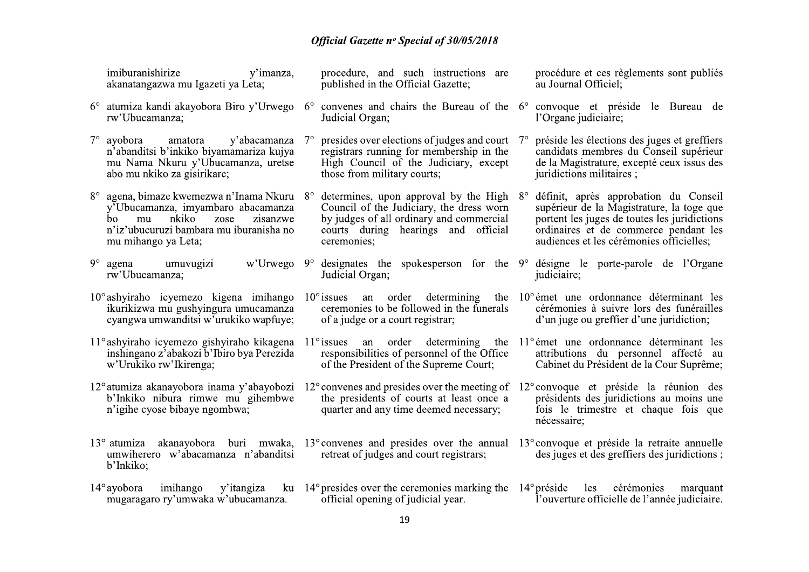| imiburanishirize<br>y'imanza,<br>akanatangazwa mu Igazeti ya Leta;                                                                                                                           |           | procedure, and such instructions are<br>published in the Official Gazette;                                                                                                          |             | procédure et ces règlements sont publiés<br>au Journal Officiel;                                                                                                                                                        |
|----------------------------------------------------------------------------------------------------------------------------------------------------------------------------------------------|-----------|-------------------------------------------------------------------------------------------------------------------------------------------------------------------------------------|-------------|-------------------------------------------------------------------------------------------------------------------------------------------------------------------------------------------------------------------------|
| 6° atumiza kandi akayobora Biro y'Urwego<br>rw'Ubucamanza;                                                                                                                                   |           | $6^{\circ}$ convenes and chairs the Bureau of the $6^{\circ}$ convoque et préside le Bureau de<br>Judicial Organ;                                                                   |             | l'Organe judiciaire;                                                                                                                                                                                                    |
| $7^\circ$ ayobora<br>y'abacamanza<br>amatora<br>n'abanditsi b'inkiko biyamamariza kujya<br>mu Nama Nkuru y'Ubucamanza, uretse<br>abo mu nkiko za gisirikare;                                 | $7^\circ$ | presides over elections of judges and court<br>registrars running for membership in the<br>High Council of the Judiciary, except<br>those from military courts;                     | $7^{\circ}$ | préside les élections des juges et greffiers<br>candidats membres du Conseil supérieur<br>de la Magistrature, excepté ceux issus des<br>juridictions militaires ;                                                       |
| 8° agena, bimaze kwemezwa n'Inama Nkuru 8°<br>y'Ubucamanza, imyambaro abacamanza<br>zisanzwe<br>nkiko<br>zose<br>mu<br>bo.<br>n'iz'ubucuruzi bambara mu iburanisha no<br>mu mihango ya Leta; |           | determines, upon approval by the High<br>Council of the Judiciary, the dress worn<br>by judges of all ordinary and commercial<br>courts during hearings and official<br>ceremonies; | $8^{\circ}$ | définit, après approbation du Conseil<br>supérieur de la Magistrature, la toge que<br>portent les juges de toutes les juridictions<br>ordinaires et de commerce pendant les<br>audiences et les cérémonies officielles; |
| $9^\circ$ agena<br>w'Urwego<br>umuvugizi<br>rw'Ubucamanza;                                                                                                                                   |           | $9^{\circ}$ designates the spokesperson for the $9^{\circ}$ désigne le porte-parole de l'Organe<br>Judicial Organ;                                                                  |             | judiciaire;                                                                                                                                                                                                             |
| 10° ashyiraho icyemezo kigena imihango<br>ikurikizwa mu gushyingura umucamanza<br>cyangwa umwanditsi w'urukiko wapfuye;                                                                      |           | $10^{\circ}$ issues an order determining<br>ceremonies to be followed in the funerals<br>of a judge or a court registrar;                                                           |             | the 10 <sup>°</sup> émet une ordonnance déterminant les<br>cérémonies à suivre lors des funérailles<br>d'un juge ou greffier d'une juridiction;                                                                         |
| 11° ashyiraho icyemezo gishyiraho kikagena<br>inshingano z'abakozi b'Ibiro bya Perezida<br>w'Urukiko rw'Ikirenga;                                                                            |           | $11^\circ$ issues an order determining<br>responsibilities of personnel of the Office<br>of the President of the Supreme Court;                                                     |             | the 11 <sup>°</sup> émet une ordonnance déterminant les<br>attributions du personnel affecté au<br>Cabinet du Président de la Cour Suprême;                                                                             |
| 12° atumiza akanayobora inama y'abayobozi<br>b'Inkiko nibura rimwe mu gihembwe<br>n'igihe cyose bibaye ngombwa;                                                                              |           | $12^{\circ}$ convenes and presides over the meeting of<br>the presidents of courts at least once a<br>quarter and any time deemed necessary;                                        |             | 12° convoque et préside la réunion des<br>présidents des juridictions au moins une<br>fois le trimestre et chaque fois que<br>nécessaire;                                                                               |
| $13^{\circ}$ atumiza akanayobora buri mwaka, $13^{\circ}$ convenes and presides over the annual<br>umwiherero w'abacamanza n'abanditsi<br>b'Inkiko;                                          |           | retreat of judges and court registrars;                                                                                                                                             |             | 13 <sup>°</sup> convoque et préside la retraite annuelle<br>des juges et des greffiers des juridictions;                                                                                                                |
| $14^\circ$ ayobora<br>imihango<br>y'itangiza<br>mugaragaro ry'umwaka w'ubucamanza.                                                                                                           |           | ku 14° presides over the ceremonies marking the<br>official opening of judicial year.                                                                                               |             | $14^{\circ}$ préside<br>les<br>cérémonies<br>marquant<br>l'ouverture officielle de l'année judiciaire.                                                                                                                  |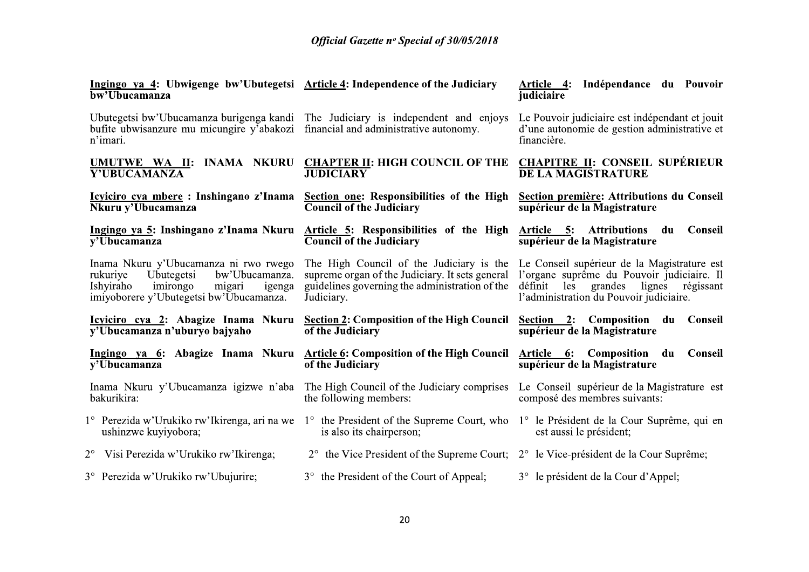| Ingingo ya 4: Ubwigenge bw'Ubutegetsi Article 4: Independence of the Judiciary<br>bw'Ubucamanza                                                                           |                                                                                                                                                             | Indépendance du Pouvoir<br>Article 4:<br>judiciaire                                                                                                                                |  |
|---------------------------------------------------------------------------------------------------------------------------------------------------------------------------|-------------------------------------------------------------------------------------------------------------------------------------------------------------|------------------------------------------------------------------------------------------------------------------------------------------------------------------------------------|--|
| Ubutegetsi bw'Ubucamanza burigenga kandi<br>bufite ubwisanzure mu micungire y'abakozi<br>n'imari.                                                                         | The Judiciary is independent and enjoys<br>financial and administrative autonomy.                                                                           | Le Pouvoir judiciaire est indépendant et jouit<br>d'une autonomie de gestion administrative et<br>financière.                                                                      |  |
| UMUTWE WA II: INAMA NKURU<br><b>Y'UBUCAMANZA</b>                                                                                                                          | <b>CHAPTER II: HIGH COUNCIL OF THE</b><br><b>JUDICIARY</b>                                                                                                  | <b>CHAPITRE II: CONSEIL SUPÉRIEUR</b><br><b>DE LA MAGISTRATURE</b>                                                                                                                 |  |
| Icyiciro cya mbere: Inshingano z'Inama<br>Nkuru y'Ubucamanza                                                                                                              | Section one: Responsibilities of the High<br><b>Council of the Judiciary</b>                                                                                | Section première: Attributions du Conseil<br>supérieur de la Magistrature                                                                                                          |  |
| Ingingo ya 5: Inshingano z'Inama Nkuru<br>v'Ubucamanza                                                                                                                    | Article 5: Responsibilities of the High<br><b>Council of the Judiciary</b>                                                                                  | Article 5: Attributions<br>du<br><b>Conseil</b><br>supérieur de la Magistrature                                                                                                    |  |
| Inama Nkuru y'Ubucamanza ni rwo rwego<br>bw'Ubucamanza.<br>rukuriye<br>Ubutegetsi<br>Ishyiraho<br>imirongo<br>migari<br>igenga<br>imiyoborere y'Ubutegetsi bw'Ubucamanza. | The High Council of the Judiciary is the<br>supreme organ of the Judiciary. It sets general<br>guidelines governing the administration of the<br>Judiciary. | Le Conseil supérieur de la Magistrature est<br>l'organe suprême du Pouvoir judiciaire. Il<br>définit<br>grandes lignes régissant<br>les<br>l'administration du Pouvoir judiciaire. |  |
| y'Ubucamanza n'uburyo bajyaho                                                                                                                                             | <u>Icyliciro eya 2:</u> Abagize Inama Nkuru <u>Section 2</u> : Composition of the High Council<br>of the Judiciary                                          | Section 2: Composition du<br>Conseil<br>supérieur de la Magistrature                                                                                                               |  |
| Ingingo ya 6: Abagize Inama Nkuru<br>v'Ubucamanza                                                                                                                         | <b>Article 6: Composition of the High Council</b><br>of the Judiciary                                                                                       | Article 6: Composition du<br>Conseil<br>supérieur de la Magistrature                                                                                                               |  |
| Inama Nkuru y'Ubucamanza igizwe n'aba<br>bakurikira:                                                                                                                      | The High Council of the Judiciary comprises<br>the following members:                                                                                       | Le Conseil supérieur de la Magistrature est<br>composé des membres suivants:                                                                                                       |  |
| $1^{\circ}$ Perezida w'Urukiko rw'Ikirenga, ari na we $1^{\circ}$ the President of the Supreme Court, who<br>ushinzwe kuyiyobora;                                         | is also its chairperson;                                                                                                                                    | 1° le Président de la Cour Suprême, qui en<br>est aussi le président;                                                                                                              |  |
| 2° Visi Perezida w'Urukiko rw'Ikirenga;                                                                                                                                   | 2° the Vice President of the Supreme Court; 2° le Vice-président de la Cour Suprême;                                                                        |                                                                                                                                                                                    |  |
| 3° Perezida w'Urukiko rw'Ubujurire;                                                                                                                                       | 3° the President of the Court of Appeal;                                                                                                                    | 3° le président de la Cour d'Appel;                                                                                                                                                |  |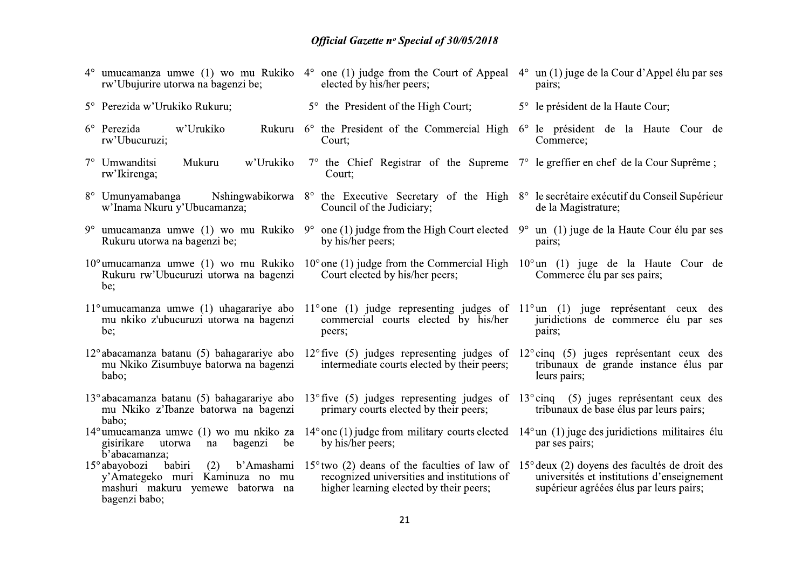| rw'Ubujurire utorwa na bagenzi be;                                                                                                | $4^{\circ}$ umucamanza umwe (1) wo mu Rukiko $4^{\circ}$ one (1) judge from the Court of Appeal $4^{\circ}$ un(1) juge de la Cour d'Appel élu par ses<br>elected by his/her peers;   | pairs;                                                                                |
|-----------------------------------------------------------------------------------------------------------------------------------|--------------------------------------------------------------------------------------------------------------------------------------------------------------------------------------|---------------------------------------------------------------------------------------|
| 5° Perezida w'Urukiko Rukuru;                                                                                                     | 5° the President of the High Court;                                                                                                                                                  | 5° le président de la Haute Cour;                                                     |
| w'Urukiko<br>$6^{\circ}$ Perezida<br>rw'Ubucuruzi;                                                                                | Rukuru 6° the President of the Commercial High 6° le président de la Haute Cour de<br>Court:                                                                                         | Commerce;                                                                             |
| 7° Umwanditsi<br>Mukuru<br>w'Urukiko<br>rw'Ikirenga;                                                                              | $7^{\circ}$ the Chief Registrar of the Supreme $7^{\circ}$ le greffier en chef de la Cour Suprême;<br>Court:                                                                         |                                                                                       |
| w'Inama Nkuru y'Ubucamanza;                                                                                                       | 8° Umunyamabanga Mshingwabikorwa 8° the Executive Secretary of the High 8° le secrétaire exécutif du Conseil Supérieur<br>Council of the Judiciary;                                  | de la Magistrature;                                                                   |
| Rukuru utorwa na bagenzi be;                                                                                                      | 9° umucamanza umwe (1) wo mu Rukiko 9° one (1) judge from the High Court elected 9° un (1) juge de la Haute Cour élu par ses<br>by his/her peers;                                    | pairs;                                                                                |
| $10^{\circ}$ umucamanza umwe $(1)$ wo mu Rukiko<br>Rukuru rw'Ubucuruzi utorwa na bagenzi<br>be:                                   | $10^{\circ}$ one (1) judge from the Commercial High $10^{\circ}$ un (1) juge de la Haute Cour de<br>Court elected by his/her peers;                                                  | Commerce élu par ses pairs;                                                           |
| $11^{\circ}$ umucamanza umwe $(1)$ uhagarariye abo<br>mu nkiko z'ubucuruzi utorwa na bagenzi<br>be;                               | 11° one (1) judge representing judges of $11^{\circ}$ un (1) juge représentant ceux des<br>commercial courts elected by his/her<br>peers;                                            | juridictions de commerce élu par ses<br>pairs;                                        |
| $12^{\circ}$ abacamanza batanu (5) bahagarariye abo<br>mu Nkiko Zisumbuye batorwa na bagenzi<br>babo;                             | $12^{\circ}$ five (5) judges representing judges of $12^{\circ}$ cinq (5) juges représentant ceux des<br>intermediate courts elected by their peers;                                 | tribunaux de grande instance élus par<br>leurs pairs;                                 |
| mu Nkiko z'Ibanze batorwa na bagenzi<br>babo;                                                                                     | 13° abacamanza batanu (5) bahagarariye abo 13° five (5) judges representing judges of 13° cinq (5) juges représentant ceux des<br>primary courts elected by their peers;             | tribunaux de base élus par leurs pairs;                                               |
| $14^{\circ}$ umucamanza umwe (1) wo mu nkiko za<br>gisirikare<br>bagenzi<br>be<br>utorwa<br>na<br>b'abacamanza;                   | $14^{\circ}$ one (1) judge from military courts elected $14^{\circ}$ un (1) juge des juridictions militaires élu<br>by his/her peers;                                                | par ses pairs;                                                                        |
| 15° abayobozi babiri<br>(2)<br>b'Amashami<br>y'Amategeko muri Kaminuza no mu<br>mashuri makuru yemewe batorwa na<br>bagenzi babo; | 15° two (2) deans of the faculties of law of 15° deux (2) doyens des facultés de droit des<br>recognized universities and institutions of<br>higher learning elected by their peers; | universités et institutions d'enseignement<br>supérieur agréées élus par leurs pairs; |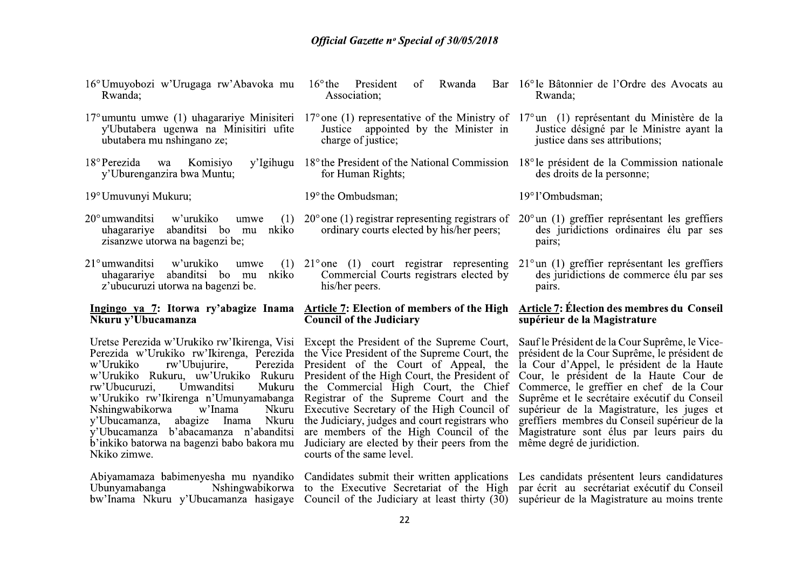|                                                                                                                                                                                                       | <b>Official Gazette nº Special of 30/05/2018</b>                                                                                                                                                                                                                                                                                                                                                                                                                                                                                                                                                                                                                                                                                                                                                                                                                                                                                                                                                                                                                                                                                             |                                                                                   |
|-------------------------------------------------------------------------------------------------------------------------------------------------------------------------------------------------------|----------------------------------------------------------------------------------------------------------------------------------------------------------------------------------------------------------------------------------------------------------------------------------------------------------------------------------------------------------------------------------------------------------------------------------------------------------------------------------------------------------------------------------------------------------------------------------------------------------------------------------------------------------------------------------------------------------------------------------------------------------------------------------------------------------------------------------------------------------------------------------------------------------------------------------------------------------------------------------------------------------------------------------------------------------------------------------------------------------------------------------------------|-----------------------------------------------------------------------------------|
| 16° Umuyobozi w'Urugaga rw'Abavoka mu<br>Rwanda;                                                                                                                                                      | $16^{\circ}$ the President<br>Rwanda<br>of<br>Association;                                                                                                                                                                                                                                                                                                                                                                                                                                                                                                                                                                                                                                                                                                                                                                                                                                                                                                                                                                                                                                                                                   | Bar 16° le Bâtonnier de l'Ordre des Avocats au<br>Rwanda;                         |
| y'Ubutabera ugenwa na Minisitiri ufite<br>ubutabera mu nshingano ze;                                                                                                                                  | 17° umuntu umwe (1) uhagarariye Minisiteri 17° one (1) representative of the Ministry of 17° un (1) représentant du Ministère de la<br>Justice appointed by the Minister in<br>charge of justice;                                                                                                                                                                                                                                                                                                                                                                                                                                                                                                                                                                                                                                                                                                                                                                                                                                                                                                                                            | Justice désigné par le Ministre ayant la<br>justice dans ses attributions;        |
| 18° Perezida wa Komisiyo<br>y'Uburenganzira bwa Muntu;                                                                                                                                                | y'Igihugu 18° the President of the National Commission 18° le président de la Commission nationale<br>for Human Rights;                                                                                                                                                                                                                                                                                                                                                                                                                                                                                                                                                                                                                                                                                                                                                                                                                                                                                                                                                                                                                      | des droits de la personne;                                                        |
| 19° Umuvunyi Mukuru;                                                                                                                                                                                  | 19° the Ombudsman;                                                                                                                                                                                                                                                                                                                                                                                                                                                                                                                                                                                                                                                                                                                                                                                                                                                                                                                                                                                                                                                                                                                           | 19°1'Ombudsman;                                                                   |
| $20^{\circ}$ umwanditsi<br>w'urukiko<br>umwe<br>uhagarariye abanditsi bo mu nkiko<br>zisanzwe utorwa na bagenzi be;                                                                                   | (1) $20^{\circ}$ one (1) registrar representing registrars of $20^{\circ}$ un (1) greffier représentant les greffiers<br>ordinary courts elected by his/her peers;                                                                                                                                                                                                                                                                                                                                                                                                                                                                                                                                                                                                                                                                                                                                                                                                                                                                                                                                                                           | des juridictions ordinaires élu par ses<br>pairs;                                 |
| $21^{\circ}$ umwanditsi<br>w'urukiko<br>umwe<br>uhagarariye abanditsi bo mu nkiko<br>z'ubucuruzi utorwa na bagenzi be.                                                                                | (1) $21^{\circ}$ one (1) court registrar representing $21^{\circ}$ un (1) greffier représentant les greffiers<br>Commercial Courts registrars elected by<br>his/her peers.                                                                                                                                                                                                                                                                                                                                                                                                                                                                                                                                                                                                                                                                                                                                                                                                                                                                                                                                                                   | des juridictions de commerce élu par ses<br>pairs.                                |
| Nkuru y'Ubucamanza                                                                                                                                                                                    | Ingingo ya 7: Itorwa ry'abagize Inama Article 7: Election of members of the High<br><b>Council of the Judiciary</b>                                                                                                                                                                                                                                                                                                                                                                                                                                                                                                                                                                                                                                                                                                                                                                                                                                                                                                                                                                                                                          | <b>Article 7: Élection des membres du Conseil</b><br>supérieur de la Magistrature |
| rw'Ubucuruzi,<br>Umwanditsi<br>w'Inama<br>Nshingwabikorwa<br>y'Ubucamanza, abagize Inama Nkuru<br>y'Ubucamanza b'abacamanza n'abanditsi<br>b'inkiko batorwa na bagenzi babo bakora mu<br>Nkiko zimwe. | Uretse Perezida w'Urukiko rw'Ikirenga, Visi Except the President of the Supreme Court, Sauf le Président de la Cour Suprême, le Vice-<br>Perezida w'Urukiko rw'Ikirenga, Perezida the Vice President of the Supreme Court, the président de la Cour Suprême, le président de<br>w'Urukiko rw'Ubujurire, Perezida President of the Court of Appeal, the la Cour d'Appel, le président de la Haute<br>w'Urukiko Rukuru, uw'Urukiko Rukuru President of the High Court, the President of Cour, le président de la Haute Cour de<br>Mukuru the Commercial High Court, the Chief Commerce, le greffier en chef de la Cour<br>w'Urukiko rw'Ikirenga n'Umunyamabanga Registrar of the Supreme Court and the Suprême et le secrétaire exécutif du Conseil<br>Nkuru Executive Secretary of the High Council of supérieur de la Magistrature, les juges et<br>the Judiciary, judges and court registrars who greffiers membres du Conseil supérieur de la<br>are members of the High Council of the Magistrature sont élus par leurs pairs du<br>Judiciary are elected by their peers from the même degré de juridiction.<br>courts of the same level. |                                                                                   |
| Nshingwabikorwa<br>Ubunyamabanga                                                                                                                                                                      | Abiyamamaza babimenyesha mu nyandiko Candidates submit their written applications Les candidats présentent leurs candidatures<br>to the Executive Secretariat of the High par écrit au secrétariat exécutif du Conseil<br>bw'Inama Nkuru y'Ubucamanza hasigaye Council of the Judiciary at least thirty (30) supérieur de la Magistrature au moins trente                                                                                                                                                                                                                                                                                                                                                                                                                                                                                                                                                                                                                                                                                                                                                                                    |                                                                                   |
|                                                                                                                                                                                                       | 22                                                                                                                                                                                                                                                                                                                                                                                                                                                                                                                                                                                                                                                                                                                                                                                                                                                                                                                                                                                                                                                                                                                                           |                                                                                   |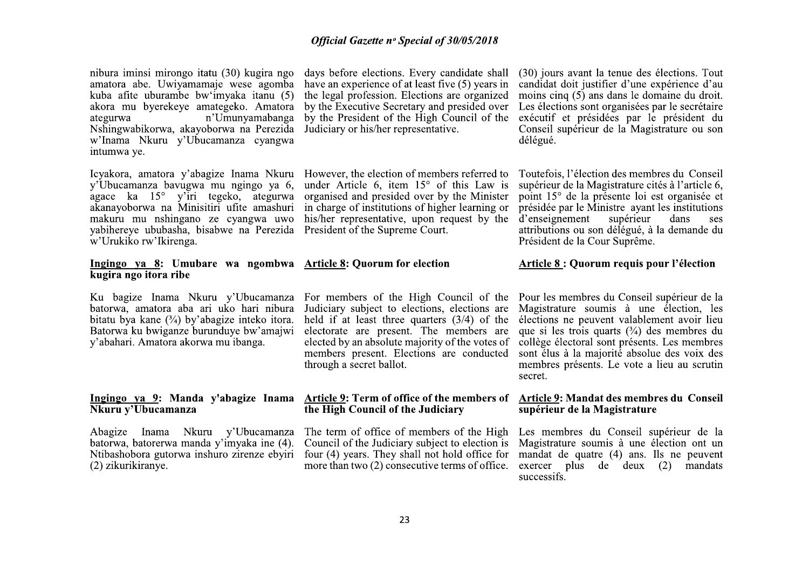| nibura iminsi mirongo itatu (30) kugira ngo<br>amatora abe. Uwiyamamaje wese agomba<br>kuba afite uburambe bw'imyaka itanu (5)<br>akora mu byerekeye amategeko. Amatora<br>n'Umunyamabanga<br>ategurwa<br>Nshingwabikorwa, akayoborwa na Perezida<br>w'Inama Nkuru y'Ubucamanza cyangwa<br>intumwa ye. | days before elections. Every candidate shall<br>have an experience of at least five (5) years in<br>the legal profession. Elections are organized<br>by the Executive Secretary and presided over<br>by the President of the High Council of the<br>Judiciary or his/her representative.                        | (30) jours avant la tenue des élections. Tout<br>candidat doit justifier d'une expérience d'au<br>moins cinq (5) ans dans le domaine du droit.<br>Les élections sont organisées par le secrétaire<br>exécutif et présidées par le président du<br>Conseil supérieur de la Magistrature ou son<br>délégué.                                                 |
|--------------------------------------------------------------------------------------------------------------------------------------------------------------------------------------------------------------------------------------------------------------------------------------------------------|-----------------------------------------------------------------------------------------------------------------------------------------------------------------------------------------------------------------------------------------------------------------------------------------------------------------|-----------------------------------------------------------------------------------------------------------------------------------------------------------------------------------------------------------------------------------------------------------------------------------------------------------------------------------------------------------|
| Icyakora, amatora y'abagize Inama Nkuru<br>y'Ubucamanza bavugwa mu ngingo ya 6,<br>agace ka 15° y'iri tegeko, ategurwa<br>akanayoborwa na Minisitiri ufite amashuri<br>makuru mu nshingano ze cyangwa uwo<br>yabihereye ububasha, bisabwe na Perezida<br>w'Urukiko rw'Ikirenga.                        | However, the election of members referred to<br>under Article 6, item $15^{\circ}$ of this Law is<br>organised and presided over by the Minister<br>in charge of institutions of higher learning or<br>his/her representative, upon request by the<br>President of the Supreme Court.                           | Toutefois, l'élection des membres du Conseil<br>supérieur de la Magistrature cités à l'article 6,<br>point 15° de la présente loi est organisée et<br>présidée par le Ministre ayant les institutions<br>d'enseignement<br>supérieur<br>dans<br>ses<br>attributions ou son délégué, à la demande du<br>Président de la Cour Suprême.                      |
| Ingingo ya 8: Umubare wa ngombwa Article 8: Quorum for election<br>kugira ngo itora ribe                                                                                                                                                                                                               |                                                                                                                                                                                                                                                                                                                 | <b>Article 8: Quorum requis pour l'élection</b>                                                                                                                                                                                                                                                                                                           |
|                                                                                                                                                                                                                                                                                                        |                                                                                                                                                                                                                                                                                                                 |                                                                                                                                                                                                                                                                                                                                                           |
| Ku bagize Inama Nkuru y'Ubucamanza<br>batorwa, amatora aba ari uko hari nibura<br>bitatu bya kane $(3/4)$ by abagize inteko itora.<br>Batorwa ku bwiganze burunduye bw'amajwi<br>y'abahari. Amatora akorwa mu ibanga.                                                                                  | For members of the High Council of the<br>Judiciary subject to elections, elections are<br>held if at least three quarters $(3/4)$ of the<br>electorate are present. The members are<br>elected by an absolute majority of the votes of<br>members present. Elections are conducted<br>through a secret ballot. | Pour les membres du Conseil supérieur de la<br>Magistrature soumis à une élection, les<br>élections ne peuvent valablement avoir lieu<br>que si les trois quarts $(\frac{3}{4})$ des membres du<br>collège électoral sont présents. Les membres<br>sont élus à la majorité absolue des voix des<br>membres présents. Le vote a lieu au scrutin<br>secret. |
| Ingingo ya 9: Manda y'abagize Inama<br>Nkuru y'Ubucamanza                                                                                                                                                                                                                                              | Article 9: Term of office of the members of<br>the High Council of the Judiciary                                                                                                                                                                                                                                | Article 9: Mandat des membres du Conseil<br>supérieur de la Magistrature                                                                                                                                                                                                                                                                                  |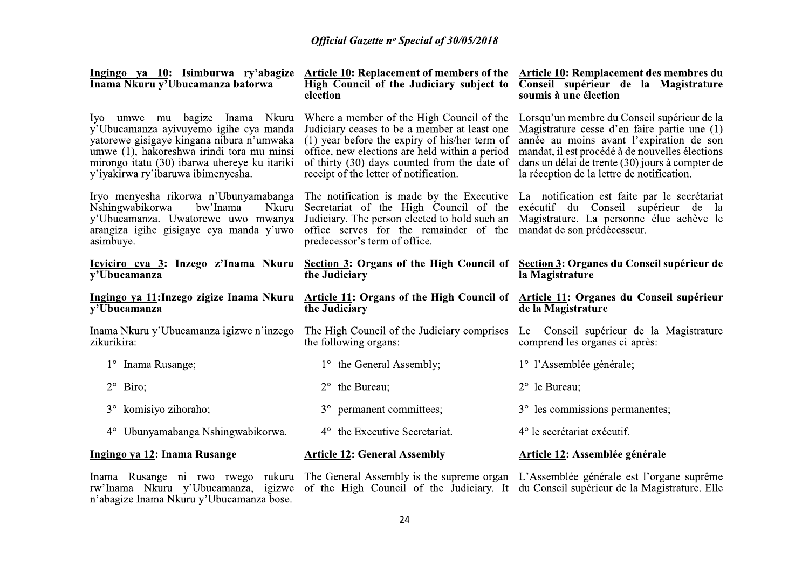| <u>Ingingo ya 10</u> : Isimburwa ry'abagize<br>Inama Nkuru y'Ubucamanza batorwa                                                                                                                                                                          | Article 10: Replacement of members of the<br>High Council of the Judiciary subject to<br>election                                                                                                                                                                                        | Article 10: Remplacement des membres du<br>Conseil supérieur de la Magistrature<br>soumis à une élection                                                                                                                                                                                    |  |  |
|----------------------------------------------------------------------------------------------------------------------------------------------------------------------------------------------------------------------------------------------------------|------------------------------------------------------------------------------------------------------------------------------------------------------------------------------------------------------------------------------------------------------------------------------------------|---------------------------------------------------------------------------------------------------------------------------------------------------------------------------------------------------------------------------------------------------------------------------------------------|--|--|
| Iyo umwe mu bagize Inama Nkuru<br>y'Ubucamanza ayivuyemo igihe cya manda<br>yatorewe gisigaye kingana nibura n'umwaka<br>umwe (1), hakoreshwa irindi tora mu minsi<br>mirongo itatu (30) ibarwa uhereye ku itariki<br>y'iyakirwa ry'ibaruwa ibimenyesha. | Where a member of the High Council of the<br>Judiciary ceases to be a member at least one<br>$(1)$ year before the expiry of his/her term of<br>office, new elections are held within a period<br>of thirty (30) days counted from the date of<br>receipt of the letter of notification. | Lorsqu'un membre du Conseil supérieur de la<br>Magistrature cesse d'en faire partie une (1)<br>année au moins avant l'expiration de son<br>mandat, il est procédé à de nouvelles élections<br>dans un délai de trente (30) jours à compter de<br>la réception de la lettre de notification. |  |  |
| Iryo menyesha rikorwa n'Ubunyamabanga<br>Nshingwabikorwa<br>bw'Inama<br>Nkuru<br>y'Ubucamanza. Uwatorewe uwo mwanya<br>arangiza igihe gisigaye cya manda y'uwo<br>asimbuye.                                                                              | The notification is made by the Executive<br>Secretariat of the High Council of the<br>Judiciary. The person elected to hold such an<br>office serves for the remainder of the<br>predecessor's term of office.                                                                          | La notification est faite par le secrétariat<br>exécutif du Conseil supérieur de la<br>Magistrature. La personne élue achève le<br>mandat de son prédécesseur.                                                                                                                              |  |  |
| $\overline{v'U}$ bucamanza                                                                                                                                                                                                                               | Icyiciro cya 3: Inzego z'Inama Nkuru Section 3: Organs of the High Council of Section 3: Organes du Conseil supérieur de<br>the Judiciary                                                                                                                                                | la Magistrature                                                                                                                                                                                                                                                                             |  |  |
|                                                                                                                                                                                                                                                          |                                                                                                                                                                                                                                                                                          |                                                                                                                                                                                                                                                                                             |  |  |
| Ingingo ya 11: Inzego zigize Inama Nkuru<br>$\overline{v'U}$ bucamanza                                                                                                                                                                                   | <b>Article 11: Organs of the High Council of</b><br>the Judiciary                                                                                                                                                                                                                        | Article 11: Organes du Conseil supérieur<br>de la Magistrature                                                                                                                                                                                                                              |  |  |
| Inama Nkuru y'Ubucamanza igizwe n'inzego<br>zikurikira:                                                                                                                                                                                                  | The High Council of the Judiciary comprises<br>the following organs:                                                                                                                                                                                                                     | Le Conseil supérieur de la Magistrature<br>comprend les organes ci-après:                                                                                                                                                                                                                   |  |  |
| 1° Inama Rusange;                                                                                                                                                                                                                                        | 1° the General Assembly;                                                                                                                                                                                                                                                                 | 1° l'Assemblée générale;                                                                                                                                                                                                                                                                    |  |  |
| $2^{\circ}$ Biro;                                                                                                                                                                                                                                        | the Bureau;<br>$2^{\circ}$                                                                                                                                                                                                                                                               | 2° le Bureau;                                                                                                                                                                                                                                                                               |  |  |
| 3° komisiyo zihoraho;                                                                                                                                                                                                                                    | 3° permanent committees;                                                                                                                                                                                                                                                                 | 3° les commissions permanentes;                                                                                                                                                                                                                                                             |  |  |
| 4° Ubunyamabanga Nshingwabikorwa.                                                                                                                                                                                                                        | 4° the Executive Secretariat.                                                                                                                                                                                                                                                            | 4° le secrétariat exécutif.                                                                                                                                                                                                                                                                 |  |  |
| Ingingo ya 12: Inama Rusange                                                                                                                                                                                                                             | <b>Article 12: General Assembly</b>                                                                                                                                                                                                                                                      | <b>Article 12: Assemblée générale</b>                                                                                                                                                                                                                                                       |  |  |

Inama Rusange ni rwo rwego rukuru The General Assembly is the supreme organ L'Assemblée générale est l'organe suprême rw'Inama Nkuru y'Ubucamanza, igizwe of the High Council of the Judiciary. It du Conseil supérieur de la

24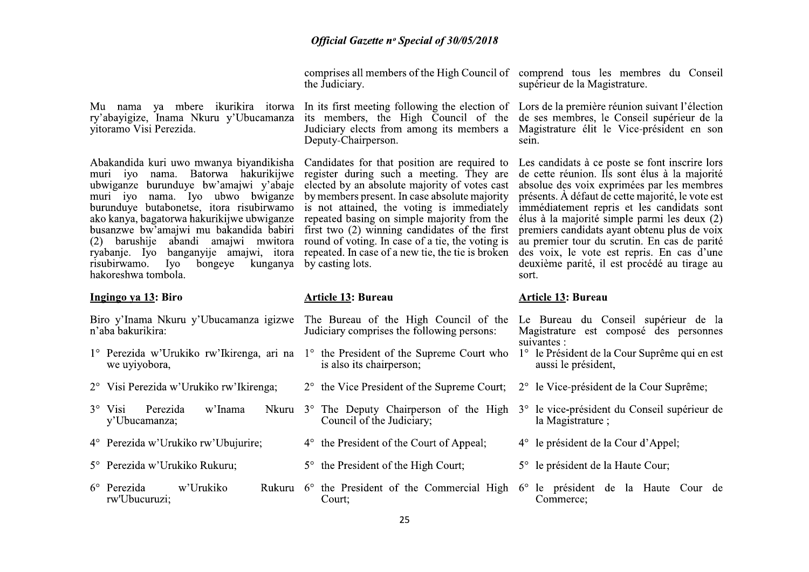|                                                                                                                                                                                                                                                                                                                                                                                                                                                            | the Judiciary.                                                                                                                                                                                                                                                                                                                                                                                                                                                        | comprises all members of the High Council of comprend tous les membres du Conseil<br>supérieur de la Magistrature.                                                                                                                                                                                                                                                                                                                                                                                      |  |
|------------------------------------------------------------------------------------------------------------------------------------------------------------------------------------------------------------------------------------------------------------------------------------------------------------------------------------------------------------------------------------------------------------------------------------------------------------|-----------------------------------------------------------------------------------------------------------------------------------------------------------------------------------------------------------------------------------------------------------------------------------------------------------------------------------------------------------------------------------------------------------------------------------------------------------------------|---------------------------------------------------------------------------------------------------------------------------------------------------------------------------------------------------------------------------------------------------------------------------------------------------------------------------------------------------------------------------------------------------------------------------------------------------------------------------------------------------------|--|
| vitoramo Visi Perezida.                                                                                                                                                                                                                                                                                                                                                                                                                                    | Mu nama ya mbere ikurikira itorwa In its first meeting following the election of Lors de la première réunion suivant l'élection<br>ry'abayigize, Inama Nkuru y'Ubucamanza its members, the High Council of the<br>Judiciary elects from among its members a<br>Deputy-Chairperson.                                                                                                                                                                                    | de ses membres, le Conseil supérieur de la<br>Magistrature élit le Vice-président en son<br>sein.                                                                                                                                                                                                                                                                                                                                                                                                       |  |
| Abakandida kuri uwo mwanya biyandikisha<br>muri iyo nama. Batorwa hakurikijwe<br>ubwiganze burunduye bw'amajwi y'abaje<br>muri iyo nama. Iyo ubwo bwiganze<br>burunduye butabonetse, itora risubirwamo<br>ako kanya, bagatorwa hakurikijwe ubwiganze<br>busanzwe bw'amajwi mu bakandida babiri<br>abandi amajwi mwitora<br>barushije<br>(2)<br>ryabanje. Iyo banganyije amajwi, itora<br>risubirwamo.<br>bongeye<br>kunganya<br>Iyo<br>hakoreshwa tombola. | Candidates for that position are required to<br>register during such a meeting. They are<br>elected by an absolute majority of votes cast<br>by members present. In case absolute majority<br>is not attained, the voting is immediately<br>repeated basing on simple majority from the<br>first two (2) winning candidates of the first<br>round of voting. In case of a tie, the voting is<br>repeated. In case of a new tie, the tie is broken<br>by casting lots. | Les candidats à ce poste se font inscrire lors<br>de cette réunion. Ils sont élus à la majorité<br>absolue des voix exprimées par les membres<br>présents. À défaut de cette majorité, le vote est<br>immédiatement repris et les candidats sont<br>élus à la majorité simple parmi les deux (2)<br>premiers candidats ayant obtenu plus de voix<br>au premier tour du scrutin. En cas de parité<br>des voix, le vote est repris. En cas d'une<br>deuxième parité, il est procédé au tirage au<br>sort. |  |
|                                                                                                                                                                                                                                                                                                                                                                                                                                                            |                                                                                                                                                                                                                                                                                                                                                                                                                                                                       |                                                                                                                                                                                                                                                                                                                                                                                                                                                                                                         |  |
| Ingingo ya 13: Biro                                                                                                                                                                                                                                                                                                                                                                                                                                        | <b>Article 13: Bureau</b>                                                                                                                                                                                                                                                                                                                                                                                                                                             | <b>Article 13: Bureau</b>                                                                                                                                                                                                                                                                                                                                                                                                                                                                               |  |
| Biro y'Inama Nkuru y'Ubucamanza igizwe<br>n'aba bakurikira:                                                                                                                                                                                                                                                                                                                                                                                                | The Bureau of the High Council of the<br>Judiciary comprises the following persons:                                                                                                                                                                                                                                                                                                                                                                                   | Le Bureau du Conseil supérieur de la<br>Magistrature est composé des personnes                                                                                                                                                                                                                                                                                                                                                                                                                          |  |
| we uyiyobora,                                                                                                                                                                                                                                                                                                                                                                                                                                              | 1° Perezida w'Urukiko rw'Ikirenga, ari na 1° the President of the Supreme Court who<br>is also its chairperson;                                                                                                                                                                                                                                                                                                                                                       | suivantes :<br>1 <sup>°</sup> le Président de la Cour Suprême qui en est<br>aussi le président,                                                                                                                                                                                                                                                                                                                                                                                                         |  |
| 2° Visi Perezida w'Urukiko rw'Ikirenga;                                                                                                                                                                                                                                                                                                                                                                                                                    | $2^{\circ}$ the Vice President of the Supreme Court;                                                                                                                                                                                                                                                                                                                                                                                                                  | 2° le Vice-président de la Cour Suprême;                                                                                                                                                                                                                                                                                                                                                                                                                                                                |  |
| Perezida<br>w'Inama<br>$3^\circ$ Visi<br>y'Ubucamanza;                                                                                                                                                                                                                                                                                                                                                                                                     | Nkuru 3° The Deputy Chairperson of the High<br>Council of the Judiciary;                                                                                                                                                                                                                                                                                                                                                                                              | 3° le vice-président du Conseil supérieur de<br>la Magistrature;                                                                                                                                                                                                                                                                                                                                                                                                                                        |  |
| 4° Perezida w'Urukiko rw'Ubujurire;                                                                                                                                                                                                                                                                                                                                                                                                                        | 4° the President of the Court of Appeal;                                                                                                                                                                                                                                                                                                                                                                                                                              | 4° le président de la Cour d'Appel;                                                                                                                                                                                                                                                                                                                                                                                                                                                                     |  |
| 5° Perezida w'Urukiko Rukuru;                                                                                                                                                                                                                                                                                                                                                                                                                              | 5° the President of the High Court;                                                                                                                                                                                                                                                                                                                                                                                                                                   | 5° le président de la Haute Cour;                                                                                                                                                                                                                                                                                                                                                                                                                                                                       |  |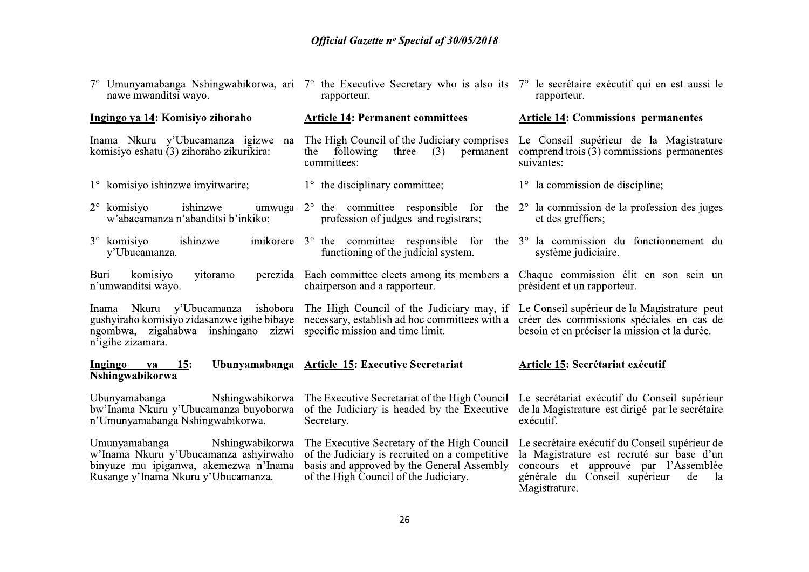| nawe mwanditsi wayo.                                                                                                                                      | 7° Umunyamabanga Nshingwabikorwa, ari 7° the Executive Secretary who is also its 7° le secrétaire exécutif qui en est aussi le<br>rapporteur.                                                                                                                                                                    | rapporteur.                                                                                                                                                                                       |
|-----------------------------------------------------------------------------------------------------------------------------------------------------------|------------------------------------------------------------------------------------------------------------------------------------------------------------------------------------------------------------------------------------------------------------------------------------------------------------------|---------------------------------------------------------------------------------------------------------------------------------------------------------------------------------------------------|
| Ingingo ya 14: Komisiyo zihoraho                                                                                                                          | <b>Article 14: Permanent committees</b>                                                                                                                                                                                                                                                                          | <b>Article 14: Commissions permanentes</b>                                                                                                                                                        |
| Inama Nkuru y'Ubucamanza igizwe na<br>komisiyo eshatu (3) zihoraho zikurikira:                                                                            | The High Council of the Judiciary comprises<br>three<br>following<br>(3)<br>permanent<br>the<br>committees:                                                                                                                                                                                                      | Le Conseil supérieur de la Magistrature<br>comprend trois (3) commissions permanentes<br>suivantes:                                                                                               |
| 1° komisiyo ishinzwe imyitwarire;                                                                                                                         | $1^{\circ}$ the disciplinary committee;                                                                                                                                                                                                                                                                          | $1^{\circ}$ la commission de discipline;                                                                                                                                                          |
| ishinzwe<br>$2^{\circ}$ komisiyo<br>w'abacamanza n'abanditsi b'inkiko;                                                                                    | umwuga $2^{\circ}$ the committee responsible for the $2^{\circ}$ la commission de la profession des juges<br>profession of judges and registrars;                                                                                                                                                                | et des greffiers;                                                                                                                                                                                 |
| ishinzwe<br>$3^\circ$ komisiyo<br>y'Ubucamanza.                                                                                                           | imikorere $3^{\circ}$ the committee responsible for the $3^{\circ}$ la commission du fonction nemeterature<br>functioning of the judicial system.                                                                                                                                                                | système judiciaire.                                                                                                                                                                               |
| komisiyo<br>yitoramo<br>Buri<br>n'umwanditsi wayo.                                                                                                        | perezida Each committee elects among its members a Chaque commission élit en son sein un<br>chairperson and a rapporteur.                                                                                                                                                                                        | président et un rapporteur.                                                                                                                                                                       |
| ngombwa, zigahabwa inshingano zizwi specific mission and time limit.<br>n'igihe zizamara.                                                                 | Inama Nkuru y'Ubucamanza ishobora The High Council of the Judiciary may, if Le Conseil supérieur de la Magistrature peut<br>gushyiraho komisiyo zidasanzwe igihe bibaye necessary, establish ad hoc committees with a créer des commissions spéciales en cas de<br>besoin et en préciser la mission et la durée. |                                                                                                                                                                                                   |
| Ingingo<br>15:<br>ya<br>Nshingwabikorwa                                                                                                                   | Ubunyamabanga Article 15: Executive Secretariat                                                                                                                                                                                                                                                                  | Article 15: Secrétariat exécutif                                                                                                                                                                  |
| Ubunyamabanga<br>Nshingwabikorwa<br>bw'Inama Nkuru y'Ubucamanza buyoborwa<br>n'Umunyamabanga Nshingwabikorwa.                                             | The Executive Secretariat of the High Council<br>of the Judiciary is headed by the Executive<br>Secretary.                                                                                                                                                                                                       | Le secrétariat exécutif du Conseil supérieur<br>de la Magistrature est dirigé par le secrétaire<br>exécutif.                                                                                      |
| Umunyamabanga<br>Nshingwabikorwa<br>w'Inama Nkuru y'Ubucamanza ashyirwaho<br>binyuze mu ipiganwa, akemezwa n'Inama<br>Rusange y'Inama Nkuru y'Ubucamanza. | The Executive Secretary of the High Council<br>of the Judiciary is recruited on a competitive<br>basis and approved by the General Assembly<br>of the High Council of the Judiciary.                                                                                                                             | Le secrétaire exécutif du Conseil supérieur de<br>la Magistrature est recruté sur base d'un<br>concours et approuvé par l'Assemblée<br>générale du Conseil supérieur<br>de<br>la<br>Magistrature. |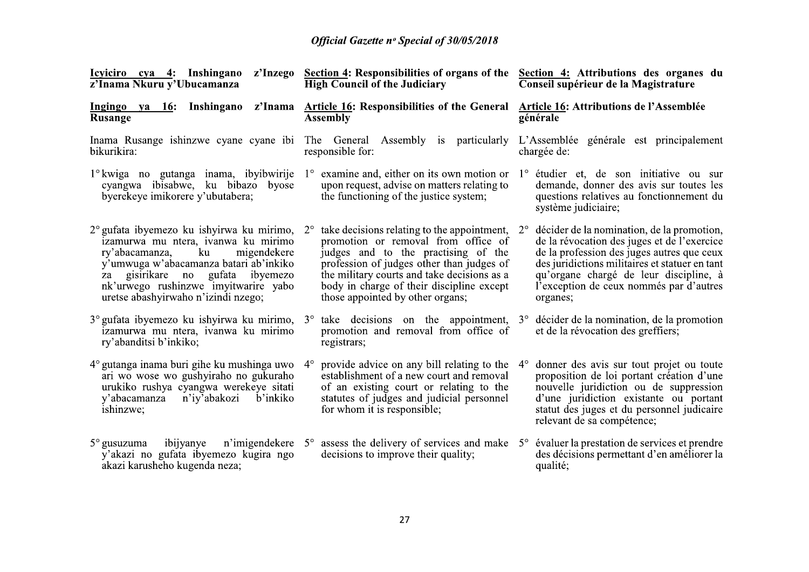| z'Inama Nkuru y'Ubucamanza                                                                                                                                                                                                                                                                 | Icyliciro cya 4: Inshingano z'Inzego Section 4: Responsibilities of organs of the<br><b>High Council of the Judiciary</b>                                                                                                                                                                                             | Section 4: Attributions des organes du<br>Conseil supérieur de la Magistrature                                                                                                                                                                                                                            |  |
|--------------------------------------------------------------------------------------------------------------------------------------------------------------------------------------------------------------------------------------------------------------------------------------------|-----------------------------------------------------------------------------------------------------------------------------------------------------------------------------------------------------------------------------------------------------------------------------------------------------------------------|-----------------------------------------------------------------------------------------------------------------------------------------------------------------------------------------------------------------------------------------------------------------------------------------------------------|--|
| z'Inama<br>Ingingo ya 16: Inshingano<br><b>Rusange</b>                                                                                                                                                                                                                                     | <b>Article 16: Responsibilities of the General</b><br><b>Assembly</b>                                                                                                                                                                                                                                                 | Article 16: Attributions de l'Assemblée<br>générale                                                                                                                                                                                                                                                       |  |
| bikurikira:                                                                                                                                                                                                                                                                                | Inama Rusange ishinzwe cyane cyane ibi The General Assembly is particularly L'Assemblée générale est principalement<br>responsible for:                                                                                                                                                                               | chargée de:                                                                                                                                                                                                                                                                                               |  |
| cyangwa ibisabwe, ku bibazo byose<br>byerekeye imikorere y'ubutabera;                                                                                                                                                                                                                      | $1^{\circ}$ kwiga no gutanga inama, ibyibwirije $1^{\circ}$ examine and, either on its own motion or<br>upon request, advise on matters relating to<br>the functioning of the justice system;                                                                                                                         | $1^\circ$ étudier et, de son initiative ou sur<br>demande, donner des avis sur toutes les<br>questions relatives au fonctionnement du<br>système judiciaire;                                                                                                                                              |  |
| 2° gufata ibyemezo ku ishyirwa ku mirimo,<br>izamurwa mu ntera, ivanwa ku mirimo<br>ku<br>ry'abacamanza,<br>migendekere<br>y'umwuga w'abacamanza batari ab'inkiko<br>gisirikare no gufata<br>ibyemezo<br>za<br>nk'urwego rushinzwe imyitwarire yabo<br>uretse abashyirwaho n'izindi nzego; | take decisions relating to the appointment,<br>$2^{\circ}$<br>promotion or removal from office of<br>judges and to the practising of the<br>profession of judges other than judges of<br>the military courts and take decisions as a<br>body in charge of their discipline except<br>those appointed by other organs; | décider de la nomination, de la promotion,<br>$2^{\circ}$<br>de la révocation des juges et de l'exercice<br>de la profession des juges autres que ceux<br>des juridictions militaires et statuer en tant<br>qu'organe chargé de leur discipline, à<br>l'exception de ceux nommés par d'autres<br>organes; |  |
| izamurwa mu ntera, ivanwa ku mirimo<br>ry'abanditsi b'inkiko;                                                                                                                                                                                                                              | $3^{\circ}$ gufata ibyemezo ku ishyirwa ku mirimo, $3^{\circ}$ take decisions on the appointment,<br>promotion and removal from office of<br>registrars;                                                                                                                                                              | 3° décider de la nomination, de la promotion<br>et de la révocation des greffiers;                                                                                                                                                                                                                        |  |
| $4^{\circ}$ gutanga inama buri gihe ku mushinga uwo<br>ari wo wose wo gushyiraho no gukuraho<br>urukiko rushya cyangwa werekeye sitati<br>y'abacamanza<br>n'iy'abakozi<br>b'inkiko<br>ishinzwe;                                                                                            | provide advice on any bill relating to the<br>$4^\circ$<br>establishment of a new court and removal<br>of an existing court or relating to the<br>statutes of judges and judicial personnel<br>for whom it is responsible;                                                                                            | donner des avis sur tout projet ou toute<br>$4^\circ$<br>proposition de loi portant création d'une<br>nouvelle juridiction ou de suppression<br>d'une juridiction existante ou portant<br>statut des juges et du personnel judicaire<br>relevant de sa compétence;                                        |  |
| ibijyanye<br>$5^\circ$ gusuzuma<br>y'akazi no gufata ibyemezo kugira ngo<br>akazi karusheho kugenda neza;                                                                                                                                                                                  | n'imigendekere $5^{\circ}$ assess the delivery of services and make $5^{\circ}$<br>decisions to improve their quality;                                                                                                                                                                                                | évaluer la prestation de services et prendre<br>des décisions permettant d'en améliorer la<br>qualité;                                                                                                                                                                                                    |  |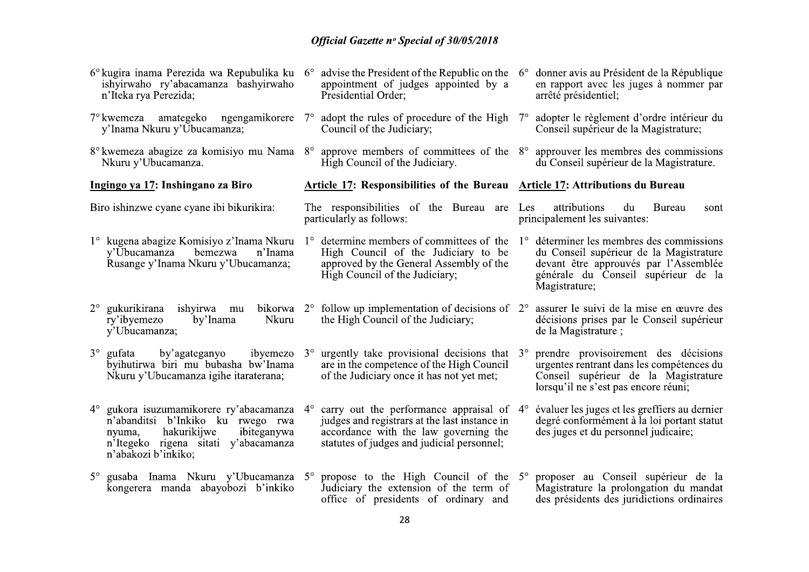| 6° kugira inama Perezida wa Repubulika ku 6°<br>ishyirwaho ry'abacamanza bashyirwaho<br>n'Iteka rya Perezida;                                                                                   | advise the President of the Republic on the $6^{\circ}$<br>appointment of judges appointed by a<br>Presidential Order:                                                                                  | donner avis au Président de la République<br>en rapport avec les juges à nommer par<br>arrêté présidentiel;                                                                                       |  |  |
|-------------------------------------------------------------------------------------------------------------------------------------------------------------------------------------------------|---------------------------------------------------------------------------------------------------------------------------------------------------------------------------------------------------------|---------------------------------------------------------------------------------------------------------------------------------------------------------------------------------------------------|--|--|
| 7° kwemeza amategeko ngengamikorere<br>y'Inama Nkuru y'Ubucamanza;                                                                                                                              | adopt the rules of procedure of the High<br>$7^\circ$<br>Council of the Judiciary;                                                                                                                      | adopter le règlement d'ordre intérieur du<br>$7^\circ$<br>Conseil supérieur de la Magistrature;                                                                                                   |  |  |
| Nkuru y'Ubucamanza.                                                                                                                                                                             | 8° kwemeza abagize za komisiyo mu Nama 8° approve members of committees of the 8°<br>High Council of the Judiciary.                                                                                     | approuver les membres des commissions<br>du Conseil supérieur de la Magistrature.                                                                                                                 |  |  |
| Ingingo ya 17: Inshingano za Biro                                                                                                                                                               | <b>Article 17: Responsibilities of the Bureau Article 17: Attributions du Bureau</b>                                                                                                                    |                                                                                                                                                                                                   |  |  |
| Biro ishinzwe cyane cyane ibi bikurikira:                                                                                                                                                       | The responsibilities of the Bureau are<br>particularly as follows:                                                                                                                                      | attributions<br><b>Bureau</b><br>Les<br>du<br>sont<br>principalement les suivantes:                                                                                                               |  |  |
| bemezwa<br>n'Inama<br>y'Ubucamanza<br>Rusange y'Inama Nkuru y'Ubucamanza;                                                                                                                       | 1° kugena abagize Komisiyo z'Inama Nkuru 1° determine members of committees of the<br>High Council of the Judiciary to be<br>approved by the General Assembly of the<br>High Council of the Judiciary;  | déterminer les membres des commissions<br>$1^{\circ}$<br>du Conseil supérieur de la Magistrature<br>devant être approuvés par l'Assemblée<br>générale du Conseil supérieur de la<br>Magistrature; |  |  |
| gukurikirana<br>$2^{\circ}$<br>ishyirwa mu<br>ry'ibyemezo<br>by'Inama<br>Nkuru<br>y'Ubucamanza;                                                                                                 | bikorwa $2^{\circ}$ follow up implementation of decisions of $2^{\circ}$<br>the High Council of the Judiciary;                                                                                          | assurer le suivi de la mise en œuvre des<br>décisions prises par le Conseil supérieur<br>de la Magistrature;                                                                                      |  |  |
| $3^\circ$ gufata<br>by'agateganyo<br>ibyemezo<br>byihutirwa biri mu bubasha bw'Inama<br>Nkuru y'Ubucamanza igihe itaraterana;                                                                   | urgently take provisional decisions that $3^\circ$<br>$3^\circ$<br>are in the competence of the High Council<br>of the Judiciary once it has not yet met;                                               | prendre provisoirement des décisions<br>urgentes rentrant dans les compétences du<br>Conseil supérieur de la Magistrature<br>lorsqu'il ne s'est pas encore réuni;                                 |  |  |
| gukora isuzumamikorere ry'abacamanza<br>$4^{\circ}$<br>n'abanditsi b'Inkiko ku rwego rwa<br>hakurikijwe<br>ibiteganywa<br>nyuma,<br>n'Itegeko rigena sitati y'abacamanza<br>n'abakozi b'inkiko; | carry out the performance appraisal of $4^{\circ}$<br>$4^\circ$<br>judges and registrars at the last instance in<br>accordance with the law governing the<br>statutes of judges and judicial personnel; | évaluer les juges et les greffiers au dernier<br>degré conformément à la loi portant statut<br>des juges et du personnel judicaire;                                                               |  |  |
| gusaba Inama Nkuru y'Ubucamanza 5°<br>$5^\circ$<br>kongerera manda abayobozi b'inkiko                                                                                                           | propose to the High Council of the 5°<br>Judiciary the extension of the term of<br>office of presidents of ordinary and                                                                                 | proposer au Conseil supérieur de la<br>Magistrature la prolongation du mandat<br>des présidents des juridictions ordinaires                                                                       |  |  |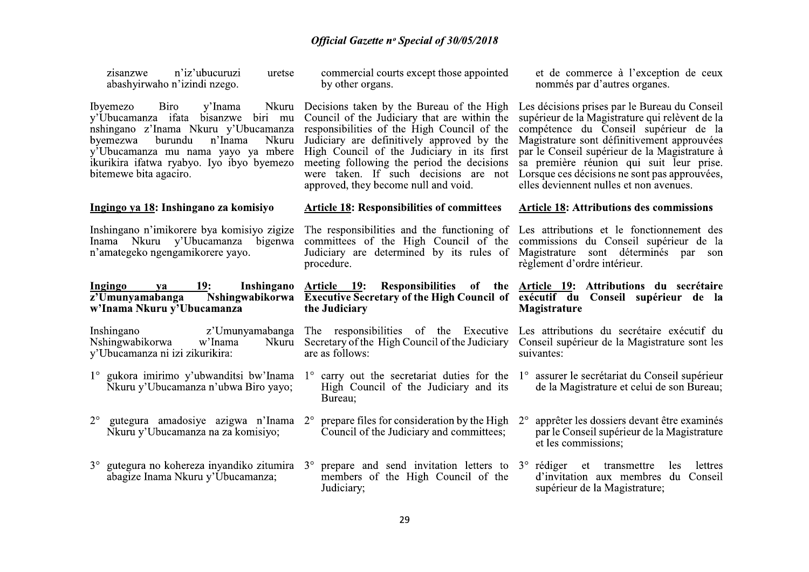| n'iz'ubucuruzi<br>zisanzwe<br>uretse<br>abashyirwaho n'izindi nzego.                                                                                                                                                                                                               | commercial courts except those appointed<br>by other organs.                                                                                                                                                                                                                                                                                                        | et de commerce à l'exception de ceux<br>nommés par d'autres organes.                                                                                                                                                                                                                                                                                                              |
|------------------------------------------------------------------------------------------------------------------------------------------------------------------------------------------------------------------------------------------------------------------------------------|---------------------------------------------------------------------------------------------------------------------------------------------------------------------------------------------------------------------------------------------------------------------------------------------------------------------------------------------------------------------|-----------------------------------------------------------------------------------------------------------------------------------------------------------------------------------------------------------------------------------------------------------------------------------------------------------------------------------------------------------------------------------|
| Ibyemezo<br>Biro<br>y'Inama<br>Nkuru<br>y'Ubucamanza ifata bisanzwe biri mu<br>nshingano z'Inama Nkuru y'Ubucamanza<br>n'Inama<br>byemezwa<br>burundu<br><b>Nkuru</b><br>y'Ubucamanza mu nama yayo ya mbere<br>ikurikira ifatwa ryabyo. Iyo ibyo byemezo<br>bitemewe bita agaciro. | Decisions taken by the Bureau of the High<br>Council of the Judiciary that are within the<br>responsibilities of the High Council of the<br>Judiciary are definitively approved by the<br>High Council of the Judiciary in its first<br>meeting following the period the decisions<br>were taken. If such decisions are not<br>approved, they become null and void. | Les décisions prises par le Bureau du Conseil<br>supérieur de la Magistrature qui relèvent de la<br>compétence du Conseil supérieur de la<br>Magistrature sont définitivement approuvées<br>par le Conseil supérieur de la Magistrature à<br>sa première réunion qui suit leur prise.<br>Lorsque ces décisions ne sont pas approuvées,<br>elles deviennent nulles et non avenues. |
| Ingingo ya 18: Inshingano za komisiyo                                                                                                                                                                                                                                              | <b>Article 18: Responsibilities of committees</b>                                                                                                                                                                                                                                                                                                                   | <b>Article 18:</b> Attributions des commissions                                                                                                                                                                                                                                                                                                                                   |
| Inshingano n'imikorere by akomisiyo zigize<br>Inama Nkuru y'Ubucamanza bigenwa<br>n'amategeko ngengamikorere yayo.                                                                                                                                                                 | The responsibilities and the functioning of<br>committees of the High Council of the<br>Judiciary are determined by its rules of<br>procedure.                                                                                                                                                                                                                      | Les attributions et le fonctionnement des<br>commissions du Conseil supérieur de la<br>Magistrature sont déterminés par<br>son<br>règlement d'ordre intérieur.                                                                                                                                                                                                                    |
|                                                                                                                                                                                                                                                                                    |                                                                                                                                                                                                                                                                                                                                                                     |                                                                                                                                                                                                                                                                                                                                                                                   |
| Ingingo<br><b>19:</b><br>ya<br>z'Umunyamabanga<br>w'Inama Nkuru y'Ubucamanza                                                                                                                                                                                                       | Inshingano Article 19:<br>Nshingwabikorwa Executive Secretary of the High Council of exécutif du Conseil supérieur de la<br>the Judiciary                                                                                                                                                                                                                           | Responsibilities of the Article 19: Attributions du secrétaire<br>Magistrature                                                                                                                                                                                                                                                                                                    |
| Inshingano<br>Nshingwabikorwa<br>w'Inama<br>Nkuru<br>y'Ubucamanza ni izi zikurikira:                                                                                                                                                                                               | z'Umunyamabanga The responsibilities of the Executive<br>Secretary of the High Council of the Judiciary<br>are as follows:                                                                                                                                                                                                                                          | Les attributions du secrétaire exécutif du<br>Conseil supérieur de la Magistrature sont les<br>suivantes:                                                                                                                                                                                                                                                                         |
| 1° gukora imirimo y'ubwanditsi bw'Inama<br>Nkuru y'Ubucamanza n'ubwa Biro yayo;                                                                                                                                                                                                    | High Council of the Judiciary and its<br>Bureau;                                                                                                                                                                                                                                                                                                                    | 1° carry out the secretariat duties for the 1° assurer le secrétariat du Conseil supérieur<br>de la Magistrature et celui de son Bureau;                                                                                                                                                                                                                                          |
| $2^{\circ}$<br>gutegura amadosiye azigwa n'Inama 2°<br>Nkuru y'Ubucamanza na za komisiyo;                                                                                                                                                                                          | prepare files for consideration by the High<br>Council of the Judiciary and committees;                                                                                                                                                                                                                                                                             | apprêter les dossiers devant être examinés<br>$2^{\circ}$<br>par le Conseil supérieur de la Magistrature<br>et les commissions;                                                                                                                                                                                                                                                   |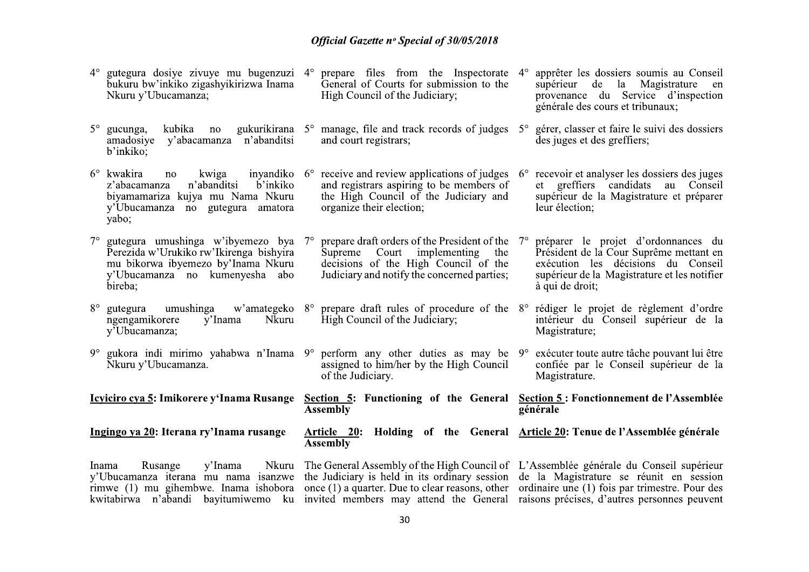|             | $4^{\circ}$ gutegura dosiye zivuye mu bugenzuzi $4^{\circ}$ prepare files from the Inspectorate<br>bukuru bw'inkiko zigashyikirizwa Inama<br>Nkuru y'Ubucamanza;                                                                                                                                                                                                                                                             | General of Courts for submission to the<br>High Council of the Judiciary;                                                                                                      | $4^\circ$   | apprêter les dossiers soumis au Conseil<br>supérieur de la Magistrature<br>en<br>provenance du Service d'inspection<br>générale des cours et tribunaux;                                 |
|-------------|------------------------------------------------------------------------------------------------------------------------------------------------------------------------------------------------------------------------------------------------------------------------------------------------------------------------------------------------------------------------------------------------------------------------------|--------------------------------------------------------------------------------------------------------------------------------------------------------------------------------|-------------|-----------------------------------------------------------------------------------------------------------------------------------------------------------------------------------------|
|             | $5^\circ$ gucunga,<br>kubika<br>no<br>y'abacamanza n'abanditsi<br>amadosiye<br>b'inkiko;                                                                                                                                                                                                                                                                                                                                     | gukurikirana 5° manage, file and track records of judges 5°<br>and court registrars;                                                                                           |             | gérer, classer et faire le suivi des dossiers<br>des juges et des greffiers;                                                                                                            |
|             | $6^{\circ}$ kwakira<br>no<br>kwiga<br>b'inkiko<br>n'abanditsi<br>z'abacamanza<br>biyamamariza kujya mu Nama Nkuru<br>y'Ubucamanza no gutegura amatora<br>yabo;                                                                                                                                                                                                                                                               | inyandiko $6^\circ$ receive and review applications of judges<br>and registrars aspiring to be members of<br>the High Council of the Judiciary and<br>organize their election; | $6^{\circ}$ | recevoir et analyser les dossiers des juges<br>et greffiers candidats au Conseil<br>supérieur de la Magistrature et préparer<br>leur élection;                                          |
| $7^\circ$   | gutegura umushinga w'ibyemezo bya<br>Perezida w'Urukiko rw'Ikirenga bishyira<br>mu bikorwa ibyemezo by'Inama Nkuru<br>y'Ubucamanza no kumenyesha abo<br>bireba;                                                                                                                                                                                                                                                              | prepare draft orders of the President of the<br>Supreme Court implementing<br>the<br>decisions of the High Council of the<br>Judiciary and notify the concerned parties;       | $7^{\circ}$ | préparer le projet d'ordonnances du<br>Président de la Cour Suprême mettant en<br>exécution les décisions du Conseil<br>supérieur de la Magistrature et les notifier<br>à qui de droit; |
| $8^{\circ}$ | umushinga<br>gutegura<br>ngengamikorere<br>y'Inama<br><b>Nkuru</b><br>y'Ubucamanza;                                                                                                                                                                                                                                                                                                                                          | w'amategeko 8° prepare draft rules of procedure of the 8° rédiger le projet de règlement d'ordre<br>High Council of the Judiciary;                                             |             | intérieur du Conseil supérieur de la<br>Magistrature;                                                                                                                                   |
| 9°          | gukora indi mirimo yahabwa n'Inama 9° perform any other duties as may be 9° exécuter toute autre tâche pouvant lui être<br>Nkuru y'Ubucamanza.                                                                                                                                                                                                                                                                               | assigned to him/her by the High Council<br>of the Judiciary.                                                                                                                   |             | confiée par le Conseil supérieur de la<br>Magistrature.                                                                                                                                 |
|             | <u>Icyiciro cya 5</u> : Imikorere y'Inama Rusange                                                                                                                                                                                                                                                                                                                                                                            | Section 5: Functioning of the General Section 5: Fonctionnement de l'Assemblée<br><b>Assembly</b>                                                                              |             | générale                                                                                                                                                                                |
|             | Ingingo ya 20: Iterana ry'Inama rusange                                                                                                                                                                                                                                                                                                                                                                                      | Article 20: Holding of the General Article 20: Tenue de l'Assemblée générale<br><b>Assembly</b>                                                                                |             |                                                                                                                                                                                         |
|             | Inama<br>y'Inama<br>Rusange<br>y'Ubucamanza iterana mu nama isanzwe the Judiciary is held in its ordinary session de la Magistrature se réunit en session<br>rimwe (1) mu gihembwe. Inama ishobora once (1) a quarter. Due to clear reasons, other ordinaire une (1) fois par trimestre. Pour des<br>kwitabirwa n'abandi bayitumiwemo ku invited members may attend the General raisons précises, d'autres personnes peuvent | Nkuru The General Assembly of the High Council of L'Assemblée générale du Conseil supérieur                                                                                    |             |                                                                                                                                                                                         |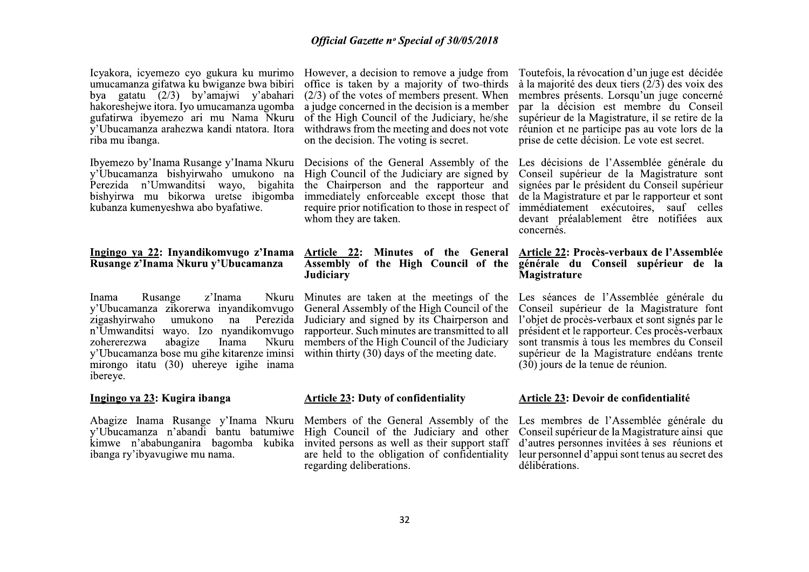Icvakora, icvemezo cyo gukura ku murimo umucamanza gifatwa ku bwiganze bwa bibiri bya gatatu  $(2/3)$  by'amajwi y'abahari hakoreshejwe itora. Iyo umucamanza ugomba gufatirwa ibyemezo ari mu Nama Nkuru y'Ubucamanza arahezwa kandi ntatora. Itora riba mu ibanga.

Ibyemezo by'Inama Rusange y'Inama Nkuru y'Ubucamanza bishyirwaho umukono na Perezida n'Umwanditsi wayo, bigahita bishyirwa mu bikorwa uretse ibigomba kubanza kumenyeshwa abo byafatiwe.

## Ingingo ya 22: Invandikomvugo z'Inama Rusange z'Inama Nkuru y'Ubucamanza

z'Inama Inama Rusange Nkuru y'Ubucamanza zikorerwa inyandikomvugo zigashvirwaho umukono na Perezida n'Umwanditsi wayo. Izo nyandikomvugo zohererezwa abagize Inama **Nkuru** y'Ubucamanza bose mu gihe kitarenze iminsi mirongo itatu (30) uhereye igihe inama ibereye.

## Ingingo ya 23: Kugira ibanga

Abagize Inama Rusange y'Inama Nkuru Members of the General Assembly of the v'Ubucamanza n'abandi bantu batumiwe kimwe n'ababunganira bagomba kubika ibanga ry'ibyavugiwe mu nama.

However, a decision to remove a judge from Toutefois, la révocation d'un juge est décidée office is taken by a majority of two-thirds  $(2/3)$  of the votes of members present. When a judge concerned in the decision is a member of the High Council of the Judiciary, he/she withdraws from the meeting and does not vote on the decision. The voting is secret.

Decisions of the General Assembly of the High Council of the Judiciary are signed by the Chairperson and the rapporteur and immediately enforceable except those that require prior notification to those in respect of whom they are taken.

## Article 22: Minutes of the General **Assembly of the High Council of the** Judiciary

Minutes are taken at the meetings of the General Assembly of the High Council of the Judiciary and signed by its Chairperson and rapporteur. Such minutes are transmitted to all members of the High Council of the Judiciary within thirty  $(30)$  days of the meeting date.

#### **Article 23: Duty of confidentiality**

High Council of the Judiciary and other invited persons as well as their support staff are held to the obligation of confidentiality regarding deliberations.

à la majorité des deux tiers  $(\frac{2}{3})$  des voix des membres présents. Lorsqu'un juge concerné par la décision est membre du Conseil supérieur de la Magistrature, il se retire de la réunion et ne participe pas au vote lors de la prise de cette décision. Le vote est secret.

Les décisions de l'Assemblée générale du Conseil supérieur de la Magistrature sont signées par le président du Conseil supérieur de la Magistrature et par le rapporteur et sont immédiatement exécutoires. sauf celles devant préalablement être notifiées aux concernés.

#### Article 22: Procès-verbaux de l'Assemblée générale du Conseil supérieur de la Magistrature

Les séances de l'Assemblée générale du Conseil supérieur de la Magistrature font l'objet de procès-verbaux et sont signés par le président et le rapporteur. Ces procès-verbaux sont transmis à tous les membres du Conseil supérieur de la Magistrature endéans trente  $(30)$  jours de la tenue de réunion.

#### Article 23: Devoir de confidentialité

Les membres de l'Assemblée générale du Conseil supérieur de la Magistrature ainsi que d'autres personnes invitées à ses réunions et leur personnel d'appui sont tenus au secret des délibérations.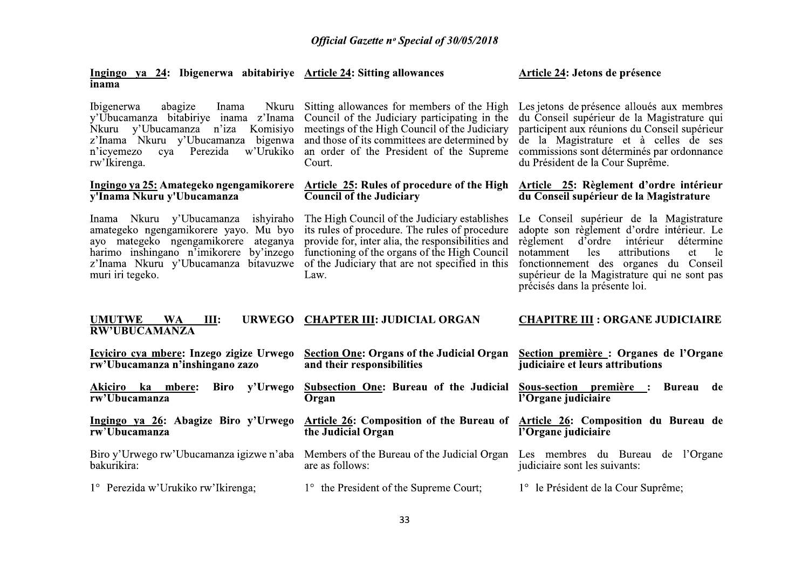Article 24: Jetons de présence

Ingingo ya 24: Ibigenerwa abitabiriye Article 24: Sitting allowances

| ınama                                                                                                                                                                                                                                  |                                                                                                                                                                                                                                                                  |                                                                                                                                                                                                                                                                                                                 |
|----------------------------------------------------------------------------------------------------------------------------------------------------------------------------------------------------------------------------------------|------------------------------------------------------------------------------------------------------------------------------------------------------------------------------------------------------------------------------------------------------------------|-----------------------------------------------------------------------------------------------------------------------------------------------------------------------------------------------------------------------------------------------------------------------------------------------------------------|
| <i>Ibigenerwa</i><br>abagize<br>Nkuru<br>Inama<br>y'Ubucamanza bitabiriye inama z'Inama<br>Komisiyo<br>Nkuru y'Ubucamanza n'iza<br>z'Inama Nkuru y'Ubucamanza<br>bigenwa<br>n'icyemezo<br>w'Urukiko<br>Perezida<br>cya<br>rw'Ikirenga. | Sitting allowances for members of the High<br>Council of the Judiciary participating in the<br>meetings of the High Council of the Judiciary<br>and those of its committees are determined by<br>an order of the President of the Supreme<br>Court.              | Les jetons de présence alloués aux membres<br>du Conseil supérieur de la Magistrature qui<br>participent aux réunions du Conseil supérieur<br>de la Magistrature et à celles de ses<br>commissions sont déterminés par ordonnance<br>du Président de la Cour Suprême.                                           |
| Ingingo ya 25: Amategeko ngengamikorere<br>y'Inama Nkuru y'Ubucamanza                                                                                                                                                                  | <b>Article 25: Rules of procedure of the High</b><br><b>Council of the Judiciary</b>                                                                                                                                                                             | Article 25: Règlement d'ordre intérieur<br>du Conseil supérieur de la Magistrature                                                                                                                                                                                                                              |
| Inama Nkuru y'Ubucamanza<br>ishyiraho<br>amategeko ngengamikorere yayo. Mu byo<br>ayo mategeko ngengamikorere<br>ateganya<br>harimo inshingano n'imikorere by'inzego<br>z'Inama Nkuru y'Ubucamanza bitavuzwe<br>muri iri tegeko.       | The High Council of the Judiciary establishes<br>its rules of procedure. The rules of procedure<br>provide for, inter alia, the responsibilities and<br>functioning of the organs of the High Council<br>of the Judiciary that are not specified in this<br>Law. | Le Conseil supérieur de la Magistrature<br>adopte son règlement d'ordre intérieur. Le<br>d'ordre intérieur<br>règlement<br>détermine<br>les<br>attributions<br>notamment<br>et<br>le<br>fonctionnement des organes du Conseil<br>supérieur de la Magistrature qui ne sont pas<br>précisés dans la présente loi. |
| <b>URWEGO</b><br><b>UMUTWE</b><br><b>WA</b><br>III:<br><b>RW'UBUCAMANZA</b>                                                                                                                                                            | <b>CHAPTER III: JUDICIAL ORGAN</b>                                                                                                                                                                                                                               | <b>CHAPITRE III : ORGANE JUDICIAIRE</b>                                                                                                                                                                                                                                                                         |
| Icyiciro cya mbere: Inzego zigize Urwego<br>rw'Ubucamanza n'inshingano zazo                                                                                                                                                            | <b>Section One: Organs of the Judicial Organ</b><br>and their responsibilities                                                                                                                                                                                   | Section première : Organes de l'Organe<br>judiciaire et leurs attributions                                                                                                                                                                                                                                      |
| y'Urwego<br>Akiciro ka<br>Biro<br>mbere:<br>rw'Ubucamanza                                                                                                                                                                              | <b>Subsection One: Bureau of the Judicial</b><br>Organ                                                                                                                                                                                                           | Sous-section première : Bureau<br>de<br>l'Organe judiciaire                                                                                                                                                                                                                                                     |
| Ingingo ya 26: Abagize Biro y'Urwego<br>$\overline{\text{rw'}\text{Ubucamanza}}$                                                                                                                                                       | <b>Article 26: Composition of the Bureau of</b><br>the Judicial Organ                                                                                                                                                                                            | Article 26: Composition du Bureau de<br>l'Organe judiciaire                                                                                                                                                                                                                                                     |
| Biro y'Urwego rw'Ubucamanza igizwe n'aba<br>bakurikira:                                                                                                                                                                                | Members of the Bureau of the Judicial Organ Les membres du Bureau de l'Organe<br>are as follows:                                                                                                                                                                 | judiciaire sont les suivants:                                                                                                                                                                                                                                                                                   |
|                                                                                                                                                                                                                                        |                                                                                                                                                                                                                                                                  |                                                                                                                                                                                                                                                                                                                 |
| 1° Perezida w'Urukiko rw'Ikirenga;                                                                                                                                                                                                     | 1° the President of the Supreme Court;                                                                                                                                                                                                                           | 1° le Président de la Cour Suprême;                                                                                                                                                                                                                                                                             |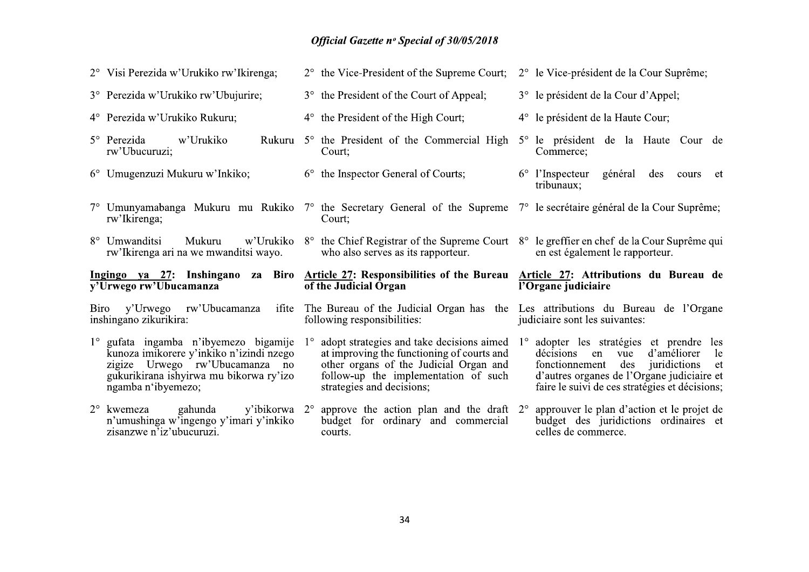|                                                                                                                                              | 2° Visi Perezida w'Urukiko rw'Ikirenga;                                                                                                                                              |             | $2^{\circ}$ the Vice-President of the Supreme Court;                                                                                                                                                   | 2° le Vice-président de la Cour Suprême;                                                                                                                                                                                            |
|----------------------------------------------------------------------------------------------------------------------------------------------|--------------------------------------------------------------------------------------------------------------------------------------------------------------------------------------|-------------|--------------------------------------------------------------------------------------------------------------------------------------------------------------------------------------------------------|-------------------------------------------------------------------------------------------------------------------------------------------------------------------------------------------------------------------------------------|
|                                                                                                                                              | 3° Perezida w'Urukiko rw'Ubujurire;                                                                                                                                                  |             | 3° the President of the Court of Appeal;                                                                                                                                                               | 3° le président de la Cour d'Appel;                                                                                                                                                                                                 |
|                                                                                                                                              | 4° Perezida w'Urukiko Rukuru;                                                                                                                                                        |             | $4^{\circ}$ the President of the High Court;                                                                                                                                                           | 4° le président de la Haute Cour;                                                                                                                                                                                                   |
|                                                                                                                                              | w'Urukiko<br>$5^{\circ}$ Perezida<br>rw'Ubucuruzi;                                                                                                                                   |             | Rukuru 5° the President of the Commercial High<br>Court:                                                                                                                                               | 5° le président de la Haute Cour de<br>Commerce;                                                                                                                                                                                    |
|                                                                                                                                              | 6° Umugenzuzi Mukuru w'Inkiko;                                                                                                                                                       |             | $6^{\circ}$ the Inspector General of Courts;                                                                                                                                                           | $6^{\circ}$ l'Inspecteur<br>général<br>des<br>cours<br>et<br>tribunaux;                                                                                                                                                             |
|                                                                                                                                              | rw'Ikirenga;                                                                                                                                                                         |             | 7° Umunyamabanga Mukuru mu Rukiko 7° the Secretary General of the Supreme 7° le secrétaire général de la Cour Suprême;<br>Court;                                                                       |                                                                                                                                                                                                                                     |
|                                                                                                                                              | 8° Umwanditsi<br>rw'Ikirenga ari na we mwanditsi wayo.                                                                                                                               |             | Mukuru – w'Urukiko 8° the Chief Registrar of the Supreme Court 8° le greffier en chef de la Cour Suprême qui<br>who also serves as its rapporteur.                                                     | en est également le rapporteur.                                                                                                                                                                                                     |
| Ingingo ya 27: Inshingano za Biro Article 27: Responsibilities of the Bureau Article 27: Attributions du Bureau de<br>y'Urwego rw'Ubucamanza |                                                                                                                                                                                      |             | of the Judicial Organ                                                                                                                                                                                  | l'Organe judiciaire                                                                                                                                                                                                                 |
|                                                                                                                                              | inshingano zikurikira:                                                                                                                                                               |             | Biro y'Urwego rw'Ubucamanza ifite The Bureau of the Judicial Organ has the Les attributions du Bureau de l'Organe<br>following responsibilities:                                                       | judiciaire sont les suivantes:                                                                                                                                                                                                      |
|                                                                                                                                              | 1° gufata ingamba n'ibyemezo bigamije<br>kunoza imikorere y'inkiko n'izindi nzego<br>zigize Urwego rw'Ubucamanza no<br>gukurikirana ishyirwa mu bikorwa ry'izo<br>ngamba n'ibyemezo; | $1^{\circ}$ | adopt strategies and take decisions aimed<br>at improving the functioning of courts and<br>other organs of the Judicial Organ and<br>follow-up the implementation of such<br>strategies and decisions; | 1° adopter les stratégies et prendre les<br>d'améliorer<br>le<br>décisions<br>en vue<br>des<br>juridictions<br>fonctionnement<br>et<br>d'autres organes de l'Organe judiciaire et<br>faire le suivi de ces stratégies et décisions; |
|                                                                                                                                              |                                                                                                                                                                                      |             |                                                                                                                                                                                                        |                                                                                                                                                                                                                                     |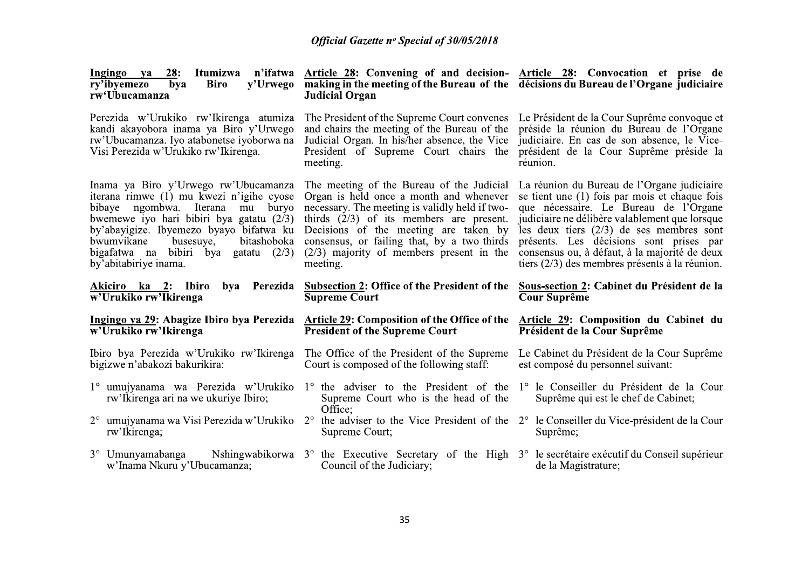|                                                                                                                                                                       | <b>Official Gazette nº Special of 30/05/2018</b>                                                                                                                                                                                                                                                                                                                                                                                                                                                                                                       |                                                                                                                                                                                                                                                                                                                                                                                       |
|-----------------------------------------------------------------------------------------------------------------------------------------------------------------------|--------------------------------------------------------------------------------------------------------------------------------------------------------------------------------------------------------------------------------------------------------------------------------------------------------------------------------------------------------------------------------------------------------------------------------------------------------------------------------------------------------------------------------------------------------|---------------------------------------------------------------------------------------------------------------------------------------------------------------------------------------------------------------------------------------------------------------------------------------------------------------------------------------------------------------------------------------|
| Ingingo ya<br>Itumizwa<br><b>28:</b><br>ry'ibyemezo<br>bya<br>Biro<br>rw'Ubucamanza                                                                                   | n'ifatwa Article 28: Convening of and decision- Article 28: Convocation et prise de<br>y'Urwego making in the meeting of the Bureau of the décisions du Bureau de l'Organe judiciaire<br><b>Judicial Organ</b>                                                                                                                                                                                                                                                                                                                                         |                                                                                                                                                                                                                                                                                                                                                                                       |
| Perezida w'Urukiko rw'Ikirenga atumiza<br>kandi akayobora inama ya Biro y'Urwego<br>rw'Ubucamanza. Iyo atabonetse iyoborwa na<br>Visi Perezida w'Urukiko rw'Ikirenga. | and chairs the meeting of the Bureau of the<br>Judicial Organ. In his/her absence, the Vice<br>President of Supreme Court chairs the<br>meeting.                                                                                                                                                                                                                                                                                                                                                                                                       | The President of the Supreme Court convenes Le Président de la Cour Suprême convoque et<br>préside la réunion du Bureau de l'Organe<br>judiciaire. En cas de son absence, le Vice-<br>président de la Cour Suprême préside la<br>réunion.                                                                                                                                             |
| Inama ya Biro y'Urwego rw'Ubucamanza<br>bwumvikane<br>busesuye,<br>by'abitabiriye inama.                                                                              | The meeting of the Bureau of the Judicial<br>iterana rimwe (1) mu kwezi n'igihe cyose Organ is held once a month and whenever<br>bibaye ngombwa. Iterana mu buryo necessary. The meeting is validly held if two-<br>bwemewe iyo hari bibiri bya gatatu $(2/3)$ thirds $(2/3)$ of its members are present.<br>by'abayigize. Ibyemezo byayo bifatwa ku Decisions of the meeting are taken by<br>bitashoboka consensus, or failing that, by a two-thirds<br>bigafatwa na bibiri bya gatatu $(2/3)$ $(2/3)$ majority of members present in the<br>meeting. | La réunion du Bureau de l'Organe judiciaire<br>se tient une (1) fois par mois et chaque fois<br>que nécessaire. Le Bureau de l'Organe<br>judiciaire ne délibère valablement que lorsque<br>les deux tiers $(2/3)$ de ses membres sont<br>présents. Les décisions sont prises par<br>consensus ou, à défaut, à la majorité de deux<br>tiers $(2/3)$ des membres présents à la réunion. |
| Akiciro ka 2: Ibiro bya Perezida<br>w'Urukiko rw'Ikirenga                                                                                                             | <b>Subsection 2: Office of the President of the</b><br><b>Supreme Court</b>                                                                                                                                                                                                                                                                                                                                                                                                                                                                            | Sous-section 2: Cabinet du Président de la<br>Cour Suprême                                                                                                                                                                                                                                                                                                                            |
| w'Urukiko rw'Ikirenga                                                                                                                                                 | Ingingo ya 29: Abagize Ibiro bya Perezida Article 29: Composition of the Office of the<br><b>President of the Supreme Court</b>                                                                                                                                                                                                                                                                                                                                                                                                                        | <b>Article 29: Composition du Cabinet du</b><br>Président de la Cour Suprême                                                                                                                                                                                                                                                                                                          |
|                                                                                                                                                                       | Ibiro bya Perezida w'Urukiko rw'Ikirenga The Office of the President of the Supreme Le Cabinet du Président de la Cour Suprême<br>bigizwe n'abakozi bakurikira: Court is composed of the following staff: est composé du personnel suivant:                                                                                                                                                                                                                                                                                                            |                                                                                                                                                                                                                                                                                                                                                                                       |
| 1° umujyanama wa Perezida w'Urukiko<br>rw'Ikirenga ari na we ukuriye Ibiro;                                                                                           | 1° the adviser to the President of the<br>Supreme Court who is the head of the                                                                                                                                                                                                                                                                                                                                                                                                                                                                         | 1° le Conseiller du Président de la Cour<br>Suprême qui est le chef de Cabinet;                                                                                                                                                                                                                                                                                                       |
| 2° umujyanama wa Visi Perezida w'Urukiko<br>rw'Ikirenga;                                                                                                              | Office;<br>$2^{\circ}$<br>Supreme Court;                                                                                                                                                                                                                                                                                                                                                                                                                                                                                                               | the adviser to the Vice President of the 2° le Conseiller du Vice-président de la Cour<br>Suprême;                                                                                                                                                                                                                                                                                    |
| 3° Umunyamabanga<br>w'Inama Nkuru y'Ubucamanza;                                                                                                                       | Nshingwabikorwa 3° the Executive Secretary of the High 3° le secrétaire exécutif du Conseil supérieur<br>Council of the Judiciary;                                                                                                                                                                                                                                                                                                                                                                                                                     | de la Magistrature;                                                                                                                                                                                                                                                                                                                                                                   |
|                                                                                                                                                                       |                                                                                                                                                                                                                                                                                                                                                                                                                                                                                                                                                        |                                                                                                                                                                                                                                                                                                                                                                                       |
|                                                                                                                                                                       | 35                                                                                                                                                                                                                                                                                                                                                                                                                                                                                                                                                     |                                                                                                                                                                                                                                                                                                                                                                                       |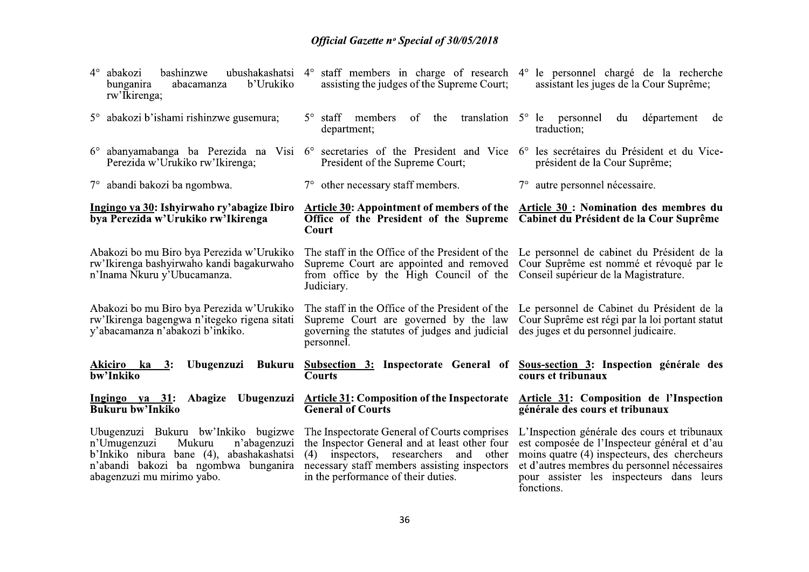| abakozi<br>bashinzwe<br>b'Urukiko<br>abacamanza<br>bunganira<br>rw'Ikirenga;                                                                                                                    | ubushakashatsi 4° staff members in charge of research 4° le personnel chargé de la recherche<br>assisting the judges of the Supreme Court;                                                                                             | assistant les juges de la Cour Suprême;                                                                                                                                                                                                                |
|-------------------------------------------------------------------------------------------------------------------------------------------------------------------------------------------------|----------------------------------------------------------------------------------------------------------------------------------------------------------------------------------------------------------------------------------------|--------------------------------------------------------------------------------------------------------------------------------------------------------------------------------------------------------------------------------------------------------|
| 5° abakozi b'ishami rishinzwe gusemura;                                                                                                                                                         | $5^{\circ}$ staff members<br>of<br>the<br>department;                                                                                                                                                                                  | translation $5^{\circ}$ le personnel<br>département<br>du<br>de<br>traduction;                                                                                                                                                                         |
| 6° abanyamabanga ba Perezida na Visi<br>Perezida w'Urukiko rw'Ikirenga;                                                                                                                         | $6^{\circ}$ secretaries of the President and Vice $6^{\circ}$ les secrétaires du Président et du Vice-<br>President of the Supreme Court;                                                                                              | président de la Cour Suprême;                                                                                                                                                                                                                          |
| 7° abandi bakozi ba ngombwa.                                                                                                                                                                    | $7^\circ$ other necessary staff members.                                                                                                                                                                                               | 7° autre personnel nécessaire.                                                                                                                                                                                                                         |
| Ingingo ya 30: Ishyirwaho ry'abagize Ibiro<br>bya Perezida w'Urukiko rw'Ikirenga                                                                                                                | Article 30: Appointment of members of the Article 30: Nomination des membres du<br>Office of the President of the Supreme Cabinet du Président de la Cour Suprême<br>Court                                                             |                                                                                                                                                                                                                                                        |
| Abakozi bo mu Biro bya Perezida w'Urukiko<br>rw'Ikirenga bashyirwaho kandi bagakurwaho<br>n'Inama Nkuru y'Ubucamanza.                                                                           | The staff in the Office of the President of the Le personnel de cabinet du Président de la<br>Supreme Court are appointed and removed Cour Suprême est nommé et révoqué par le<br>from office by the High Council of the<br>Judiciary. | Conseil supérieur de la Magistrature.                                                                                                                                                                                                                  |
| Abakozi bo mu Biro bya Perezida w'Urukiko<br>rw'Ikirenga bagengwa n'itegeko rigena sitati<br>y'abacamanza n'abakozi b'inkiko.                                                                   | The staff in the Office of the President of the<br>Supreme Court are governed by the law<br>governing the statutes of judges and judicial<br>personnel.                                                                                | Le personnel de Cabinet du Président de la<br>Cour Suprême est régi par la loi portant statut<br>des juges et du personnel judicaire.                                                                                                                  |
| Ubugenzuzi<br>Bukuru<br>Akiciro ka 3:<br>bw'Inkiko                                                                                                                                              | <b>Subsection 3: Inspectorate General of</b><br><b>Courts</b>                                                                                                                                                                          | Sous-section 3: Inspection générale des<br>cours et tribunaux                                                                                                                                                                                          |
| Ubugenzuzi<br>Ingingo ya $31$ :<br>Abagize<br><b>Bukuru bw'Inkiko</b>                                                                                                                           | <b>Article 31: Composition of the Inspectorate</b><br><b>General of Courts</b>                                                                                                                                                         | Article 31: Composition de l'Inspection<br>générale des cours et tribunaux                                                                                                                                                                             |
| Ubugenzuzi Bukuru bw'Inkiko bugizwe<br>n'Umugenzuzi<br>Mukuru<br>n'abagenzuzi<br>b'Inkiko nibura bane (4), abashakashatsi<br>n'abandi bakozi ba ngombwa bunganira<br>abagenzuzi mu mirimo yabo. | The Inspectorate General of Courts comprises<br>the Inspector General and at least other four<br>inspectors, researchers<br>(4)<br>and<br>other<br>necessary staff members assisting inspectors<br>in the performance of their duties. | L'Inspection générale des cours et tribunaux<br>est composée de l'Inspecteur général et d'au<br>moins quatre (4) inspecteurs, des chercheurs<br>et d'autres membres du personnel nécessaires<br>pour assister les inspecteurs dans leurs<br>fonctions. |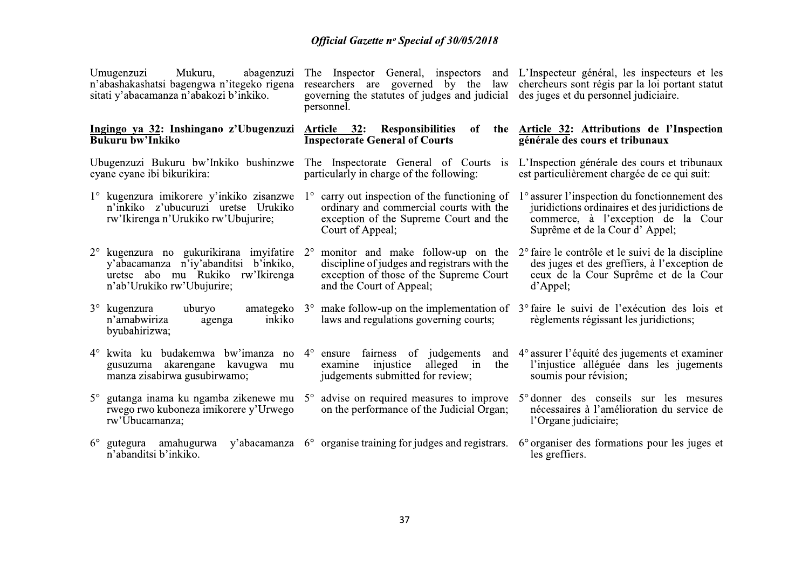| Mukuru,<br>abagenzuzi<br>Umugenzuzi<br>n'abashakashatsi bagengwa n'itegeko rigena<br>sitati y'abacamanza n'abakozi b'inkiko.                                            | The Inspector General, inspectors and L'Inspecteur général, les inspecteurs et les<br>governing the statures of judges and judicial des juges et du personnel judiciaire.<br>personnel. | researchers are governed by the law chercheurs sont régis par la loi portant statut                                                                                     |  |
|-------------------------------------------------------------------------------------------------------------------------------------------------------------------------|-----------------------------------------------------------------------------------------------------------------------------------------------------------------------------------------|-------------------------------------------------------------------------------------------------------------------------------------------------------------------------|--|
| Ingingo ya 32: Inshingano z'Ubugenzuzi<br><b>Bukuru bw'Inkiko</b>                                                                                                       | Article 32: Responsibilities<br>of<br><b>Inspectorate General of Courts</b>                                                                                                             | the <b>Article 32:</b> Attributions de l'Inspection<br>générale des cours et tribunaux                                                                                  |  |
| Ubugenzuzi Bukuru bw'Inkiko bushinzwe<br>cyane cyane ibi bikurikira:                                                                                                    | The Inspectorate General of Courts is<br>particularly in charge of the following:                                                                                                       | L'Inspection générale des cours et tribunaux<br>est particulièrement chargée de ce qui suit:                                                                            |  |
| 1° kugenzura imikorere y'inkiko zisanzwe<br>n'inkiko z'ubucuruzi uretse Urukiko<br>rw'Ikirenga n'Urukiko rw'Ubujurire;                                                  | $1^\circ$ carry out inspection of the functioning of<br>ordinary and commercial courts with the<br>exception of the Supreme Court and the<br>Court of Appeal;                           | 1° assurer l'inspection du fonctionnement des<br>juridictions ordinaires et des juridictions de<br>commerce, à l'exception de la Cour<br>Suprême et de la Cour d'Appel; |  |
| $2^{\circ}$ kugenzura no gukurikirana imyifatire $2^{\circ}$<br>y'abacamanza n'iy'abanditsi b'inkiko,<br>uretse abo mu Rukiko rw'Ikirenga<br>n'ab'Urukiko rw'Ubujurire; | monitor and make follow-up on the<br>discipline of judges and registrars with the<br>exception of those of the Supreme Court<br>and the Court of Appeal;                                | 2 <sup>°</sup> faire le contrôle et le suivi de la discipline<br>des juges et des greffiers, à l'exception de<br>ceux de la Cour Suprême et de la Cour<br>d'Appel;      |  |
| $3^\circ$ kugenzura<br>uburyo<br>inkiko<br>n'amabwiriza<br>agenga<br>byubahirizwa;                                                                                      | amategeko $3^\circ$ make follow-up on the implementation of $3^\circ$ faire le suivi de l'exécution des lois et<br>laws and regulations governing courts;                               | règlements régissant les juridictions;                                                                                                                                  |  |
| 4° kwita ku budakemwa bw'imanza no<br>gusuzuma akarengane<br>kavugwa<br>mu<br>manza zisabirwa gusubirwamo;                                                              | $4^{\circ}$ ensure fairness of judgements<br>and<br>alleged<br>injustice<br>the<br>examine<br>in<br>judgements submitted for review;                                                    | 4° assurer l'équité des jugements et examiner<br>l'injustice alléguée dans les jugements<br>soumis pour révision;                                                       |  |
| $5^\circ$<br>rwego rwo kuboneza imikorere y'Urwego<br>rw'Ubucamanza;                                                                                                    | gutanga inama ku ngamba zikenewe mu 5° advise on required measures to improve 5° donner des conseils sur les mesures<br>on the performance of the Judicial Organ;                       | nécessaires à l'amélioration du service de<br>l'Organe judiciaire;                                                                                                      |  |
| $6^{\circ}$<br>gutegura amahugurwa<br>n'abanditsi b'inkiko.                                                                                                             | y'abacamanza $6^\circ$ organise training for judges and registrars.                                                                                                                     | 6° organiser des formations pour les juges et<br>les greffiers.                                                                                                         |  |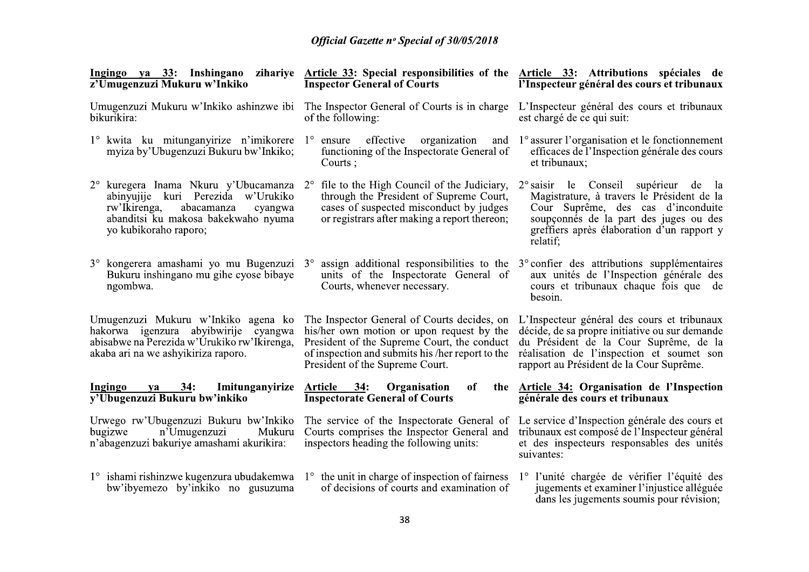| z'Umugenzuzi Mukuru w'Inkiko                                                                                                                                      | Ingingo ya 33: Inshingano zihariye Article 33: Special responsibilities of the Article 33: Attributions spéciales de<br><b>Inspector General of Courts</b>                                                                                 | l'Inspecteur général des cours et tribunaux                                                                                                                                                                                      |
|-------------------------------------------------------------------------------------------------------------------------------------------------------------------|--------------------------------------------------------------------------------------------------------------------------------------------------------------------------------------------------------------------------------------------|----------------------------------------------------------------------------------------------------------------------------------------------------------------------------------------------------------------------------------|
| Umugenzuzi Mukuru w'Inkiko ashinzwe ibi<br>bikurikira:                                                                                                            | The Inspector General of Courts is in charge<br>of the following:                                                                                                                                                                          | L'Inspecteur général des cours et tribunaux<br>est chargé de ce qui suit:                                                                                                                                                        |
| 1° kwita ku mitunganyirize n'imikorere 1° ensure<br>myiza by'Ubugenzuzi Bukuru bw'Inkiko;                                                                         | effective organization<br>and<br>functioning of the Inspectorate General of<br>Courts ;                                                                                                                                                    | 1° assurer l'organisation et le fonctionnement<br>efficaces de l'Inspection générale des cours<br>et tribunaux;                                                                                                                  |
| abinyujije kuri Perezida w'Urukiko<br>abacamanza<br>rw'Ikirenga,<br>cyangwa<br>abanditsi ku makosa bakekwaho nyuma<br>yo kubikoraho raporo;                       | $2^{\circ}$ kuregera Inama Nkuru y'Ubucamanza $2^{\circ}$ file to the High Council of the Judiciary,<br>through the President of Supreme Court,<br>cases of suspected misconduct by judges<br>or registrars after making a report thereon; | 2° saisir le Conseil supérieur de la<br>Magistrature, à travers le Président de la<br>Cour Suprême, des cas d'inconduite<br>soupçonnés de la part des juges ou des<br>greffiers après élaboration d'un rapport y<br>relatif;     |
| 3° kongerera amashami yo mu Bugenzuzi<br>Bukuru inshingano mu gihe cyose bibaye<br>ngombwa.                                                                       | $3^\circ$<br>units of the Inspectorate General of<br>Courts, whenever necessary.                                                                                                                                                           | assign additional responsibilities to the $3^{\circ}$ confier des attributions supplémentaires<br>aux unités de l'Inspection générale des<br>cours et tribunaux chaque fois que de<br>besoin.                                    |
| Umugenzuzi Mukuru w'Inkiko agena ko<br>hakorwa igenzura abyibwirije cyangwa<br>abisabwe na Perezida w'Urukiko rw'Ikirenga,<br>akaba ari na we ashyikiriza raporo. | The Inspector General of Courts decides, on<br>his/her own motion or upon request by the<br>President of the Supreme Court, the conduct<br>of inspection and submits his /her report to the<br>President of the Supreme Court.             | L'Inspecteur général des cours et tribunaux<br>décide, de sa propre initiative ou sur demande<br>du Président de la Cour Suprême, de la<br>réalisation de l'inspection et soumet son<br>rapport au Président de la Cour Suprême. |
| 34:<br>Ingingo<br>Imitunganyirize<br>ya<br>y'Ubugenzuzi Bukuru bw'inkiko                                                                                          | Article 34:<br>Organisation<br>of<br>the<br><b>Inspectorate General of Courts</b>                                                                                                                                                          | Article 34: Organisation de l'Inspection<br>générale des cours et tribunaux                                                                                                                                                      |
| Urwego rw'Ubugenzuzi Bukuru bw'Inkiko<br>n'Umugenzuzi<br>bugizwe<br>Mukuru<br>n'abagenzuzi bakuriye amashami akurikira:                                           | The service of the Inspectorate General of<br>Courts comprises the Inspector General and<br>inspectors heading the following units:                                                                                                        | Le service d'Inspection générale des cours et<br>tribunaux est composé de l'Inspecteur général<br>et des inspecteurs responsables des unités<br>suivantes:                                                                       |
| bw'ibyemezo by'inkiko no gusuzuma                                                                                                                                 | $1^{\circ}$ ishami rishinzwe kugenzura ubudakemwa $1^{\circ}$ the unit in charge of inspection of fairness<br>of decisions of courts and examination of                                                                                    | 1° l'unité chargée de vérifier l'équité des<br>jugements et examiner l'injustice alléguée<br>dans les jugements soumis pour révision;                                                                                            |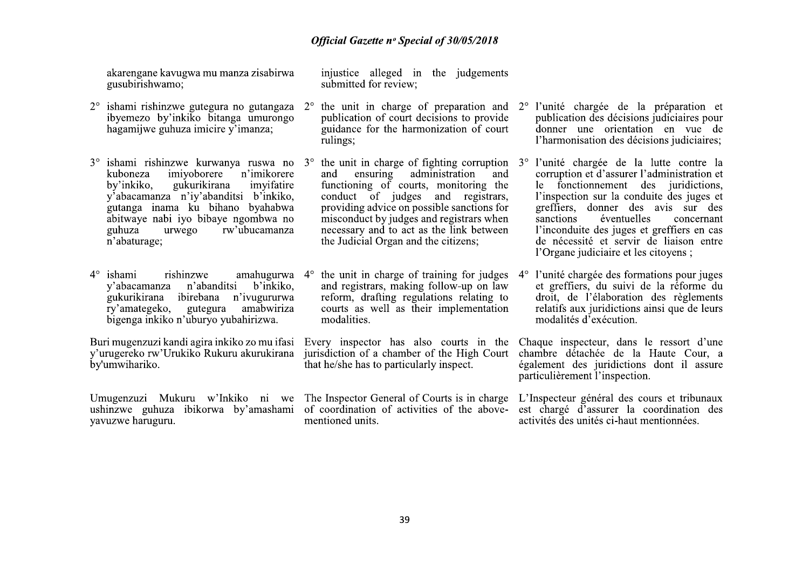akarengane kavugwa mu manza zisabirwa gusubirishwamo;

- ishami rishinzwe gutegura no gutangaza  $2^{\circ}$ ibyemezo by'inkiko bitanga umurongo hagamijwe guhuza imicire y'imanza;
- $3^{\circ}$  ishami rishinzwe kurwanya ruswa no  $3^{\circ}$ imivoborere n'imikorere kuboneza gukurikirana by'inkiko. imvifatire v'abacamanza n'iy'abanditsi b'inkiko, gutanga inama ku bihano byahabwa abitwaye nabi iyo bibaye ngombwa no rw'ubucamanza guhuza urwego n'abaturage:
- $4^\circ$ ishami rishinzwe amahugurwa 4° n'abanditsi v'abacamanza b'inkiko. gukurikirana ibirebana n'ivugururwa ry'amategeko, amabwiriza gutegura bigenga inkiko n'uburyo vubahirizwa.

Buri mugenzuzi kandi agira inkiko zo mu ifasi y'urugereko rw'Urukiko Rukuru akurukirana by'umwihariko.

vavuzwe haruguru.

injustice alleged in the judgements submitted for review:

- $2^{\circ}$ publication of court decisions to provide guidance for the harmonization of court rulings;
	- the unit in charge of fighting corruption  $3^{\circ}$ ensuring administration and and functioning of courts, monitoring the conduct of judges and registrars, providing advice on possible sanctions for misconduct by judges and registrars when necessary and to act as the link between the Judicial Organ and the citizens:

the unit in charge of training for judges and registrars, making follow-up on law reform, drafting regulations relating to courts as well as their implementation modalities.

jurisdiction of a chamber of the High Court that he/she has to particularly inspect.

Umugenzuzi Mukuru w'Inkiko ni we The Inspector General of Courts is in charge ushinzwe guhuza ibikorwa by'amashami of coordination of activities of the abovementioned units.

- the unit in charge of preparation and  $2^{\circ}$  l'unité chargée de la préparation et publication des décisions judiciaires pour donner une orientation en vue de l'harmonisation des décisions judiciaires:
	- l'unité chargée de la lutte contre la corruption et d'assurer l'administration et le fonctionnement des juridictions, l'inspection sur la conduite des juges et greffiers, donner des avis sur des sanctions éventuelles concernant l'inconduite des juges et greffiers en cas de nécessité et servir de liaison entre l'Organe judiciaire et les citovens :

l'unité chargée des formations pour juges  $4^\circ$ et greffiers, du suivi de la réforme du droit, de l'élaboration des règlements relatifs aux juridictions ainsi que de leurs modalités d'exécution.

Every inspector has also courts in the Chaque inspecteur, dans le ressort d'une chambre détachée de la Haute Cour, a également des juridictions dont il assure particulièrement l'inspection.

> L'Inspecteur général des cours et tribunaux est chargé d'assurer la coordination des activités des unités ci-haut mentionnées.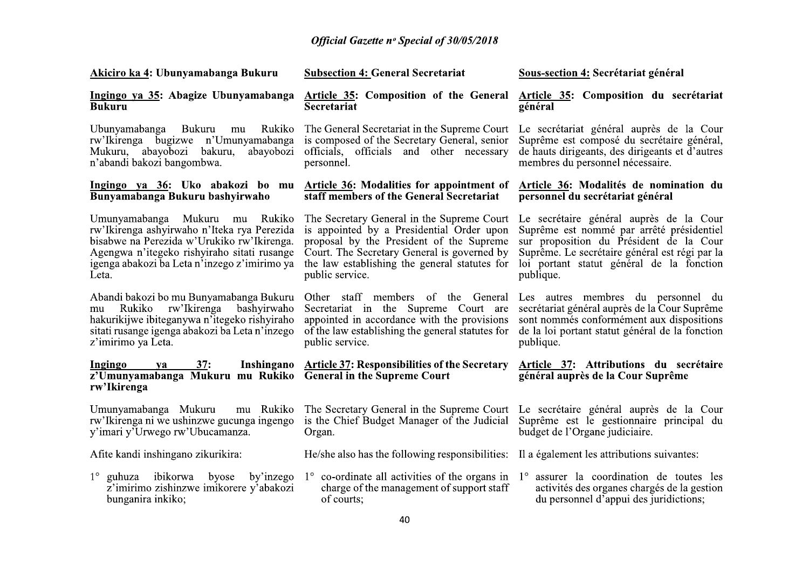|                                                                                                                                                                                                                                     | <b>Official Gazette nº Special of 30/05/2018</b>                                                                                                                                                                                                                                                                                                                            |                                                                                                                                                                                                  |
|-------------------------------------------------------------------------------------------------------------------------------------------------------------------------------------------------------------------------------------|-----------------------------------------------------------------------------------------------------------------------------------------------------------------------------------------------------------------------------------------------------------------------------------------------------------------------------------------------------------------------------|--------------------------------------------------------------------------------------------------------------------------------------------------------------------------------------------------|
| Akiciro ka 4: Ubunyamabanga Bukuru                                                                                                                                                                                                  | <b>Subsection 4: General Secretariat</b>                                                                                                                                                                                                                                                                                                                                    | Sous-section 4: Secrétariat général                                                                                                                                                              |
| Ingingo ya 35: Abagize Ubunyamabanga<br><b>Bukuru</b>                                                                                                                                                                               | <b>Article 35: Composition of the General</b><br>Secretariat                                                                                                                                                                                                                                                                                                                | Article 35: Composition du secrétariat<br>général                                                                                                                                                |
| Ubunyamabanga Bukuru mu<br>n'abandi bakozi bangombwa.                                                                                                                                                                               | Rukiko The General Secretariat in the Supreme Court Le secrétariat général auprès de la Cour<br>rw'Ikirenga bugizwe n'Umunyamabanga is composed of the Secretary General, senior<br>Mukuru, abayobozi bakuru, abayobozi officials, officials and other necessary<br>personnel.                                                                                              | Suprême est composé du secrétaire général,<br>de hauts dirigeants, des dirigeants et d'autres<br>membres du personnel nécessaire.                                                                |
| Bunyamabanga Bukuru bashyirwaho                                                                                                                                                                                                     | Ingingo ya 36: Uko abakozi bo mu Article 36: Modalities for appointment of<br>staff members of the General Secretariat                                                                                                                                                                                                                                                      | Article 36: Modalités de nomination du<br>personnel du secrétariat général                                                                                                                       |
| Umunyamabanga Mukuru mu Rukiko<br>rw'Ikirenga ashyirwaho n'Iteka rya Perezida<br>bisabwe na Perezida w'Urukiko rw'Ikirenga.<br>Agengwa n'itegeko rishyiraho sitati rusange<br>igenga abakozi ba Leta n'inzego z'imirimo ya<br>Leta. | The Secretary General in the Supreme Court Le secrétaire général auprès de la Cour<br>is appointed by a Presidential Order upon<br>proposal by the President of the Supreme<br>Court. The Secretary General is governed by<br>the law establishing the general statutes for<br>public service.                                                                              | Suprême est nommé par arrêté présidentiel<br>sur proposition du Président de la Cour<br>Suprême. Le secrétaire général est régi par la<br>loi portant statut général de la fonction<br>publique. |
| Abandi bakozi bo mu Bunyamabanga Bukuru<br>mu Rukiko rw'Ikirenga bashyirwaho<br>hakurikijwe ibiteganywa n'itegeko rishyiraho<br>sitati rusange igenga abakozi ba Leta n'inzego<br>z'imirimo ya Leta.                                | Other staff members of the General Les autres membres du personnel du<br>Secretariat in the Supreme Court are secrétariat général auprès de la Cour Suprême<br>appointed in accordance with the provisions sont nommés conformément aux dispositions<br>of the law establishing the general statutes for de la loi portant statut général de la fonction<br>public service. | publique.                                                                                                                                                                                        |
| Ingingo ya<br>z'Umunyamabanga Mukuru mu Rukiko General in the Supreme Court<br>rw'Ikirenga                                                                                                                                          | 37: Inshingano Article 37: Responsibilities of the Secretary Article 37: Attributions du secrétaire                                                                                                                                                                                                                                                                         | général auprès de la Cour Suprême                                                                                                                                                                |
| Umunyamabanga Mukuru<br>mu Rukiko<br>rw'Ikirenga ni we ushinzwe gucunga ingengo<br>y'imari y'Urwego rw'Ubucamanza.                                                                                                                  | The Secretary General in the Supreme Court Le secrétaire général auprès de la Cour<br>is the Chief Budget Manager of the Judicial<br>Organ.                                                                                                                                                                                                                                 | Suprême est le gestionnaire principal du<br>budget de l'Organe judiciaire.                                                                                                                       |
| Afite kandi inshingano zikurikira:                                                                                                                                                                                                  | He/she also has the following responsibilities: Il a également les attributions suivantes:                                                                                                                                                                                                                                                                                  |                                                                                                                                                                                                  |
| 1° guhuza ibikorwa byose by'inzego<br>z'imirimo zishinzwe imikorere y'abakozi<br>bunganira inkiko;                                                                                                                                  | $1^{\circ}$ co-ordinate all activities of the organs in $1^{\circ}$<br>charge of the management of support staff<br>of courts;                                                                                                                                                                                                                                              | assurer la coordination de toutes les<br>activités des organes chargés de la gestion<br>du personnel d'appui des juridictions;                                                                   |
|                                                                                                                                                                                                                                     | 40                                                                                                                                                                                                                                                                                                                                                                          |                                                                                                                                                                                                  |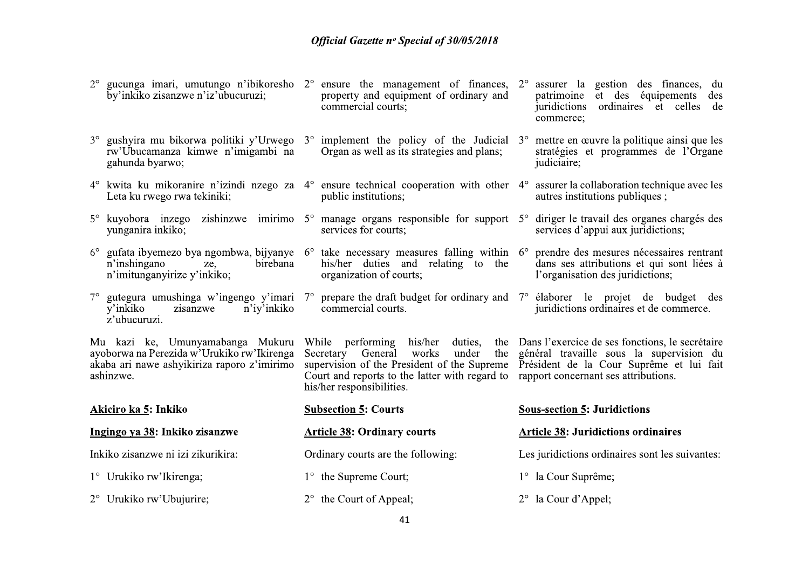gucunga imari, umutungo n'ibikoresho 2° ensure the management of finances, 2° assurer la gestion des finances, du by'inkiko zisanzwe n'iz'ubucuruzi; property and equipment of ordinary and patrimoine et des équipements des commercial courts: juridictions ordinaires et celles de commerce: gushyira mu bikorwa politiki y'Urwego  $3^{\circ}$  implement the policy of the Judicial  $3^{\circ}$  mettre en œuvre la politique ainsi que les Organ as well as its strategies and plans; stratégies et programmes de l'Organe rw'Ubucamanza kimwe n'imigambi na gahunda byarwo; judiciaire:  $4^{\circ}$  kwita ku mikoranire n'izindi nzego za  $4^{\circ}$  ensure technical cooperation with other  $4^{\circ}$ assurer la collaboration technique avec les Leta ku rwego rwa tekiniki; public institutions: autres institutions publiques ;  $5^\circ$  kuyobora inzego zishinzwe imirimo  $5^\circ$  manage organs responsible for support  $5^\circ$  diriger le travail des organes chargés des services for courts: services d'appui aux juridictions; vunganira inkiko:  $6^{\circ}$  gufata ibyemezo bya ngombwa, bijyanye  $6^{\circ}$  take necessary measures falling within  $6^{\circ}$ prendre des mesures nécessaires rentrant n'inshingano birebana his/her duties and relating to the dans ses attributions et qui sont liées à ze. n'imitunganyirize y'inkiko; organization of courts; l'organisation des juridictions; gutegura umushinga w'ingengo y'imari 7° prepare the draft budget for ordinary and 7° élaborer le projet de budget des n'iy'inkiko juridictions ordinaires et de commerce. y'inkiko commercial courts. zisanzwe z'ubucuruzi. Mu kazi ke, Umunyamabanga Mukuru the Dans l'exercice de ses fonctions, le secrétaire While performing his/her duties, ayoborwa na Perezida w<sup>'</sup>Urukiko rw'Ikirenga Secretary General works under the général travaille sous la supervision du akaba ari nawe ashyikiriza raporo z'imirimo supervision of the President of the Supreme Président de la Cour Suprême et lui fait Court and reports to the latter with regard to rapport concernant ses attributions. ashinzwe. his/her responsibilities. **Subsection 5: Courts Sous-section 5: Juridictions** Akiciro ka 5: Inkiko Ingingo ya 38: Inkiko zisanzwe **Article 38: Ordinary courts Article 38: Juridictions ordinaires** Inkiko zisanzwe ni izi zikurikira: Ordinary courts are the following: Les juridictions ordinaires sont les suivantes: 1° Urukiko rw'Ikirenga; 1° the Supreme Court; 1° la Cour Suprême; 2° Urukiko rw'Ubujurire;  $2^{\circ}$  the Court of Appeal;  $2^{\circ}$  la Cour d'Appel;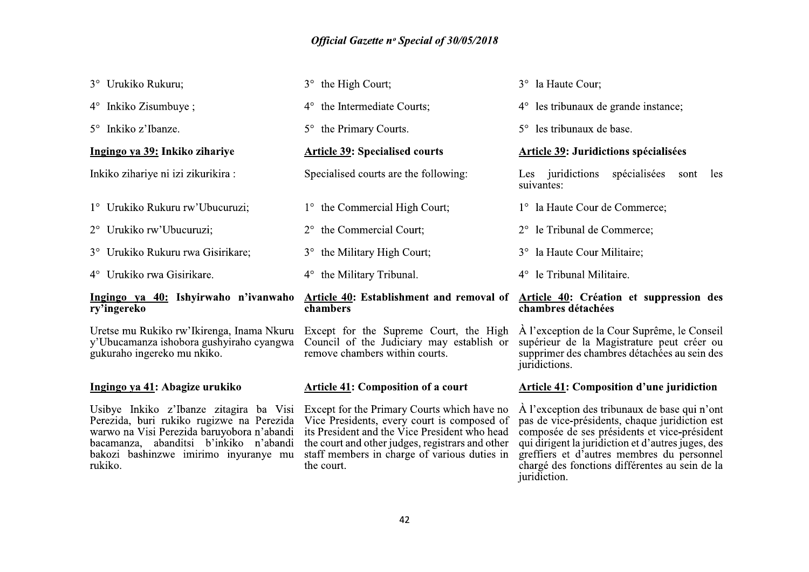| 3° Urukiko Rukuru;                                                                                                                                                                                                               | the High Court;<br>$3^\circ$                                                                                                                                                                                                                    | 3° la Haute Cour;                                                                                                                                                                                                                                   |
|----------------------------------------------------------------------------------------------------------------------------------------------------------------------------------------------------------------------------------|-------------------------------------------------------------------------------------------------------------------------------------------------------------------------------------------------------------------------------------------------|-----------------------------------------------------------------------------------------------------------------------------------------------------------------------------------------------------------------------------------------------------|
| 4° Inkiko Zisumbuye;                                                                                                                                                                                                             | the Intermediate Courts;<br>$4^\circ$                                                                                                                                                                                                           | $4^{\circ}$ les tribunaux de grande instance;                                                                                                                                                                                                       |
| 5° Inkiko z'Ibanze.                                                                                                                                                                                                              | the Primary Courts.<br>$5^\circ$                                                                                                                                                                                                                | 5° les tribunaux de base.                                                                                                                                                                                                                           |
| Ingingo ya 39: Inkiko zihariye                                                                                                                                                                                                   | <b>Article 39: Specialised courts</b>                                                                                                                                                                                                           | <b>Article 39: Juridictions spécialisées</b>                                                                                                                                                                                                        |
| Inkiko zihariye ni izi zikurikira:                                                                                                                                                                                               | Specialised courts are the following:                                                                                                                                                                                                           | Les juridictions<br>spécialisées<br>les<br>sont<br>suivantes:                                                                                                                                                                                       |
| 1° Urukiko Rukuru rw'Ubucuruzi;                                                                                                                                                                                                  | 1° the Commercial High Court;                                                                                                                                                                                                                   | 1° la Haute Cour de Commerce;                                                                                                                                                                                                                       |
| 2° Urukiko rw'Ubucuruzi;                                                                                                                                                                                                         | the Commercial Court;<br>$2^{\circ}$                                                                                                                                                                                                            | le Tribunal de Commerce;                                                                                                                                                                                                                            |
| 3° Urukiko Rukuru rwa Gisirikare;                                                                                                                                                                                                | the Military High Court;<br>$3^\circ$                                                                                                                                                                                                           | la Haute Cour Militaire;<br>$3^\circ$                                                                                                                                                                                                               |
| 4° Urukiko rwa Gisirikare.                                                                                                                                                                                                       | the Military Tribunal.<br>$4^\circ$                                                                                                                                                                                                             | le Tribunal Militaire.<br>$4^{\circ}$                                                                                                                                                                                                               |
| Ingingo ya 40: Ishyirwaho n'ivanwaho<br>ry'ingereko                                                                                                                                                                              | Article 40: Establishment and removal of<br>chambers                                                                                                                                                                                            | Article 40: Création et suppression des<br>chambres détachées                                                                                                                                                                                       |
| Uretse mu Rukiko rw'Ikirenga, Inama Nkuru<br>y'Ubucamanza ishobora gushyiraho cyangwa<br>gukuraho ingereko mu nkiko.                                                                                                             | Except for the Supreme Court, the High<br>Council of the Judiciary may establish or<br>remove chambers within courts.                                                                                                                           | A l'exception de la Cour Suprême, le Conseil<br>supérieur de la Magistrature peut créer ou<br>supprimer des chambres détachées au sein des<br>juridictions.                                                                                         |
| Ingingo ya 41: Abagize urukiko                                                                                                                                                                                                   | <b>Article 41: Composition of a court</b>                                                                                                                                                                                                       | <b>Article 41: Composition d'une juridiction</b>                                                                                                                                                                                                    |
| Usibye Inkiko z'Ibanze zitagira ba Visi<br>Perezida, buri rukiko rugizwe na Perezida<br>warwo na Visi Perezida baruyobora n'abandi<br>bacamanza, abanditsi b'inkiko n'abandi<br>bakozi bashinzwe imirimo inyuranye mu<br>rukiko. | Except for the Primary Courts which have no<br>Vice Presidents, every court is composed of<br>its President and the Vice President who head<br>the court and other judges, registrars and other<br>staff members in charge of various duties in | À l'exception des tribunaux de base qui n'ont<br>pas de vice-présidents, chaque juridiction est<br>composée de ses présidents et vice-président<br>qui dirigent la juridiction et d'autres juges, des<br>greffiers et d'autres membres du personnel |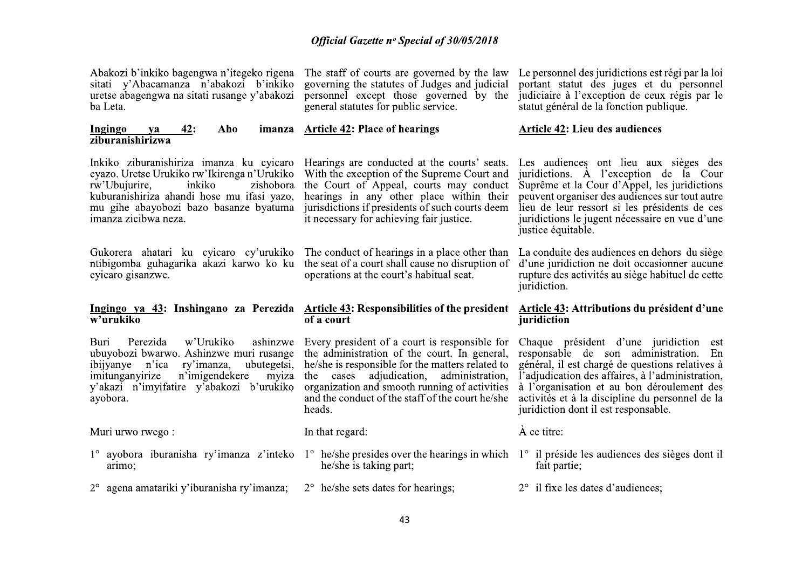| Abakozi b'inkiko bagengwa n'itegeko rigena<br>sitati y'Abacamanza n'abakozi b'inkiko<br>uretse abagengwa na sitati rusange y'abakozi<br>ba Leta.                                                                                                | The staff of courts are governed by the law<br>governing the statutes of Judges and judicial<br>personnel except those governed by the<br>general statutes for public service.                                                                                                                                       | Le personnel des juridictions est régi par la loi<br>portant statut des juges et du personnel<br>judiciaire à l'exception de ceux régis par le<br>statut général de la fonction publique.                                                                                                                                       |
|-------------------------------------------------------------------------------------------------------------------------------------------------------------------------------------------------------------------------------------------------|----------------------------------------------------------------------------------------------------------------------------------------------------------------------------------------------------------------------------------------------------------------------------------------------------------------------|---------------------------------------------------------------------------------------------------------------------------------------------------------------------------------------------------------------------------------------------------------------------------------------------------------------------------------|
| <b>Ingingo</b><br><u>42:</u><br>Aho<br>imanza<br>ya<br>ziburanishirizwa                                                                                                                                                                         | <b>Article 42: Place of hearings</b>                                                                                                                                                                                                                                                                                 | <b>Article 42: Lieu des audiences</b>                                                                                                                                                                                                                                                                                           |
| Inkiko ziburanishiriza imanza ku cyicaro<br>cyazo. Uretse Urukiko rw'lkirenga n'Urukiko<br>inkiko<br>rw'Ubujurire,<br>zishobora<br>kuburanishiriza ahandi hose mu ifasi yazo,<br>mu gihe abayobozi bazo basanze byatuma<br>imanza zicibwa neza. | Hearings are conducted at the courts' seats.<br>With the exception of the Supreme Court and<br>the Court of Appeal, courts may conduct<br>hearings in any other place within their<br>jurisdictions if presidents of such courts deem<br>it necessary for achieving fair justice.                                    | Les audiences ont lieu aux sièges des<br>juridictions. A l'exception de la Cour<br>Suprême et la Cour d'Appel, les juridictions<br>peuvent organiser des audiences sur tout autre<br>lieu de leur ressort si les présidents de ces<br>juridictions le jugent nécessaire en vue d'une<br>justice équitable.                      |
| Gukorera ahatari ku cyicaro cy'urukiko<br>ntibigomba guhagarika akazi karwo ko ku<br>cyicaro gisanzwe.                                                                                                                                          | The conduct of hearings in a place other than<br>the seat of a court shall cause no disruption of<br>operations at the court's habitual seat.                                                                                                                                                                        | La conduite des audiences en dehors du siège<br>d'une juridiction ne doit occasionner aucune<br>rupture des activités au siège habituel de cette<br>juridiction.                                                                                                                                                                |
|                                                                                                                                                                                                                                                 |                                                                                                                                                                                                                                                                                                                      |                                                                                                                                                                                                                                                                                                                                 |
| <u>Ingingo ya 43</u> : Inshingano za Perezida<br>w'urukiko                                                                                                                                                                                      | <b>Article 43: Responsibilities of the president</b><br>of a court                                                                                                                                                                                                                                                   | <b>Article 43: Attributions du président d'une</b><br>juridiction                                                                                                                                                                                                                                                               |
| ashinzwe<br>Perezida<br>w'Urukiko<br>Buri<br>ubuyobozi bwarwo. Ashinzwe muri rusange<br>ubutegetsi,<br>ibijyanye<br>n'ica<br>ry'imanza,<br>n'imigendekere<br>imitunganyirize<br>myiza<br>y'akazi n'imyifatire y'abakozi b'urukiko<br>ayobora.   | Every president of a court is responsible for<br>the administration of the court. In general,<br>he/she is responsible for the matters related to<br>adjudication,<br>administration,<br>the<br>cases<br>organization and smooth running of activities<br>and the conduct of the staff of the court he/she<br>heads. | Chaque président d'une juridiction est<br>responsable de son administration. En<br>général, il est chargé de questions relatives à<br>l'adjudication des affaires, à l'administration,<br>à l'organisation et au bon déroulement des<br>activités et à la discipline du personnel de la<br>juridiction dont il est responsable. |
| Muri urwo rwego:                                                                                                                                                                                                                                | In that regard:                                                                                                                                                                                                                                                                                                      | À ce titre:                                                                                                                                                                                                                                                                                                                     |
| 1° ayobora iburanisha ry'imanza z'inteko<br>arimo;                                                                                                                                                                                              | $1^{\circ}$ he/she presides over the hearings in which<br>he/she is taking part;                                                                                                                                                                                                                                     | $1^\circ$ il préside les audiences des sièges dont il<br>fait partie;                                                                                                                                                                                                                                                           |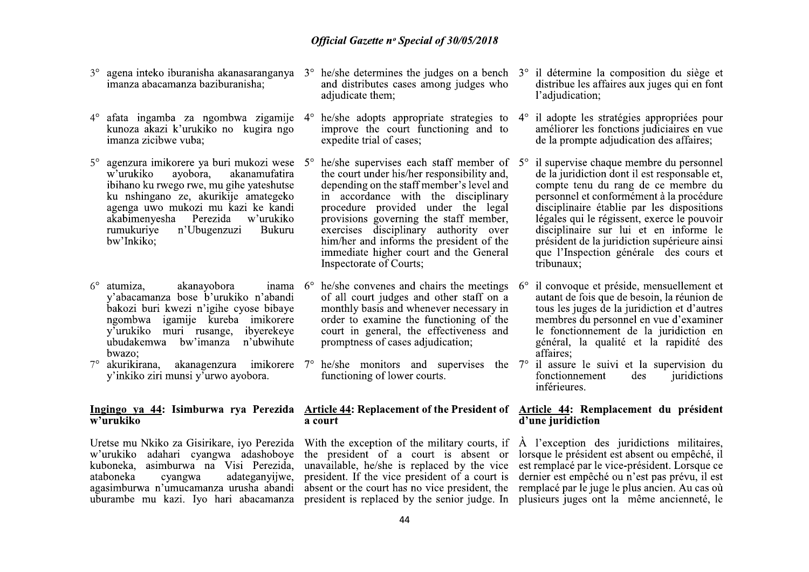- agena inteko iburanisha akanasaranganya  $3^\circ$ imanza abacamanza baziburanisha:
- afata ingamba za ngombwa zigamije 4°  $4^\circ$ kunoza akazi k'urukiko no kugira ngo imanza zicibwe vuba;
- agenzura imikorere va buri mukozi wese 5°  $5^\circ$ w'urukiko avobora. akanamufatira ibihano ku rwego rwe, mu gihe yateshutse ku nshingano ze, akurikije amategeko agenga uwo mukozi mu kazi ke kandi akabimenyesha Perezida w'urukiko n'Ubugenzuzi rumukurive Bukuru bw'Inkiko:
- $6^\circ$ atumiza. akanavobora v'abacamanza bose b'urukiko n'abandi bakozi buri kwezi n'igihe cyose bibaye ngombwa igamije kureba imikorere v'urukiko muri rusange, ibyerekeye ubudakemwa bw'imanza n'ubwihute bwazo:
- $7^\circ$ y'inkiko ziri munsi y'urwo ayobora.

# $\overline{\mathbf{w}^{\prime}$ urukiko

Uretse mu Nkiko za Gisirikare, iyo Perezida w'urukiko adahari cyangwa adashoboye kuboneka, asimburwa na Visi Perezida, cyangwa adateganyijwe. ataboneka agasimburwa n'umucamanza urusha abandi uburambe mu kazi. Iyo hari abacamanza

- and distributes cases among judges who adjudicate them:
- he/she adopts appropriate strategies to  $4^{\circ}$ improve the court functioning and to expedite trial of cases:
- he/she supervises each staff member of  $5^{\circ}$ the court under his/her responsibility and, depending on the staff member's level and in accordance with the disciplinary procedure provided under the legal provisions governing the staff member, exercises disciplinary authority over him/her and informs the president of the immediate higher court and the General Inspectorate of Courts:
- inama  $6^{\circ}$  he/she convenes and chairs the meetings  $6^{\circ}$ of all court judges and other staff on a monthly basis and whenever necessary in order to examine the functioning of the court in general, the effectiveness and promptness of cases adjudication;
- akurikirana, akanagenzura imikorere 7° he/she monitors and supervises the 7° il assure le suivi et la supervision du functioning of lower courts.

# a court

the president of a court is absent or lorsque le président est absent ou empêché, il president. If the vice president of a court is

- $3^{\circ}$  he/she determines the judges on a bench  $3^{\circ}$  il détermine la composition du siège et distribue les affaires aux juges qui en font l'adjudication;
	- il adopte les stratégies appropriées pour améliorer les fonctions judiciaires en vue de la prompte adjudication des affaires:
	- il supervise chaque membre du personnel de la juridiction dont il est responsable et, compte tenu du rang de ce membre du personnel et conformément à la procédure disciplinaire établie par les dispositions légales qui le régissent, exerce le pouvoir disciplinaire sur lui et en informe le président de la juridiction supérieure ainsi que l'Inspection générale des cours et tribunaux:
	- il convoque et préside, mensuellement et autant de fois que de besoin, la réunion de tous les juges de la juridiction et d'autres membres du personnel en vue d'examiner le fonctionnement de la juridiction en général, la qualité et la rapidité des affaires:
	- juridictions fonctionnement des inférieures.

## Ingingo ya 44: Isimburwa rya Perezida Article 44: Replacement of the President of Article 44: Remplacement du président d'une juridiction

With the exception of the military courts, if  $\overrightarrow{A}$  l'exception des juridictions militaires, unavailable, he/she is replaced by the vice est remplacé par le vice-président. Lorsque ce dernier est empêché ou n'est pas prévu, il est absent or the court has no vice president, the remplacé par le juge le plus ancien. Au cas où president is replaced by the senior judge. In plusieurs juges ont la même ancienneté, le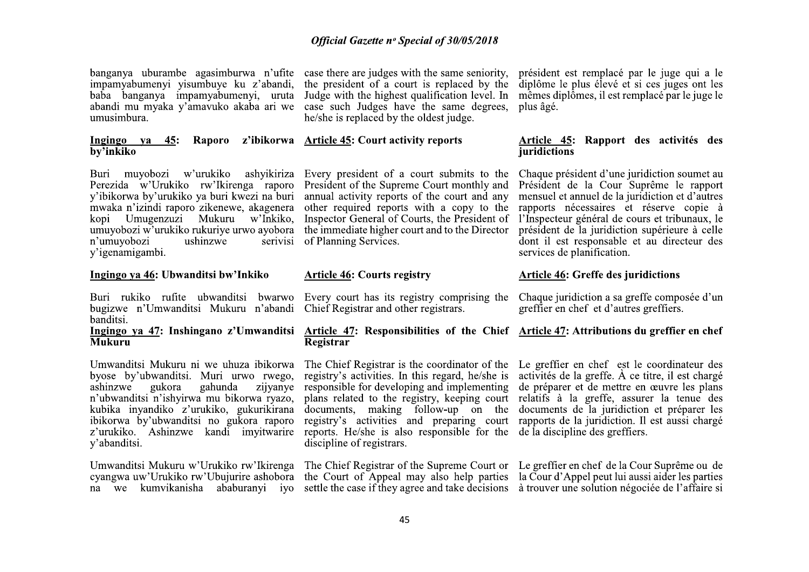banganya uburambe agasimburwa n'ufite case there are judges with the same seniority. impamyabumenyi yisumbuye ku z'abandi, baba banganya impamyabumenyi, uruta abandi mu myaka y'amavuko akaba ari we umusimbura.

#### Ingingo ya 45: by'inkiko

Buri muvobozi w'urukiko ashyikiriza Perezida w'Urukiko rw'Ikirenga raporo y'ibikorwa by'urukiko ya buri kwezi na buri mwaka n'izindi raporo zikenewe, akagenera kopi Umugenzuzi Mukuru w'Inkiko, umuyobozi w'urukiko rukuriye urwo ayobora the immediate higher court and to the Director n'umuvobozi ushinzwe v'igenamigambi.

#### Ingingo va 46: Ubwanditsi bw'Inkiko

Buri rukiko rufite ubwanditsi bwarwo Every court has its registry comprising the bugizwe n'Umwanditsi Mukuru n'abandi Chief Registrar and other registrars. banditsi.

# **Mukuru**

Umwanditsi Mukuru ni we uhuza ibikorwa byose by'ubwanditsi. Muri urwo rwego, ashinzwe gukora gahunda zijyanye n'ubwanditsi n'ishyirwa mu bikorwa ryazo, kubika inyandiko z'urukiko, gukurikirana ibikorwa by'ubwanditsi no gukora raporo z'urukiko. Ashinzwe kandi imvitwarire y'abanditsi.

Umwanditsi Mukuru w'Urukiko rw'Ikirenga cyangwa uw'Urukiko rw'Ubujurire ashobora the Court of Appeal may also help parties la Courd'Appel peut lui aussi aider les parties na we kumvikanisha ababuranyi iyo

the president of a court is replaced by the Judge with the highest qualification level. In case such Judges have the same degrees, he/she is replaced by the oldest judge.

## Raporo z'ibikorwa Article 45: Court activity reports

Every president of a court submits to the President of the Supreme Court monthly and annual activity reports of the court and any other required reports with a copy to the Inspector General of Courts, the President of serivisi of Planning Services.

#### **Article 46: Courts registry**

### Ingingo ya 47: Inshingano z'Umwanditsi Article 47: Responsibilities of the Chief Article 47: Attributions du greffier en chef Registrar

registry's activities. In this regard, he/she is responsible for developing and implementing de préparer et de mettre en œuvre les plans plans related to the registry, keeping court relatifs à la greffe, assurer la tenue des documents, making follow-up on the documents de la juridiction et préparer les registry's activities and preparing court rapports de la juridiction. Il est aussi chargé reports. He/she is also responsible for the de la discipline des greffiers. discipline of registrars.

président est remplacé par le juge qui a le diplôme le plus élevé et si ces juges ont les mêmes diplômes, il est remplacé par le juge le plus âgé.

#### Article 45: Rapport des activités des *iuridictions*

Chaque président d'une juridiction soumet au Président de la Cour Suprême le rapport mensuel et annuel de la juridiction et d'autres rapports nécessaires et réserve copie à l'Inspecteur général de cours et tribunaux, le président de la juridiction supérieure à celle dont il est responsable et au directeur des services de planification.

#### **Article 46: Greffe des juridictions**

Chaque juridiction a sa greffe composée d'un greffier en chef et d'autres greffiers.

The Chief Registrar is the coordinator of the Le greffier en chef est le coordinateur des activités de la greffe. À ce titre, il est chargé

The Chief Registrar of the Supreme Court or Le greffier en chef de la Cour Suprême ou de settle the case if they agree and take decisions à trouver une solution négociée de l'affaire si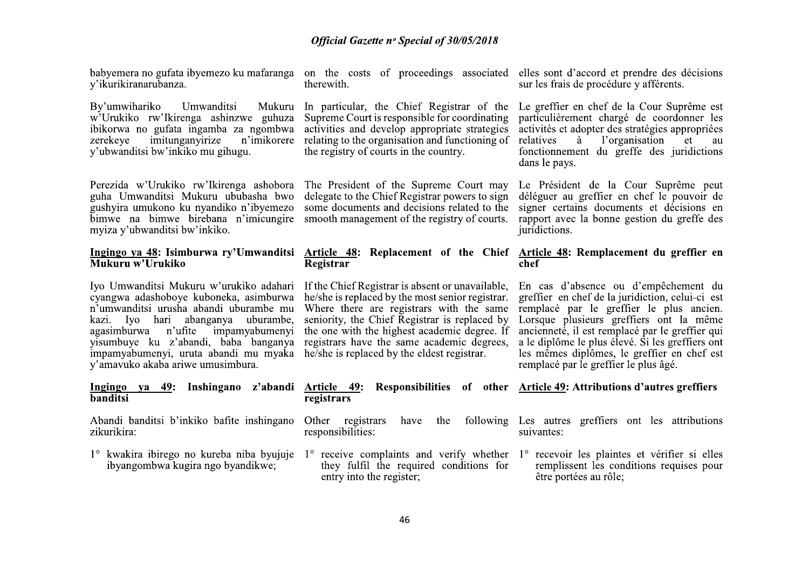y'ikurikiranarubanza.

By'umwihariko Umwanditsi Mukuru w'Urukiko rw'Ikirenga ashinzwe guhuza ibikorwa no gufata ingamba za ngombwa imitunganvirize n'imikorere zerekeve y'ubwanditsi bw'inkiko mu gihugu.

Perezida w'Urukiko rw'Ikirenga ashobora guha Umwanditsi Mukuru ububasha bwo gushyira umukono ku nyandiko n'ibyemezo bimwe na bimwe birebana n'imicungire smooth management of the registry of courts. myiza y'ubwanditsi bw'inkiko.

# Mukuru w'Urukiko

Iyo Umwanditsi Mukuru w'urukiko adahari cyangwa adashoboye kuboneka, asimburwa n'umwanditsi urusha abandi uburambe mu kazi. Iyo hari abanganya uburambe, agasimburwa n'ufite impamyabumenyi yisumbuye ku z'abandi, baba banganya impamyabumenyi, uruta abandi mu myaka he/she is replaced by the eldest registrar. y'amavuko akaba ariwe umusimbura.

#### Ingingo ya 49: Inshingano z'abandi Article 49: **banditsi**

Abandi banditsi b'inkiko bafite inshingano zikurikira:

1° kwakira ibirego no kureba niba byujuje ibyangombwa kugira ngo byandikwe;

therewith.

In particular, the Chief Registrar of the Supreme Court is responsible for coordinating activities and develop appropriate strategies relating to the organisation and functioning of the registry of courts in the country.

The President of the Supreme Court may delegate to the Chief Registrar powers to sign some documents and decisions related to the

# Registrar

If the Chief Registrar is absent or unavailable, he/she is replaced by the most senior registrar. Where there are registrars with the same seniority, the Chief Registrar is replaced by the one with the highest academic degree. If registrars have the same academic degrees,

# registrars

Other registrars have the responsibilities:

they fulfil the required conditions for entry into the register.

babyemera no gufata ibyemezo ku mafaranga on the costs of proceedings associated elles sont d'accord et prendre des décisions sur les frais de procédure y afférents.

> Le greffier en chef de la Cour Suprême est particulièrement chargé de coordonner les activités et adopter des stratégies appropriées l'organisation relatives à et au fonctionnement du greffe des juridictions dans le pays.

> Le Président de la Cour Suprême peut déléguer au greffier en chef le pouvoir de signer certains documents et décisions en rapport avec la bonne gestion du greffe des juridictions.

## Ingingo ya 48: Isimburwa ry'Umwanditsi Article 48: Replacement of the Chief Article 48: Remplacement du greffier en  $chef$

En cas d'absence ou d'empêchement du greffier en chef de la juridiction, celui-ci est remplacé par le greffier le plus ancien. Lorsque plusieurs greffiers ont la même ancienneté, il est remplacé par le greffier qui a le diplôme le plus élevé. Si les greffiers ont les mêmes diplômes, le greffier en chef est remplacé par le greffier le plus âgé.

## Responsibilities of other Article 49: Attributions d'autres greffiers

following Les autres greffiers ont les attributions suivantes:

 $1^\circ$  receive complaints and verify whether  $1^\circ$  recevoir les plaintes et vérifier si elles remplissent les conditions requises pour être portées au rôle;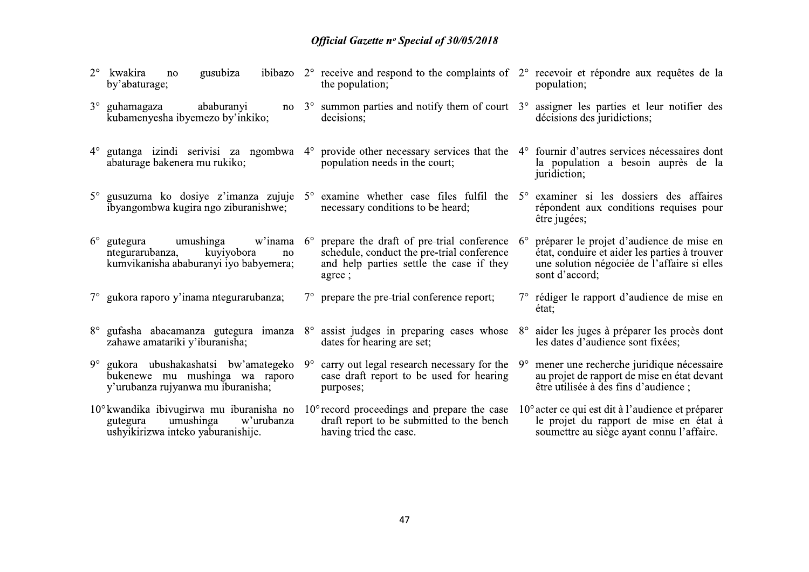| kwakira<br>gusubiza<br>no<br>by'abaturage;                                                                                     |           | ibibazo $2^{\circ}$ receive and respond to the complaints of $2^{\circ}$ recevoir et répondre aux requêtes de la<br>the population;                                               |             | population;                                                                                                                                                |
|--------------------------------------------------------------------------------------------------------------------------------|-----------|-----------------------------------------------------------------------------------------------------------------------------------------------------------------------------------|-------------|------------------------------------------------------------------------------------------------------------------------------------------------------------|
| $3^\circ$ guhamagaza<br>ababuranyi<br>kubamenyesha ibyemezo by'inkiko;                                                         |           | no $3^{\circ}$ summon parties and notify them of court $3^{\circ}$ assigner les parties et leur notifier des<br>decisions:                                                        |             | décisions des juridictions;                                                                                                                                |
| abaturage bakenera mu rukiko;                                                                                                  |           | 4° gutanga izindi serivisi za ngombwa 4° provide other necessary services that the 4° fournir d'autres services nécessaires dont<br>population needs in the court;                |             | la population a besoin auprès de la<br>juridiction;                                                                                                        |
| ibyangombwa kugira ngo ziburanishwe;                                                                                           |           | $5^\circ$ gusuzuma ko dosiye z'imanza zujuje $5^\circ$ examine whether case files fulfil the $5^\circ$ examiner si les dossiers des affaires<br>necessary conditions to be heard; |             | répondent aux conditions requises pour<br>être jugées;                                                                                                     |
| $6^{\circ}$ gutegura<br>umushinga<br>ntegurarubanza,<br>kuyiyobora<br>no<br>kumvikanisha ababuranyi iyo babyemera;             |           | w'inama 6° prepare the draft of pre-trial conference<br>schedule, conduct the pre-trial conference<br>and help parties settle the case if they<br>agree;                          | $6^{\circ}$ | préparer le projet d'audience de mise en<br>état, conduire et aider les parties à trouver<br>une solution négociée de l'affaire si elles<br>sont d'accord; |
| 7° gukora raporo y'inama ntegurarubanza;                                                                                       |           | $7^\circ$ prepare the pre-trial conference report;                                                                                                                                |             | 7° rédiger le rapport d'audience de mise en<br>état:                                                                                                       |
| zahawe amatariki y'iburanisha;                                                                                                 |           | $8^\circ$ gufasha abacamanza gutegura imanza $8^\circ$ assist judges in preparing cases whose<br>dates for hearing are set;                                                       | $8^{\circ}$ | aider les juges à préparer les procès dont<br>les dates d'audience sont fixées;                                                                            |
| 9° gukora ubushakashatsi bw'amategeko<br>bukenewe mu mushinga wa raporo<br>y'urubanza rujyanwa mu iburanisha;                  | $9^\circ$ | carry out legal research necessary for the<br>case draft report to be used for hearing<br>purposes;                                                                               | $9^{\circ}$ | mener une recherche juridique nécessaire<br>au projet de rapport de mise en état devant<br>être utilisée à des fins d'audience ;                           |
| $10^{\circ}$ kwandika ibivugirwa mu iburanisha no<br>umushinga<br>w'urubanza<br>gutegura<br>ushyikirizwa inteko yaburanishije. |           | $10^{\circ}$ record proceedings and prepare the case<br>draft report to be submitted to the bench<br>having tried the case.                                                       |             | 10° acter ce qui est dit à l'audience et préparer<br>le projet du rapport de mise en état à<br>soumettre au siège ayant connu l'affaire.                   |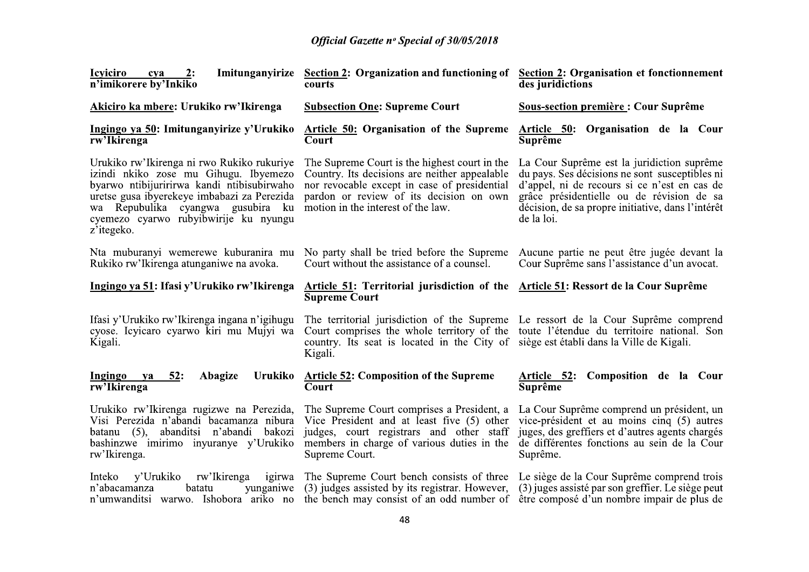| 2:<br><b>Icyiciro</b><br>cya<br>n'imikorere by'Inkiko                                                                                                                                                                                                                        | Imitunganyirize Section 2: Organization and functioning of<br>courts                                                                                                                                                                                                             | <b>Section 2: Organisation et fonctionnement</b><br>des juridictions                                                                                                                                                                                         |
|------------------------------------------------------------------------------------------------------------------------------------------------------------------------------------------------------------------------------------------------------------------------------|----------------------------------------------------------------------------------------------------------------------------------------------------------------------------------------------------------------------------------------------------------------------------------|--------------------------------------------------------------------------------------------------------------------------------------------------------------------------------------------------------------------------------------------------------------|
| Akiciro ka mbere: Urukiko rw'Ikirenga                                                                                                                                                                                                                                        | <b>Subsection One: Supreme Court</b>                                                                                                                                                                                                                                             | <b>Sous-section première: Cour Suprême</b>                                                                                                                                                                                                                   |
| Ingingo ya 50: Imitunganyirize y'Urukiko<br>rw'Ikirenga                                                                                                                                                                                                                      | <b>Article 50: Organisation of the Supreme</b><br>Court                                                                                                                                                                                                                          | Article 50: Organisation de la Cour<br><b>Suprême</b>                                                                                                                                                                                                        |
| Urukiko rw'Ikirenga ni rwo Rukiko rukuriye<br>izindi nkiko zose mu Gihugu. Ibyemezo<br>byarwo ntibijuririrwa kandi ntibisubirwaho<br>uretse gusa ibyerekeye imbabazi za Perezida<br>wa Repubulika cyangwa gusubira ku<br>cyemezo cyarwo rubyibwirije ku nyungu<br>z'itegeko. | The Supreme Court is the highest court in the<br>Country. Its decisions are neither appealable<br>nor revocable except in case of presidential<br>pardon or review of its decision on own<br>motion in the interest of the law.                                                  | La Cour Suprême est la juridiction suprême<br>du pays. Ses décisions ne sont susceptibles ni<br>d'appel, ni de recours si ce n'est en cas de<br>grâce présidentielle ou de révision de sa<br>décision, de sa propre initiative, dans l'intérêt<br>de la loi. |
| Nta muburanyi wemerewe kuburanira mu<br>Rukiko rw'Ikirenga atunganiwe na avoka.                                                                                                                                                                                              | No party shall be tried before the Supreme<br>Court without the assistance of a counsel.                                                                                                                                                                                         | Aucune partie ne peut être jugée devant la<br>Cour Suprême sans l'assistance d'un avocat.                                                                                                                                                                    |
| Ingingo ya 51: Ifasi y'Urukiko rw'Ikirenga                                                                                                                                                                                                                                   | <b>Article 51: Territorial jurisdiction of the</b><br><b>Supreme Court</b>                                                                                                                                                                                                       | Article 51: Ressort de la Cour Suprême                                                                                                                                                                                                                       |
| Ifasi y'Urukiko rw'Ikirenga ingana n'igihugu<br>cyose. Icyicaro cyarwo kiri mu Mujyi wa<br>Kigali.                                                                                                                                                                           | The territorial jurisdiction of the Supreme Le ressort de la Cour Suprême comprend<br>Court comprises the whole territory of the toute l'étendue du territoire national. Son<br>country. Its seat is located in the City of siège est établi dans la Ville de Kigali.<br>Kigali. |                                                                                                                                                                                                                                                              |
| Ingingo<br>52:<br>Abagize<br>Urukiko<br>ya<br>rw'Ikirenga                                                                                                                                                                                                                    | <b>Article 52: Composition of the Supreme</b><br>Court                                                                                                                                                                                                                           | Article 52:<br>Composition de la Cour<br>Suprême                                                                                                                                                                                                             |
| Urukiko rw'Ikirenga rugizwe na Perezida,<br>Visi Perezida n'abandi bacamanza nibura<br>batanu $(5)$ ,<br>abanditsi n'abandi<br>bakozi<br>bashinzwe imirimo inyuranye y'Urukiko<br>rw'Ikirenga.                                                                               | The Supreme Court comprises a President, a<br>Vice President and at least five (5) other<br>judges, court registrars and other staff<br>members in charge of various duties in the<br>Supreme Court.                                                                             | La Cour Suprême comprend un président, un<br>vice-président et au moins cinq (5) autres<br>juges, des greffiers et d'autres agents chargés<br>de différentes fonctions au sein de la Cour<br>Suprême.                                                        |
| rw'Ikirenga<br>y'Urukiko<br>Inteko<br>igirwa<br>batatu<br>n'abacamanza<br>yunganiwe<br>n'umwanditsi warwo. Ishobora ariko no                                                                                                                                                 | The Supreme Court bench consists of three<br>(3) judges assisted by its registrar. However,<br>the bench may consist of an odd number of                                                                                                                                         | Le siège de la Cour Suprême comprend trois<br>(3) juges assisté par son greffier. Le siège peut<br>être composé d'un nombre impair de plus de                                                                                                                |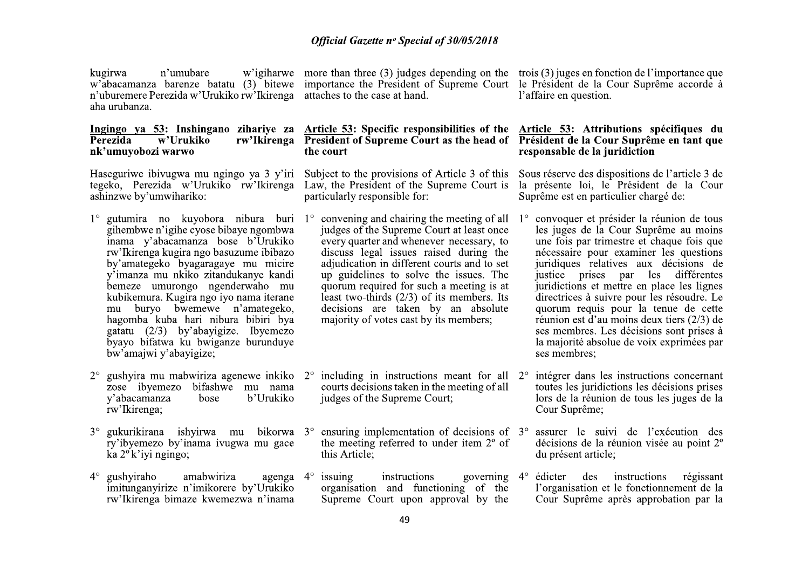kugirwa n'umubare n'uburemere Perezida w'Urukiko rw'Ikirenga aha urubanza.

#### Perezida w'Urukiko nk'umuyobozi warwo

Haseguriwe ibivugwa mu ngingo ya 3 y'iri Subject to the provisions of Article 3 of this tegeko, Perezida w'Urukiko rw'Ikirenga ashinzwe by'umwihariko:

- $1^{\circ}$  gutumira no kuvobora nibura buri  $1^{\circ}$  convening and chairing the meeting of all gihembwe n'igihe cyose bibaye ngombwa inama v'abacamanza bose b'Urukiko rw'Ikirenga kugira ngo basuzume ibibazo by'amategeko byagaragaye mu micire v'imanza mu nkiko zitandukanye kandi bemeze umurongo ngenderwaho mu kubikemura. Kugira ngo iyo nama iterane mu buryo bwemewe n'amategeko, hagomba kuba hari nibura bibiri bya gatatu  $(2/3)$  by abayigize. Iby emezo byayo bifatwa ku bwiganze burunduye bw'amajwi y'abayigize;
- gushyira mu mabwiriza agenewe inkiko 2° zose ibyemezo bifashwe mu nama b'Urukiko y'abacamanza bose rw'lkirenga;
- ry'ibyemezo by'inama ivugwa mu gace ka  $2^\circ$ k'iyi ngingo;
- gushyiraho agenga  $4^\circ$ amabwiriza  $4^\circ$ imitunganyirize n'imikorere by'Urukiko rw'Ikirenga bimaze kwemezwa n'inama

w'igiharwe more than three  $(3)$  judges depending on the trois  $(3)$  juges en fonction de l'importance que w'abacamanza barenze batatu (3) bitewe importance the President of Supreme Court le Président de la Cour Suprême accorde à attaches to the case at hand.

## Ingingo ya 53: Inshingano zihariye za Article 53: Specific responsibilities of the Article 53: Attributions spécifiques du rw'Ikirenga President of Supreme Court as the head of Président de la Cour Suprême en tant que the court

Law, the President of the Supreme Court is particularly responsible for:

- judges of the Supreme Court at least once every quarter and whenever necessary, to discuss legal issues raised during the adjudication in different courts and to set up guidelines to solve the issues. The quorum required for such a meeting is at least two-thirds  $(2/3)$  of its members. Its decisions are taken by an absolute majority of votes cast by its members:
- including in instructions meant for all  $2^{\circ}$ courts decisions taken in the meeting of all judges of the Supreme Court;
- $3^{\circ}$  gukurikirana ishyirwa mu bikorwa  $3^{\circ}$  ensuring implementation of decisions of  $3^{\circ}$ the meeting referred to under item 2° of this Article:
	- governing  $4^\circ$ issuing instructions organisation and functioning of the Supreme Court upon approval by the

l'affaire en question.

# responsable de la juridiction

Sous réserve des dispositions de l'article 3 de la présente loi, le Président de la Cour Suprême est en particulier chargé de:

- 1<sup>°</sup> convoquer et présider la réunion de tous les juges de la Cour Suprême au moins une fois par trimestre et chaque fois que nécessaire pour examiner les questions juridiques relatives aux décisions de justice prises par les différentes juridictions et mettre en place les lignes directrices à suivre pour les résoudre. Le quorum requis pour la tenue de cette réunion est d'au moins deux tiers  $(2/3)$  de ses membres. Les décisions sont prises à la majorité absolue de voix exprimées par ses membres:
- intégrer dans les instructions concernant toutes les juridictions les décisions prises lors de la réunion de tous les juges de la Cour Suprême;
	- assurer le suivi de l'exécution des décisions de la réunion visée au point 2° du présent article;
	- édicter des instructions régissant l'organisation et le fonctionnement de la Cour Suprême après approbation par la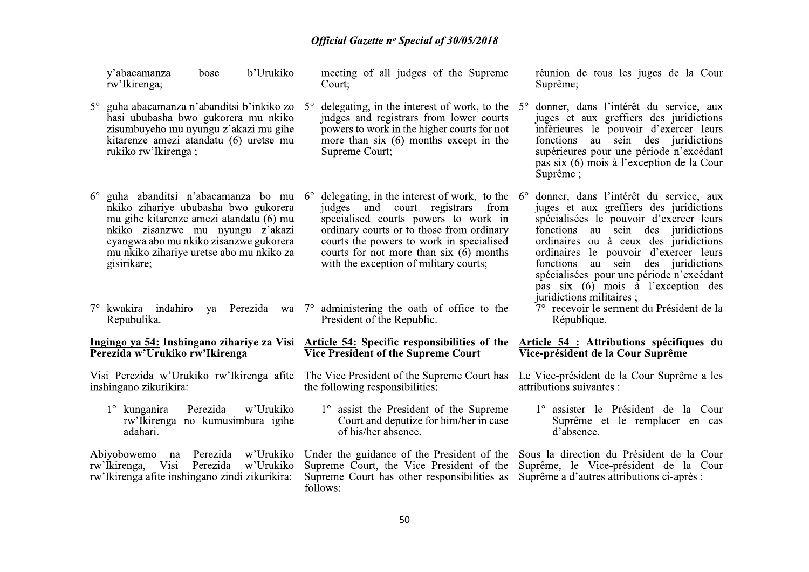|                                                                              | bose<br>y'abacamanza<br>rw'Ikirenga;                                                                                                                                                                                                                          | b'Urukiko              |                                                                                                   | meeting of all judges of the Supreme<br>Court;                                                                                                                                                                                                                                                                      |                                                                               | réunion de tous les juges de la Cour<br>Suprême;                                                                                                                                                                                                                                                                                                                             |
|------------------------------------------------------------------------------|---------------------------------------------------------------------------------------------------------------------------------------------------------------------------------------------------------------------------------------------------------------|------------------------|---------------------------------------------------------------------------------------------------|---------------------------------------------------------------------------------------------------------------------------------------------------------------------------------------------------------------------------------------------------------------------------------------------------------------------|-------------------------------------------------------------------------------|------------------------------------------------------------------------------------------------------------------------------------------------------------------------------------------------------------------------------------------------------------------------------------------------------------------------------------------------------------------------------|
|                                                                              | 5° guha abacamanza n'abanditsi b'inkiko zo<br>hasi ububasha bwo gukorera mu nkiko<br>zisumbuyeho mu nyungu z'akazi mu gihe<br>kitarenze amezi atandatu (6) uretse mu<br>rukiko rw'Ikirenga;                                                                   |                        | $5^{\circ}$                                                                                       | delegating, in the interest of work, to the<br>judges and registrars from lower courts<br>powers to work in the higher courts for not<br>more than $six(6)$ months except in the<br>Supreme Court;                                                                                                                  | $5^\circ$                                                                     | donner, dans l'intérêt du service, aux<br>juges et aux greffiers des juridictions<br>inférieures le pouvoir d'exercer leurs<br>fonctions au sein des juridictions<br>supérieures pour une période n'excédant<br>pas six (6) mois à l'exception de la Cour<br>Suprême ;                                                                                                       |
| $6^{\circ}$                                                                  | guha abanditsi n'abacamanza bo mu<br>nkiko zihariye ububasha bwo gukorera<br>mu gihe kitarenze amezi atandatu (6) mu<br>nkiko zisanzwe mu nyungu z'akazi<br>cyangwa abo mu nkiko zisanzwe gukorera<br>mu nkiko zihariye uretse abo mu nkiko za<br>gisirikare; |                        | $6^{\circ}$                                                                                       | delegating, in the interest of work, to the $6^{\circ}$<br>judges and court registrars from<br>specialised courts powers to work in<br>ordinary courts or to those from ordinary<br>courts the powers to work in specialised<br>courts for not more than six $(6)$ months<br>with the exception of military courts; |                                                                               | donner, dans l'intérêt du service, aux<br>juges et aux greffiers des juridictions<br>spécialisées le pouvoir d'exercer leurs<br>fonctions au sein des juridictions<br>ordinaires ou à ceux des juridictions<br>ordinaires le pouvoir d'exercer leurs<br>fonctions au sein des juridictions<br>spécialisées pour une période n'excédant<br>pas six (6) mois à l'exception des |
|                                                                              | $7^\circ$ kwakira indahiro<br>ya<br>Repubulika.                                                                                                                                                                                                               | Perezida               |                                                                                                   | wa 7° administering the oath of office to the<br>President of the Republic.                                                                                                                                                                                                                                         |                                                                               | juridictions militaires;<br>7° recevoir le serment du Président de la<br>République.                                                                                                                                                                                                                                                                                         |
| Ingingo ya 54: Inshingano zihariye za Visi<br>Perezida w'Urukiko rw'Ikirenga |                                                                                                                                                                                                                                                               |                        | <b>Article 54: Specific responsibilities of the</b><br><b>Vice President of the Supreme Court</b> |                                                                                                                                                                                                                                                                                                                     | Article 54 : Attributions spécifiques du<br>Vice-président de la Cour Suprême |                                                                                                                                                                                                                                                                                                                                                                              |
| Visi Perezida w'Urukiko rw'Ikirenga afite<br>inshingano zikurikira:          |                                                                                                                                                                                                                                                               |                        | The Vice President of the Supreme Court has<br>the following responsibilities:                    |                                                                                                                                                                                                                                                                                                                     | Le Vice-président de la Cour Suprême a les<br>attributions suivantes :        |                                                                                                                                                                                                                                                                                                                                                                              |
|                                                                              | $1^\circ$ kunganira<br>Perezida<br>rw'Ikirenga no kumusimbura igihe<br>adahari.                                                                                                                                                                               | w'Urukiko              |                                                                                                   | 1° assist the President of the Supreme<br>Court and deputize for him/her in case<br>of his/her absence.                                                                                                                                                                                                             |                                                                               | 1° assister le Président de la Cour<br>Suprême et le remplacer en cas<br>d'absence.                                                                                                                                                                                                                                                                                          |
|                                                                              | Abiyobowemo<br>Perezida<br>na<br>rw'Ikirenga, Visi<br>Perezida<br>rw'Ikirenga afite inshingano zindi zikurikira:                                                                                                                                              | w'Urukiko<br>w'Urukiko |                                                                                                   | Under the guidance of the President of the<br>Supreme Court, the Vice President of the<br>Supreme Court has other responsibilities as<br>follows:                                                                                                                                                                   |                                                                               | Sous la direction du Président de la Cour<br>Suprême, le Vice-président de la Cour<br>Suprême a d'autres attributions ci-après :                                                                                                                                                                                                                                             |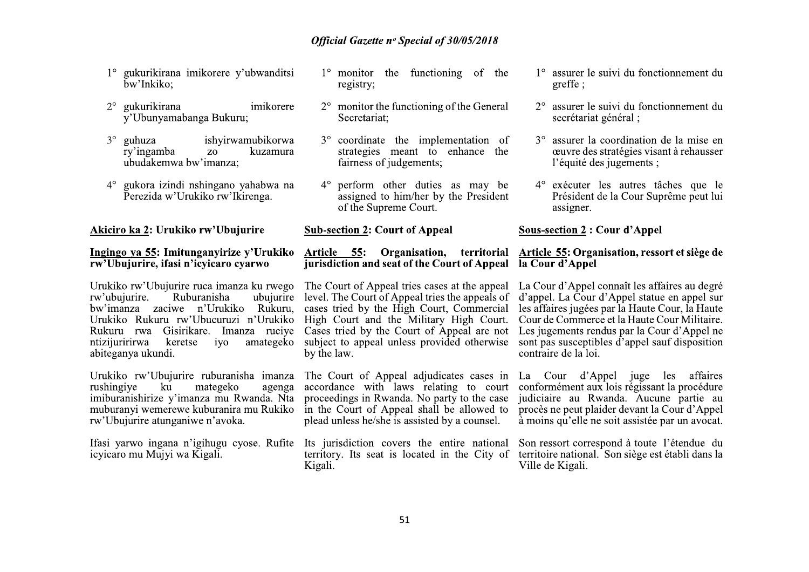- 1° gukurikirana imikorere y'ubwanditsi bw'Inkiko:
- gukurikirana  $2^{\circ}$ imikorere y'Ubunyamabanga Bukuru;
- $3^\circ$ guhuza ishvirwamubikorwa ry'ingamba Z<sub>0</sub> kuzamura ubudakemwa bw'imanza:
- gukora izindi nshingano yahabwa na  $4^\circ$ Perezida w'Urukiko rw'Ikirenga.

Akiciro ka 2: Urukiko rw'Ubujurire

#### Ingingo ya 55: Imitunganyirize y'Urukiko rw'Ubujurire, ifasi n'icvicaro cvarwo

Urukiko rw'Ubujurire ruca imanza ku rwego Ruburanisha rw'ubujurire. ubujurire bw'imanza zaciwe n'Urukiko Rukuru, cases tried by the High Court, Commercial Urukiko Rukuru rw'Ubucuruzi n'Urukiko High Court and the Military High Court. Rukuru rwa Gisirikare. Imanza ruciye ntizijuririrwa keretse  $iv<sub>o</sub>$ amategeko abiteganya ukundi.

Urukiko rw'Ubujurire ruburanisha imanza mategeko rushingive ku agenga imiburanishirize y'imanza mu Rwanda. Nta muburanyi wemerewe kuburanira mu Rukiko rw'Ubujurire atunganiwe n'avoka.

Ifasi yarwo ingana n'igihugu cyose. Rufite Its jurisdiction covers the entire national icyjcaro mu Mujyi wa Kigali.

- $1^\circ$  monitor the functioning of the registry;
- $2^{\circ}$  monitor the functioning of the General Secretariat:
- 3° coordinate the implementation of strategies meant to enhance the fairness of judgements:
- 4° perform other duties as may be assigned to him/her by the President of the Supreme Court.

**Sub-section 2: Court of Appeal** 

# **jurisdiction** and seat of the Court of Appeal la Cour d'Appel

level. The Court of Appeal tries the appeals of Cases tried by the Court of Appeal are not subject to appeal unless provided otherwise by the law.

The Court of Appeal adjudicates cases in accordance with laws relating to court proceedings in Rwanda. No party to the case in the Court of Appeal shall be allowed to plead unless he/she is assisted by a counsel.

territory. Its seat is located in the City of Kigali.

- 1° assurer le suivi du fonctionnement du greffe:
- 2° assurer le suivi du fonctionnement du secrétariat général ;
- 3° assurer la coordination de la mise en œuvre des stratégies visant à rehausser l'équité des jugements :
- 4<sup>°</sup> exécuter les autres tâches que le Président de la Cour Suprême peut lui assigner.

## **Sous-section 2: Cour d'Appel**

# Article 55: Organisation, territorial Article 55: Organisation, ressort et siège de

The Court of Appeal tries cases at the appeal La Cour d'Appel connaît les affaires au degré d'appel. La Cour d'Appel statue en appel sur les affaires jugées par la Haute Cour, la Haute Cour de Commerce et la Haute Cour Militaire. Les jugements rendus par la Cour d'Appel ne sont pas susceptibles  $\vec{d}$  appel sauf disposition contraire de la loi.

> La Cour d'Appel juge les affaires conformément aux lois régissant la procédure judiciaire au Rwanda. Aucune partie au procès ne peut plaider devant la Cour d'Appel à moins qu'elle ne soit assistée par un avocat.

> Son ressort correspond à toute l'étendue du territoire national. Son siège est établi dans la Ville de Kigali.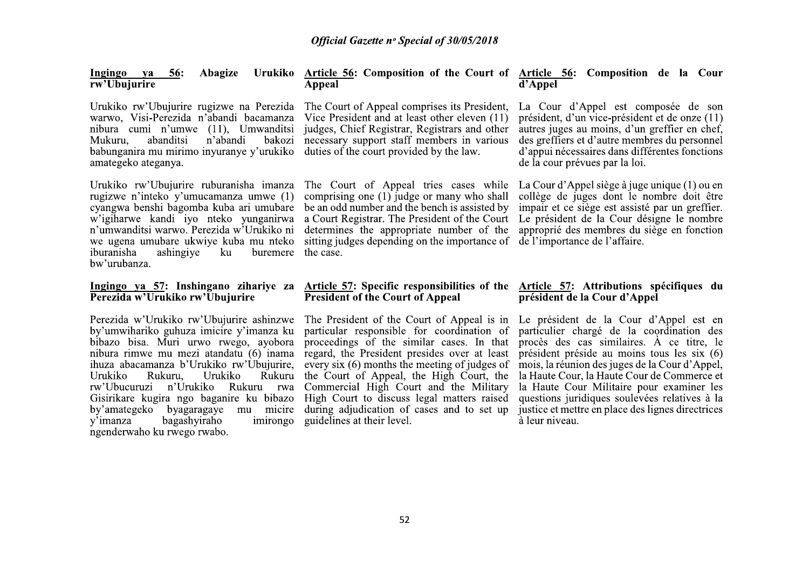| <b>Abagize</b><br><b>56:</b><br>Ingingo<br>va<br>rw'Ubujurire                                                                                                                                                                                                                                                            | Urukiko Article 56: Composition of the Court of Article 56: Composition de la Cour<br>Appeal                                                                                                                                                                                                    | d'Appel                                                                                                                                                                                                                                                                     |
|--------------------------------------------------------------------------------------------------------------------------------------------------------------------------------------------------------------------------------------------------------------------------------------------------------------------------|-------------------------------------------------------------------------------------------------------------------------------------------------------------------------------------------------------------------------------------------------------------------------------------------------|-----------------------------------------------------------------------------------------------------------------------------------------------------------------------------------------------------------------------------------------------------------------------------|
| Urukiko rw'Ubujurire rugizwe na Perezida<br>warwo, Visi-Perezida n'abandi bacamanza<br>nibura cumi n'umwe (11), Umwanditsi<br>abanditsi<br>n'abandi<br>bakozi<br>Mukuru,<br>babunganira mu mirimo inyuranye y'urukiko<br>amategeko ateganya.                                                                             | The Court of Appeal comprises its President,<br>Vice President and at least other eleven (11)<br>judges, Chief Registrar, Registrars and other<br>necessary support staff members in various<br>duties of the court provided by the law.                                                        | La Cour d'Appel est composée de son<br>président, d'un vice-président et de onze (11)<br>autres juges au moins, d'un greffier en chef,<br>des greffiers et d'autre membres du personnel<br>d'appui nécessaires dans différentes fonctions<br>de la cour prévues par la loi. |
| Urukiko rw'Ubujurire ruburanisha imanza<br>rugizwe n'inteko y'umucamanza umwe (1)<br>cyangwa benshi bagomba kuba ari umubare<br>w'igiharwe kandi iyo nteko yunganirwa<br>n'umwanditsi warwo. Perezida w'Urukiko ni<br>we ugena umubare ukwiye kuba mu nteko<br>iburanisha<br>ashingiye<br>buremere<br>ku<br>bw'urubanza. | The Court of Appeal tries cases while<br>comprising one (1) judge or many who shall<br>be an odd number and the bench is assisted by<br>a Court Registrar. The President of the Court<br>determines the appropriate number of the<br>sitting judges depending on the importance of<br>the case. | La Cour d'Appel siège à juge unique (1) ou en<br>collège de juges dont le nombre doit être<br>impair et ce siège est assisté par un greffier.<br>Le président de la Cour désigne le nombre<br>approprié des membres du siège en fonction<br>de l'importance de l'affaire.   |
| Ingingo ya 57: Inshingano zihariye za<br>Perezida w'Urukiko rw'Ubujurire                                                                                                                                                                                                                                                 | Article 57: Specific responsibilities of the<br><b>President of the Court of Appeal</b>                                                                                                                                                                                                         | Article 57: Attributions spécifiques du<br>président de la Cour d'Appel                                                                                                                                                                                                     |
| Perezida w'Urukiko rw'Ubujurire ashinzwe<br>by'umwihariko guhuza imicire y'imanza ku<br>bibazo bisa. Muri urwo rwego, ayobora<br>nibura rimwe mu mezi atandatu (6) inama<br>ihuza abacamanza b'Urukiko rw'Ubujurire,                                                                                                     | The President of the Court of Appeal is in<br>particular responsible for coordination of<br>proceedings of the similar cases. In that<br>regard, the President presides over at least<br>every six (6) months the meeting of judges of                                                          | Le président de la Cour d'Appel est en<br>particulier chargé de la coordination des<br>procès des cas similaires. A ce titre, le<br>président préside au moins tous les six (6)<br>mois, la réunion des juges de la Cour d'Appel,                                           |

la Haute Cour, la Haute Cour de Commerce et

la Haute Cour Militaire pour examiner les

questions juridiques soulevées relatives à la

justice et mettre en place des lignes directrices

 $\lambda$  leur niveau.

Rukuru the Court of Appeal, the High Court, the

Urukiko

y'imanza

Rukuru,

ngenderwaho ku rwego rwabo.

bagashyiraho

Urukiko

rw'Ubucuruzi n'Urukiko Rukuru rwa Commercial High Court and the Military

Gisirikare kugira ngo baganire ku bibazo High Court to discuss legal matters raised

by'amategeko byagaragaye mu micire during adjudication of cases and to set up

imirongo guidelines at their level.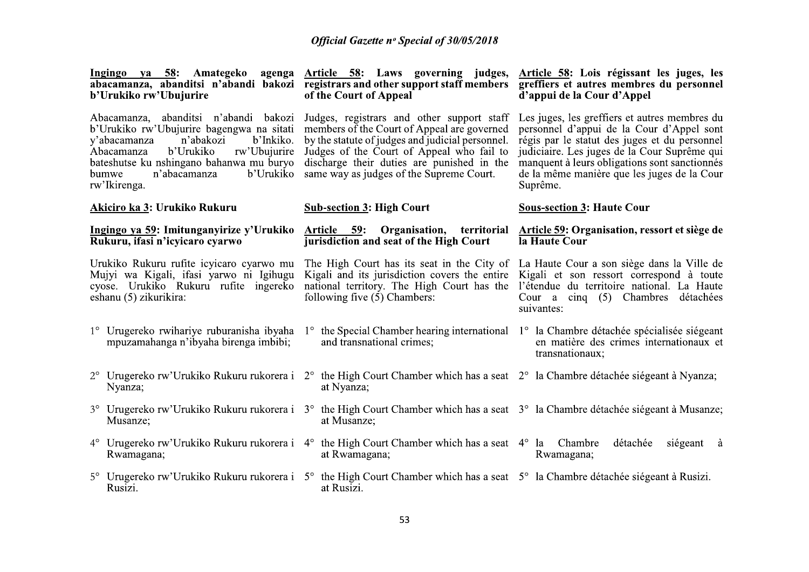| Ingingo ya 58: Amategeko<br>agenga<br>abacamanza, abanditsi n'abandi bakozi<br>b'Urukiko rw'Ubujurire                                                                                                                                                                     | Article 58: Laws governing judges,<br>registrars and other support staff members<br>of the Court of Appeal                                                                                                                                                                           | Article 58: Lois régissant les juges, les<br>greffiers et autres membres du personnel<br>d'appui de la Cour d'Appel                                                                                                                                                                                     |
|---------------------------------------------------------------------------------------------------------------------------------------------------------------------------------------------------------------------------------------------------------------------------|--------------------------------------------------------------------------------------------------------------------------------------------------------------------------------------------------------------------------------------------------------------------------------------|---------------------------------------------------------------------------------------------------------------------------------------------------------------------------------------------------------------------------------------------------------------------------------------------------------|
| Abacamanza, abanditsi n'abandi bakozi<br>b'Urukiko rw'Ubujurire bagengwa na sitati<br>n'abakozi<br>b'Inkiko.<br>y'abacamanza<br>b'Urukiko<br>Abacamanza<br>rw'Ubujurire<br>bateshutse ku nshingano bahanwa mu buryo<br>b'Urukiko<br>bumwe<br>n'abacamanza<br>rw'Ikirenga. | Judges, registrars and other support staff<br>members of the Court of Appeal are governed<br>by the statute of judges and judicial personnel.<br>Judges of the Court of Appeal who fail to<br>discharge their duties are punished in the<br>same way as judges of the Supreme Court. | Les juges, les greffiers et autres membres du<br>personnel d'appui de la Cour d'Appel sont<br>régis par le statut des juges et du personnel<br>judiciaire. Les juges de la Cour Suprême qui<br>manquent à leurs obligations sont sanctionnés<br>de la même manière que les juges de la Cour<br>Suprême. |
| Akiciro ka 3: Urukiko Rukuru                                                                                                                                                                                                                                              | <b>Sub-section 3: High Court</b>                                                                                                                                                                                                                                                     | <b>Sous-section 3: Haute Cour</b>                                                                                                                                                                                                                                                                       |
| Ingingo ya 59: Imitunganyirize y'Urukiko<br>Rukuru, ifasi n'icyicaro cyarwo                                                                                                                                                                                               | Article 59: Organisation,<br>territorial<br>jurisdiction and seat of the High Court                                                                                                                                                                                                  | <b>Article 59: Organisation, ressort et siège de</b><br>la Haute Cour                                                                                                                                                                                                                                   |
| Urukiko Rukuru rufite icyicaro cyarwo mu<br>Mujyi wa Kigali, ifasi yarwo ni Igihugu<br>cyose. Urukiko Rukuru rufite ingereko<br>eshanu (5) zikurikira:                                                                                                                    | The High Court has its seat in the City of<br>Kigali and its jurisdiction covers the entire<br>national territory. The High Court has the<br>following five (5) Chambers:                                                                                                            | La Haute Cour a son siège dans la Ville de<br>Kigali et son ressort correspond à toute<br>l'étendue du territoire national. La Haute<br>Cour a cinq $(5)$ Chambres<br>détachées<br>suivantes:                                                                                                           |
| 1° Urugereko rwihariye ruburanisha ibyaha<br>mpuzamahanga n'ibyaha birenga imbibi;                                                                                                                                                                                        | and transnational crimes;                                                                                                                                                                                                                                                            | 1° the Special Chamber hearing international 1° la Chambre détachée spécialisée siégeant<br>en matière des crimes internationaux et<br>transnationaux;                                                                                                                                                  |
| Nyanza;                                                                                                                                                                                                                                                                   | Urugereko rw'Urukiko Rukuru rukorera i 2° the High Court Chamber which has a seat 2° la Chambre détachée siégeant à Nyanza;<br>at Nyanza;                                                                                                                                            |                                                                                                                                                                                                                                                                                                         |
| $3^\circ$<br>Musanze;                                                                                                                                                                                                                                                     | Urugereko rw'Urukiko Rukuru rukorera i 3° the High Court Chamber which has a seat 3° la Chambre détachée siégeant à Musanze;<br>at Musanze;                                                                                                                                          |                                                                                                                                                                                                                                                                                                         |
| Urugereko rw'Urukiko Rukuru rukorera i 4 <sup>°</sup><br>$4^\circ$<br>Rwamagana;                                                                                                                                                                                          | the High Court Chamber which has a seat $4^{\circ}$ la Chambre<br>at Rwamagana;                                                                                                                                                                                                      | siégeant à<br>détachée<br>Rwamagana;                                                                                                                                                                                                                                                                    |
| Rusizi.                                                                                                                                                                                                                                                                   | Urugereko rw'Urukiko Rukuru rukorera i 5° the High Court Chamber which has a seat 5° la Chambre détachée siégeant à Rusizi.<br>at Rusizi.                                                                                                                                            |                                                                                                                                                                                                                                                                                                         |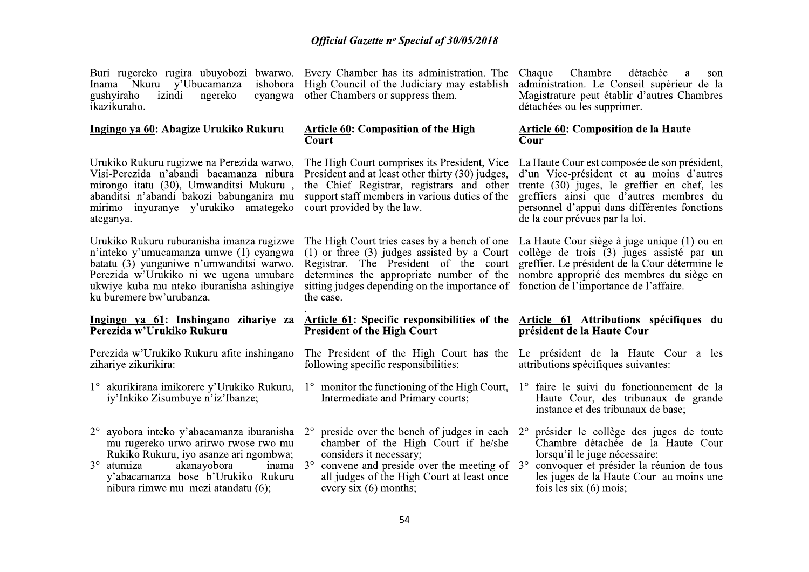Inama Nkuru y'Ubucamanza gushyiraho izindi ngereko cyangwa ikazikuraho.

#### Ingingo ya 60: Abagize Urukiko Rukuru

Urukiko Rukuru rugizwe na Perezida warwo, Visi-Perezida n'abandi bacamanza nibura mirongo itatu (30), Umwanditsi Mukuru, abanditsi n'abandi bakozi babunganira mu mirimo inyuranye y'urukiko amategeko ateganya.

n'inteko y'umucamanza umwe (1) cyangwa batatu (3) vunganiwe n'umwanditsi warwo. Perezida w'Urukiko ni we ugena umubare ukwiye kuba mu nteko iburanisha ashingiye ku buremere bw'urubanza.

# Perezida w'Urukiko Rukuru

Perezida w'Urukiko Rukuru afite inshingano zihariye zikurikira:

- 1° akurikirana imikorere y'Urukiko Rukuru, 1° monitor the functioning of the High Court, 1° faire le suivi du fonctionnement de la iy'Inkiko Zisumbuye n'iz'Ibanze;
- $2^{\circ}$  ayobora inteko y'abacamanza iburanisha  $2^{\circ}$  preside over the bench of judges in each  $2^{\circ}$ mu rugereko urwo arirwo rwose rwo mu Rukiko Rukuru, iyo asanze ari ngombwa;
- $3^\circ$  atumiza akanavobora inama 3° v'abacamanza bose b'Urukiko Rukuru nibura rimwe mu mezi atandatu (6):

Buri rugereko rugira ubuyobozi bwarwo. Every Chamber has its administration. The Chaque ishobora High Council of the Judiciary may establish other Chambers or suppress them.

#### Article 60: Composition of the High Court

The High Court comprises its President, Vice President and at least other thirty (30) judges, the Chief Registrar, registrars and other support staff members in various duties of the court provided by the law.

Urukiko Rukuru ruburanisha imanza rugizwe The High Court tries cases by a bench of one La Haute Cour siège à juge unique (1) ou en  $(1)$  or three  $(3)$  judges assisted by a Court Registrar. The President of the court determines the appropriate number of the nombre approprié des membres du siège en sitting judges depending on the importance of fonction de l'importance de l'affaire. the case.

#### Ingingo ya 61: Inshingano zihariye za Article 61: Specific responsibilities of the Article 61 Attributions spécifiques du **President of the High Court**

- The President of the High Court has the Le président de la Haute Cour a les following specific responsibilities:
- Intermediate and Primary courts;
- chamber of the High Court if he/she considers it necessary;
- convene and preside over the meeting of  $3^{\circ}$ all judges of the High Court at least once every  $six(6)$  months;

Chambre détachée a son administration. Le Conseil supérieur de la Magistrature peut établir d'autres Chambres détachées ou les supprimer.

## Article 60: Composition de la Haute Cour

La Haute Cour est composée de son président, d'un Vice-président et au moins d'autres trente  $(30)$  juges, le greffier en chef, les greffiers ainsi que d'autres membres du personnel d'appui dans différentes fonctions de la cour prévues par la loi.

collège de trois  $(3)$  juges assisté par un greffier. Le président de la Cour détermine le

# président de la Haute Cour

- attributions spécifiques suivantes:
- Haute Cour, des tribunaux de grande instance et des tribunaux de base:
- présider le collège des juges de toute Chambre détachée de la Haute Cour lorsqu'il le juge nécessaire;
- convoquer et présider la réunion de tous les juges de la Haute Cour au moins une fois les six  $(6)$  mois: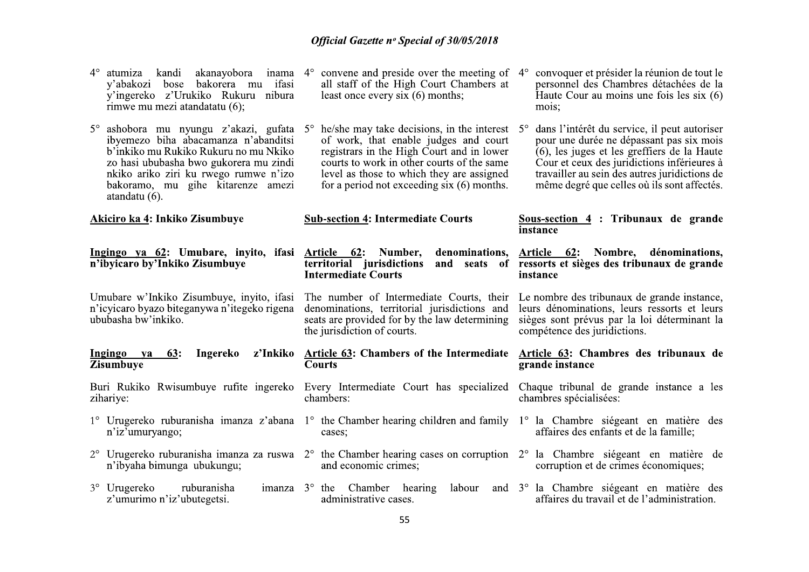| $4^\circ$<br>atumiza kandi<br>akanayobora<br>y'abakozi bose bakorera mu ifasi<br>y'ingereko z'Urukiko Rukuru nibura<br>rimwe mu mezi atandatatu (6);                                                                                                                  | inama $4^{\circ}$ convene and preside over the meeting of $4^{\circ}$<br>all staff of the High Court Chambers at<br>least once every six $(6)$ months;                                                                                                                               | convoquer et présider la réunion de tout le<br>personnel des Chambres détachées de la<br>Haute Cour au moins une fois les six $(6)$<br>mois;                                                                                                                                           |
|-----------------------------------------------------------------------------------------------------------------------------------------------------------------------------------------------------------------------------------------------------------------------|--------------------------------------------------------------------------------------------------------------------------------------------------------------------------------------------------------------------------------------------------------------------------------------|----------------------------------------------------------------------------------------------------------------------------------------------------------------------------------------------------------------------------------------------------------------------------------------|
| 5° ashobora mu nyungu z'akazi, gufata 5°<br>ibyemezo biha abacamanza n'abanditsi<br>b'inkiko mu Rukiko Rukuru no mu Nkiko<br>zo hasi ububasha bwo gukorera mu zindi<br>nkiko ariko ziri ku rwego rumwe n'izo<br>bakoramo, mu gihe kitarenze amezi<br>atandatu $(6)$ . | he/she may take decisions, in the interest $5^\circ$<br>of work, that enable judges and court<br>registrars in the High Court and in lower<br>courts to work in other courts of the same<br>level as those to which they are assigned<br>for a period not exceeding $six(6)$ months. | dans l'intérêt du service, il peut autoriser<br>pour une durée ne dépassant pas six mois<br>(6), les juges et les greffiers de la Haute<br>Cour et ceux des juridictions inférieures à<br>travailler au sein des autres juridictions de<br>même degré que celles où ils sont affectés. |
| Akiciro ka 4: Inkiko Zisumbuye                                                                                                                                                                                                                                        | <b>Sub-section 4: Intermediate Courts</b>                                                                                                                                                                                                                                            | Sous-section $4:$ Tribunaux de grande<br>instance                                                                                                                                                                                                                                      |
| n'ibyicaro by'Inkiko Zisumbuye                                                                                                                                                                                                                                        | Ingingo ya 62: Umubare, inyito, ifasi Article 62: Number, denominations,<br><b>Intermediate Courts</b>                                                                                                                                                                               | Article 62: Nombre, dénominations,<br>territorial jurisdictions and seats of ressorts et sièges des tribunaux de grande<br>instance                                                                                                                                                    |
| Umubare w'Inkiko Zisumbuye, inyito, ifasi<br>n'icyicaro byazo biteganywa n'itegeko rigena<br>ububasha bw'inkiko.                                                                                                                                                      | The number of Intermediate Courts, their<br>denominations, territorial jurisdictions and<br>seats are provided for by the law determining<br>the jurisdiction of courts.                                                                                                             | Le nombre des tribunaux de grande instance,<br>leurs dénominations, leurs ressorts et leurs<br>sièges sont prévus par la loi déterminant la<br>compétence des juridictions.                                                                                                            |
| 63:<br>z'Inkiko<br>Ingingo ya<br>Ingereko<br><b>Zisumbuye</b>                                                                                                                                                                                                         | <b>Article 63: Chambers of the Intermediate</b><br><b>Courts</b>                                                                                                                                                                                                                     | Article 63: Chambres des tribunaux de<br>grande instance                                                                                                                                                                                                                               |
| Buri Rukiko Rwisumbuye rufite ingereko<br>zihariye:                                                                                                                                                                                                                   | Every Intermediate Court has specialized<br>chambers:                                                                                                                                                                                                                                | Chaque tribunal de grande instance a les<br>chambres spécialisées:                                                                                                                                                                                                                     |
| n'iz'umuryango;                                                                                                                                                                                                                                                       | 1° Urugereko ruburanisha imanza z'abana 1° the Chamber hearing children and family 1° la Chambre siégeant en matière des<br>cases:                                                                                                                                                   | affaires des enfants et de la famille;                                                                                                                                                                                                                                                 |
| n'ibyaha bimunga ubukungu;                                                                                                                                                                                                                                            | 2° Urugereko ruburanisha imanza za ruswa 2° the Chamber hearing cases on corruption 2° la Chambre siégeant en matière de<br>and economic crimes;                                                                                                                                     | corruption et de crimes économiques;                                                                                                                                                                                                                                                   |
| $3^{\circ}$ Urugereko<br>ruburanisha<br>z'umurimo n'iz'ubutegetsi.                                                                                                                                                                                                    | imanza $3^\circ$ the Chamber hearing<br>labour<br>administrative cases.                                                                                                                                                                                                              | and 3° la Chambre siégeant en matière des<br>affaires du travail et de l'administration.                                                                                                                                                                                               |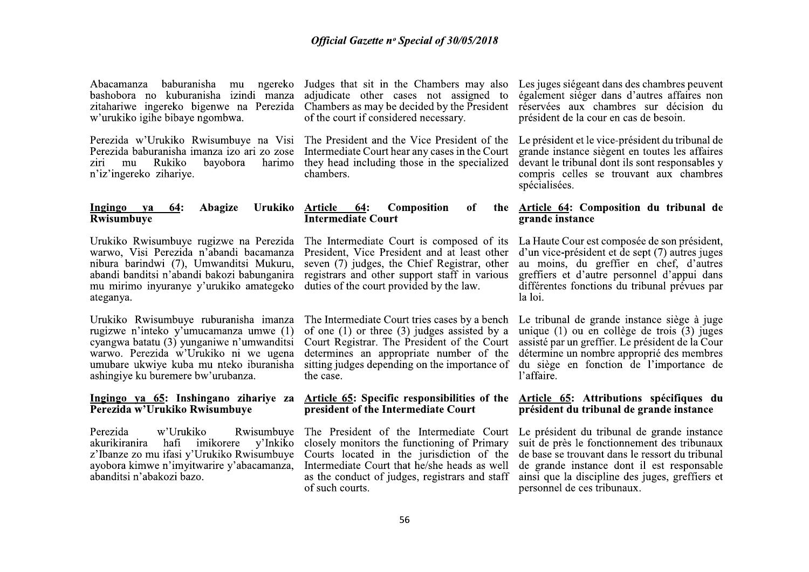Abacamanza bashobora no kuburanisha izindi manza zitahariwe ingereko bigenwe na Perezida w'urukiko igihe bibaye ngombwa.

Perezida w'Urukiko Rwisumbuye na Visi Perezida baburanisha imanza izo ari zo zose ziri mu Rukiko bavobora harimo n'iz'ingereko zihariye.

#### Ingingo ya **64:** Abagize Urukiko Rwisumbuve

Urukiko Rwisumbuye rugizwe na Perezida warwo, Visi Perezida n'abandi bacamanza nibura barindwi (7), Umwanditsi Mukuru, abandi banditsi n'abandi bakozi babunganira mu mirimo inyuranye y'urukiko amategeko ateganya.

Urukiko Rwisumbuye ruburanisha imanza rugizwe n'inteko y'umucamanza umwe (1) cyangwa batatu (3) yunganiwe n'umwanditsi warwo. Perezida w'Urukiko ni we ugena umubare ukwiye kuba mu nteko iburanisha ashingiye ku buremere bw'urubanza.

#### Ingingo ya 65: Inshingano zihariye za Perezida w'Urukiko Rwisumbuye

Perezida w'Urukiko akurikiranira hafi imikorere y'Inkiko z'Ibanze zo mu ifasi y'Urukiko Rwisumbuye ayobora kimwe n'imyitwarire y'abacamanza, abanditsi n'abakozi bazo.

baburanisha mu ngereko Judges that sit in the Chambers may also adjudicate other cases not assigned to Chambers as may be decided by the President of the court if considered necessary.

> The President and the Vice President of the Intermediate Court hear any cases in the Court they head including those in the specialized chambers.

#### Article **64: Composition** of the **Intermediate Court**

The Intermediate Court is composed of its La Haute Cour est composée de son président. President. Vice President and at least other seven (7) judges, the Chief Registrar, other registrars and other support staff in various duties of the court provided by the law.

The Intermediate Court tries cases by a bench of one  $(1)$  or three  $(3)$  judges assisted by a Court Registrar. The President of the Court determines an appropriate number of the sitting judges depending on the importance of the case.

#### Article 65: Specific responsibilities of the president of the Intermediate Court

closely monitors the functioning of Primary Courts located in the jurisdiction of the Intermediate Court that he/she heads as well as the conduct of judges, registrars and staff of such courts.

Les juges siégeant dans des chambres peuvent également sièger dans d'autres affaires non réservées aux chambres sur décision du président de la cour en cas de besoin.

Le président et le vice-président du tribunal de grande instance siègent en toutes les affaires devant le tribunal dont ils sont responsables y compris celles se trouvant aux chambres spécialisées.

## Article 64: Composition du tribunal de grande instance

d'un vice-président et de sept (7) autres juges au moins, du greffier en chef, d'autres greffiers et d'autre personnel d'appui dans différentes fonctions du tribunal prévues par la loi.

Le tribunal de grande instance siège à juge unique (1) ou en collège de trois (3) juges assisté par un greffier. Le président de la Cour détermine un nombre approprié des membres du siège en fonction de l'importance de l'affaire.

### Article 65: Attributions spécifiques du président du tribunal de grande instance

Rwisumbuye The President of the Intermediate Court Le président du tribunal de grande instance suit de près le fonctionnement des tribunaux de base se trouvant dans le ressort du tribunal de grande instance dont il est responsable ainsi que la discipline des juges, greffiers et personnel de ces tribunaux.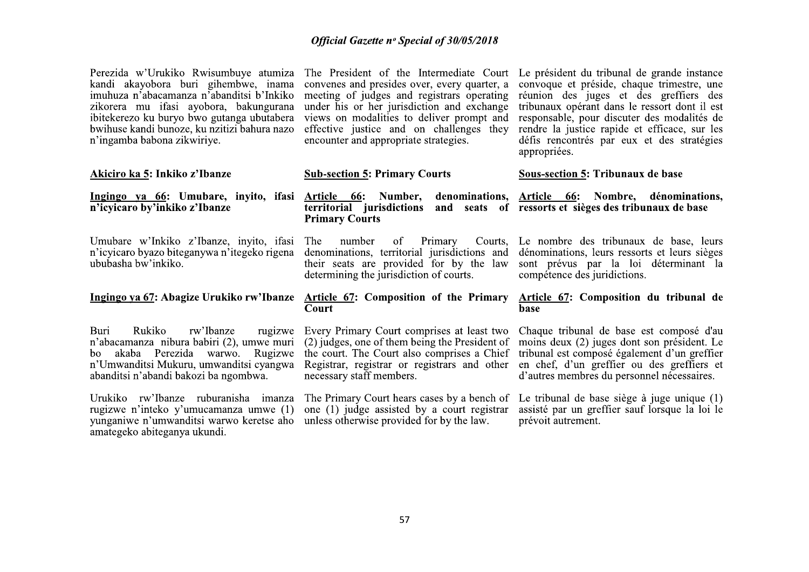| Perezida w'Urukiko Rwisumbuye atumiza<br>kandi akayobora buri gihembwe, inama<br>imuhuza n'abacamanza n'abanditsi b'Inkiko<br>zikorera mu ifasi ayobora, bakungurana<br>ibitekerezo ku buryo bwo gutanga ubutabera<br>bwihuse kandi bunoze, ku nzitizi bahura nazo<br>n'ingamba babona zikwiriye. | The President of the Intermediate Court<br>convenes and presides over, every quarter, a<br>meeting of judges and registrars operating<br>under his or her jurisdiction and exchange<br>views on modalities to deliver prompt and<br>effective justice and on challenges they<br>encounter and appropriate strategies. | Le président du tribunal de grande instance<br>convoque et préside, chaque trimestre, une<br>réunion des juges et des greffiers des<br>tribunaux opérant dans le ressort dont il est<br>responsable, pour discuter des modalités de<br>rendre la justice rapide et efficace, sur les<br>défis rencontrés par eux et des stratégies<br>appropriées. |
|---------------------------------------------------------------------------------------------------------------------------------------------------------------------------------------------------------------------------------------------------------------------------------------------------|-----------------------------------------------------------------------------------------------------------------------------------------------------------------------------------------------------------------------------------------------------------------------------------------------------------------------|----------------------------------------------------------------------------------------------------------------------------------------------------------------------------------------------------------------------------------------------------------------------------------------------------------------------------------------------------|
| Akiciro ka 5: Inkiko z'Ibanze                                                                                                                                                                                                                                                                     | <b>Sub-section 5: Primary Courts</b>                                                                                                                                                                                                                                                                                  | <b>Sous-section 5: Tribunaux de base</b>                                                                                                                                                                                                                                                                                                           |
| Ingingo ya 66: Umubare, inyito, ifasi<br>n'icyicaro by'inkiko z'Ibanze                                                                                                                                                                                                                            | Article 66: Number,<br>territorial jurisdictions<br><b>Primary Courts</b>                                                                                                                                                                                                                                             | denominations, Article 66: Nombre, dénominations,<br>and seats of ressorts et sièges des tribunaux de base                                                                                                                                                                                                                                         |
| Umubare w'Inkiko z'Ibanze, inyito, ifasi<br>n'icyicaro byazo biteganywa n'itegeko rigena<br>ububasha bw'inkiko.                                                                                                                                                                                   | Primary<br>The<br>number<br>of<br>Courts,<br>denominations, territorial jurisdictions and<br>their seats are provided for by the law<br>determining the jurisdiction of courts.                                                                                                                                       | Le nombre des tribunaux de base, leurs<br>dénominations, leurs ressorts et leurs sièges<br>sont prévus par la loi déterminant la<br>compétence des juridictions.                                                                                                                                                                                   |
| Ingingo ya 67: Abagize Urukiko rw'Ibanze                                                                                                                                                                                                                                                          | <b>Article 67: Composition of the Primary</b><br>Court                                                                                                                                                                                                                                                                | Article 67: Composition du tribunal de<br>base                                                                                                                                                                                                                                                                                                     |
| Rukiko<br>rw'Ibanze<br>Buri<br>rugizwe<br>n'abacamanza nibura babiri (2), umwe muri<br>akaba Perezida warwo.<br>Rugizwe<br>bo<br>n'Umwanditsi Mukuru, umwanditsi cyangwa<br>abanditsi n'abandi bakozi ba ngombwa.                                                                                 | Every Primary Court comprises at least two<br>(2) judges, one of them being the President of<br>the court. The Court also comprises a Chief<br>Registrar, registrar or registrars and other<br>necessary staff members.                                                                                               | Chaque tribunal de base est composé d'au<br>moins deux (2) juges dont son président. Le<br>tribunal est composé également d'un greffier<br>en chef, d'un greffier ou des greffiers et<br>d'autres membres du personnel nécessaires.                                                                                                                |
| Urukiko rw'Ibanze ruburanisha imanza<br>rugizwe n'inteko y'umucamanza umwe (1)<br>yunganiwe n'umwanditsi warwo keretse aho<br>amategeko abiteganya ukundi.                                                                                                                                        | The Primary Court hears cases by a bench of<br>one (1) judge assisted by a court registrar<br>unless otherwise provided for by the law.                                                                                                                                                                               | Le tribunal de base siège à juge unique (1)<br>assisté par un greffier sauf lorsque la loi le<br>prévoit autrement.                                                                                                                                                                                                                                |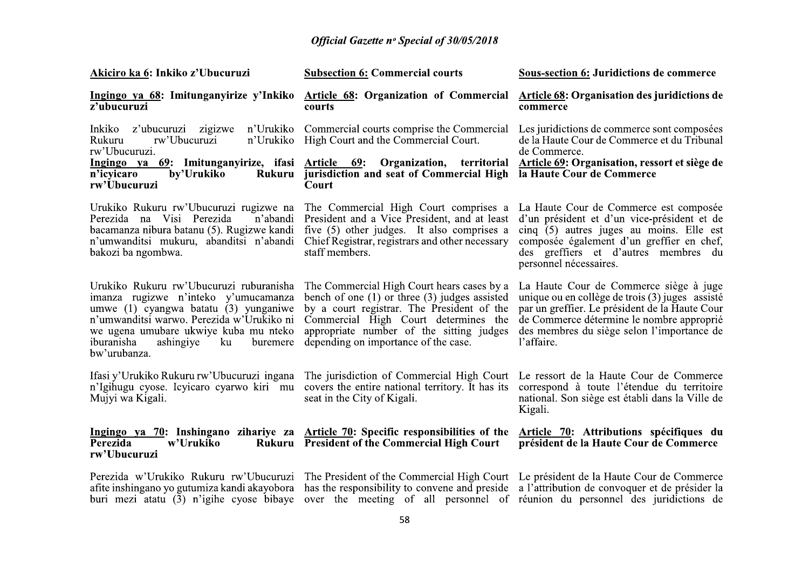| Akiciro ka 6: Inkiko z'Ubucuruzi                                                                                                                                                                                                                                            | <b>Subsection 6: Commercial courts</b>                                                                                                                                                                                                                                                                       | <b>Sous-section 6: Juridictions de commerce</b>                                                                                                                                                                                                      |
|-----------------------------------------------------------------------------------------------------------------------------------------------------------------------------------------------------------------------------------------------------------------------------|--------------------------------------------------------------------------------------------------------------------------------------------------------------------------------------------------------------------------------------------------------------------------------------------------------------|------------------------------------------------------------------------------------------------------------------------------------------------------------------------------------------------------------------------------------------------------|
| Ingingo ya 68: Imitunganyirize y'Inkiko<br>z'ubucuruzi                                                                                                                                                                                                                      | <b>Article 68: Organization of Commercial</b><br>courts                                                                                                                                                                                                                                                      | <b>Article 68: Organisation des juridictions de</b><br>commerce                                                                                                                                                                                      |
| z'ubucuruzi zigizwe<br>n'Urukiko<br>Inkiko<br>Rukuru<br>rw'Ubucuruzi<br>n'Urukiko<br>rw'Ubucuruzi.                                                                                                                                                                          | Commercial courts comprise the Commercial<br>High Court and the Commercial Court.                                                                                                                                                                                                                            | Les juridictions de commerce sont composées<br>de la Haute Cour de Commerce et du Tribunal<br>de Commerce.                                                                                                                                           |
| Ingingo ya 69: Imitunganyirize, ifasi Article 69:<br>n'icyicaro<br>by'Urukiko<br>Rukuru<br>rw'Ubucuruzi                                                                                                                                                                     | Organization, territorial<br>jurisdiction and seat of Commercial High<br>Court                                                                                                                                                                                                                               | <b>Article 69: Organisation, ressort et siège de</b><br>la Haute Cour de Commerce                                                                                                                                                                    |
| Urukiko Rukuru rw'Ubucuruzi rugizwe na<br>Perezida na Visi Perezida<br>n'abandi<br>bacamanza nibura batanu (5). Rugizwe kandi<br>n'umwanditsi mukuru, abanditsi n'abandi<br>bakozi ba ngombwa.                                                                              | The Commercial High Court comprises a<br>President and a Vice President, and at least<br>five (5) other judges. It also comprises a<br>Chief Registrar, registrars and other necessary<br>staff members.                                                                                                     | La Haute Cour de Commerce est composée<br>d'un président et d'un vice-président et de<br>cinq (5) autres juges au moins. Elle est<br>composée également d'un greffier en chef,<br>des greffiers et d'autres membres du<br>personnel nécessaires.     |
| Urukiko Rukuru rw'Ubucuruzi ruburanisha<br>imanza rugizwe n'inteko y'umucamanza<br>umwe (1) cyangwa batatu (3) yunganiwe<br>n'umwanditsi warwo. Perezida w'Urukiko ni<br>we ugena umubare ukwiye kuba mu nteko<br>iburanisha<br>ashingiye<br>ku<br>buremere<br>bw'urubanza. | The Commercial High Court hears cases by a<br>bench of one $(1)$ or three $(3)$ judges assisted<br>by a court registrar. The President of the<br>Commercial High Court determines the<br>appropriate number of the sitting judges<br>depending on importance of the case.                                    | La Haute Cour de Commerce siège à juge<br>unique ou en collège de trois (3) juges assisté<br>par un greffier. Le président de la Haute Cour<br>de Commerce détermine le nombre approprié<br>des membres du siège selon l'importance de<br>l'affaire. |
| Ifasi y'Urukiko Rukuru rw'Ubucuruzi ingana<br>n'Igihugu cyose. Icyicaro cyarwo kiri mu<br>Mujyi wa Kigali.                                                                                                                                                                  | The jurisdiction of Commercial High Court<br>covers the entire national territory. It has its<br>seat in the City of Kigali.                                                                                                                                                                                 | Le ressort de la Haute Cour de Commerce<br>correspond à toute l'étendue du territoire<br>national. Son siège est établi dans la Ville de<br>Kigali.                                                                                                  |
| <b>Perezida</b><br>w'Urukiko<br>Rukuru<br>rw'Ubucuruzi                                                                                                                                                                                                                      | Ingingo ya 70: Inshingano zihariye za Article 70: Specific responsibilities of the<br><b>President of the Commercial High Court</b>                                                                                                                                                                          | Article 70: Attributions spécifiques du<br>président de la Haute Cour de Commerce                                                                                                                                                                    |
| afite inshingano yo gutumiza kandi akayobora<br>buri mezi atatu (3) n'igihe cyose bibaye                                                                                                                                                                                    | Perezida w'Urukiko Rukuru rw'Ubucuruzi The President of the Commercial High Court Le président de la Haute Cour de Commerce<br>has the responsibility to convene and preside a l'attribution de convoquer et de présider la<br>over the meeting of all personnel of réunion du personnel des juridictions de |                                                                                                                                                                                                                                                      |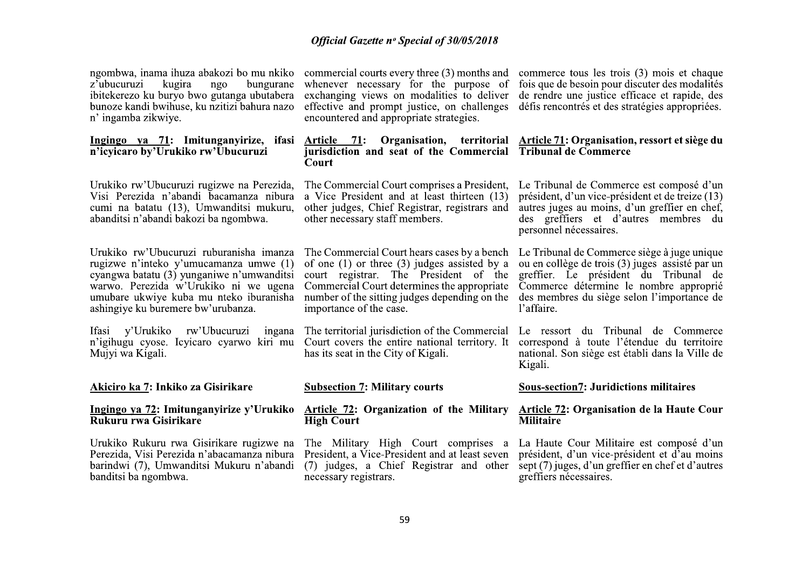| ngombwa, inama ihuza abakozi bo mu nkiko<br>z'ubucuruzi<br>kugira<br>ngo<br>bungurane<br>ibitekerezo ku buryo bwo gutanga ubutabera<br>bunoze kandi bwihuse, ku nzitizi bahura nazo<br>n' ingamba zikwiye.                                               | commercial courts every three (3) months and<br>whenever necessary for the purpose of<br>exchanging views on modalities to deliver<br>effective and prompt justice, on challenges<br>encountered and appropriate strategies.                                        | commerce tous les trois (3) mois et chaque<br>fois que de besoin pour discuter des modalités<br>de rendre une justice efficace et rapide, des<br>défis rencontrés et des stratégies appropriées.                                              |
|----------------------------------------------------------------------------------------------------------------------------------------------------------------------------------------------------------------------------------------------------------|---------------------------------------------------------------------------------------------------------------------------------------------------------------------------------------------------------------------------------------------------------------------|-----------------------------------------------------------------------------------------------------------------------------------------------------------------------------------------------------------------------------------------------|
| Ingingo ya 71: Imitunganyirize, ifasi<br>n'icyicaro by'Urukiko rw'Ubucuruzi                                                                                                                                                                              | Article 71:<br>jurisdiction and seat of the Commercial<br>Court                                                                                                                                                                                                     | Organisation, territorial Article 71: Organisation, ressort et siège du<br><b>Tribunal de Commerce</b>                                                                                                                                        |
| Urukiko rw'Ubucuruzi rugizwe na Perezida,<br>Visi Perezida n'abandi bacamanza nibura<br>cumi na batatu (13), Umwanditsi mukuru,<br>abanditsi n'abandi bakozi ba ngombwa.                                                                                 | The Commercial Court comprises a President,<br>a Vice President and at least thirteen (13)<br>other judges, Chief Registrar, registrars and<br>other necessary staff members.                                                                                       | Le Tribunal de Commerce est composé d'un<br>président, d'un vice-président et de treize (13)<br>autres juges au moins, d'un greffier en chef,<br>des greffiers et d'autres membres du<br>personnel nécessaires.                               |
| Urukiko rw'Ubucuruzi ruburanisha imanza<br>rugizwe n'inteko y'umucamanza umwe (1)<br>cyangwa batatu (3) yunganiwe n'umwanditsi<br>warwo. Perezida w'Urukiko ni we ugena<br>umubare ukwiye kuba mu nteko iburanisha<br>ashingiye ku buremere bw'urubanza. | The Commercial Court hears cases by a bench<br>of one $(1)$ or three $(3)$ judges assisted by a<br>court registrar. The President of the<br>Commercial Court determines the appropriate<br>number of the sitting judges depending on the<br>importance of the case. | Le Tribunal de Commerce siège à juge unique<br>ou en collège de trois (3) juges assisté par un<br>greffier. Le président du Tribunal de<br>Commerce détermine le nombre approprié<br>des membres du siège selon l'importance de<br>l'affaire. |
| y'Urukiko rw'Ubucuruzi<br><b>Ifasi</b><br>ingana<br>n'igihugu cyose. Icyicaro cyarwo kiri mu<br>Mujyi wa Kigali.                                                                                                                                         | The territorial jurisdiction of the Commercial<br>Court covers the entire national territory. It<br>has its seat in the City of Kigali.                                                                                                                             | Le ressort du Tribunal de Commerce<br>correspond à toute l'étendue du territoire<br>national. Son siège est établi dans la Ville de<br>Kigali.                                                                                                |
| Akiciro ka 7: Inkiko za Gisirikare                                                                                                                                                                                                                       | <b>Subsection 7: Military courts</b>                                                                                                                                                                                                                                | <b>Sous-section7: Juridictions militaires</b>                                                                                                                                                                                                 |
| <u>Ingingo ya 72</u> : Imitunganyirize y'Urukiko<br>Rukuru rwa Gisirikare                                                                                                                                                                                | <b>Article 72: Organization of the Military</b><br><b>High Court</b>                                                                                                                                                                                                | <b>Article 72: Organisation de la Haute Cour</b><br><b>Militaire</b>                                                                                                                                                                          |
| Urukiko Rukuru rwa Gisirikare rugizwe na<br>Perezida, Visi Perezida n'abacamanza nibura<br>barindwi (7), Umwanditsi Mukuru n'abandi<br>banditsi ba ngombwa.                                                                                              | The Military High Court comprises a<br>President, a Vice-President and at least seven<br>(7) judges, a Chief Registrar and other<br>necessary registrars.                                                                                                           | La Haute Cour Militaire est composé d'un<br>président, d'un vice-président et d'au moins<br>sept (7) juges, d'un greffier en chef et d'autres<br>greffiers nécessaires.                                                                       |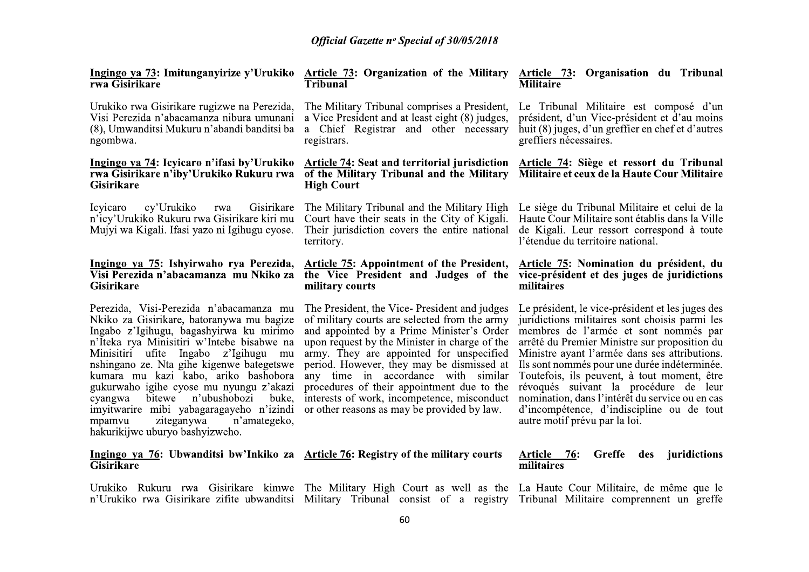| Ingingo ya 73: Imitunganyirize y'Urukiko<br>rwa Gisirikare                                                                                                                                                                                                                                                                                                                                                                                                                                                                    | Article 73: Organization of the Military Article 73: Organisation du Tribunal<br>Tribunal                                                                                                                                                                                                                                                                                                                                                                               | <b>Militaire</b>                                                                                                                                                                                                                                                                                                                                                                                                                                                                                                       |
|-------------------------------------------------------------------------------------------------------------------------------------------------------------------------------------------------------------------------------------------------------------------------------------------------------------------------------------------------------------------------------------------------------------------------------------------------------------------------------------------------------------------------------|-------------------------------------------------------------------------------------------------------------------------------------------------------------------------------------------------------------------------------------------------------------------------------------------------------------------------------------------------------------------------------------------------------------------------------------------------------------------------|------------------------------------------------------------------------------------------------------------------------------------------------------------------------------------------------------------------------------------------------------------------------------------------------------------------------------------------------------------------------------------------------------------------------------------------------------------------------------------------------------------------------|
| Urukiko rwa Gisirikare rugizwe na Perezida,<br>Visi Perezida n'abacamanza nibura umunani<br>(8), Umwanditsi Mukuru n'abandi banditsi ba<br>ngombwa.                                                                                                                                                                                                                                                                                                                                                                           | The Military Tribunal comprises a President,<br>a Vice President and at least eight (8) judges,<br>Chief Registrar and other necessary<br>a.<br>registrars.                                                                                                                                                                                                                                                                                                             | Le Tribunal Militaire est composé d'un<br>président, d'un Vice-président et d'au moins<br>huit (8) juges, d'un greffier en chef et d'autres<br>greffiers nécessaires.                                                                                                                                                                                                                                                                                                                                                  |
| Ingingo ya 74: Icyicaro n'ifasi by'Urukiko<br>rwa Gisirikare n'iby'Urukiko Rukuru rwa<br><b>Gisirikare</b>                                                                                                                                                                                                                                                                                                                                                                                                                    | <b>Article 74: Seat and territorial jurisdiction</b><br>of the Military Tribunal and the Military<br><b>High Court</b>                                                                                                                                                                                                                                                                                                                                                  | Article 74: Siège et ressort du Tribunal<br>Militaire et ceux de la Haute Cour Militaire                                                                                                                                                                                                                                                                                                                                                                                                                               |
| Icyicaro<br>cy'Urukiko<br>Gisirikare<br>rwa<br>n'icy'Urukiko Rukuru rwa Gisirikare kiri mu<br>Mujyi wa Kigali. Ifasi yazo ni Igihugu cyose.                                                                                                                                                                                                                                                                                                                                                                                   | The Military Tribunal and the Military High<br>Court have their seats in the City of Kigali.<br>Their jurisdiction covers the entire national<br>territory.                                                                                                                                                                                                                                                                                                             | Le siège du Tribunal Militaire et celui de la<br>Haute Cour Militaire sont établis dans la Ville<br>de Kigali. Leur ressort correspond à toute<br>l'étendue du territoire national.                                                                                                                                                                                                                                                                                                                                    |
| Ingingo ya 75: Ishyirwaho rya Perezida,<br>Visi Perezida n'abacamanza mu Nkiko za<br><b>Gisirikare</b>                                                                                                                                                                                                                                                                                                                                                                                                                        | <b>Article 75: Appointment of the President,</b><br>the Vice President and Judges of the<br>military courts                                                                                                                                                                                                                                                                                                                                                             | Article 75: Nomination du président, du<br>vice-président et des juges de juridictions<br>militaires                                                                                                                                                                                                                                                                                                                                                                                                                   |
| Perezida, Visi-Perezida n'abacamanza mu<br>Nkiko za Gisirikare, batoranywa mu bagize<br>Ingabo z'Igihugu, bagashyirwa ku mirimo<br>n'Iteka rya Minisitiri w'Intebe bisabwe na<br>Minisitiri ufite Ingabo z'Igihugu<br>mu<br>nshingano ze. Nta gihe kigenwe bategetswe<br>kumara mu kazi kabo, ariko bashobora<br>gukurwaho igihe cyose mu nyungu z'akazi<br>n'ubushobozi<br>bitewe<br>buke.<br>cyangwa<br>imyitwarire mibi yabagaragayeho n'izindi<br>ziteganywa<br>n'amategeko,<br>mpamvu<br>hakurikijwe uburyo bashyizweho. | The President, the Vice-President and judges<br>of military courts are selected from the army<br>and appointed by a Prime Minister's Order<br>upon request by the Minister in charge of the<br>army. They are appointed for unspecified<br>period. However, they may be dismissed at<br>any time in accordance with similar<br>procedures of their appointment due to the<br>interests of work, incompetence, misconduct<br>or other reasons as may be provided by law. | Le président, le vice-président et les juges des<br>juridictions militaires sont choisis parmi les<br>membres de l'armée et sont nommés par<br>arrêté du Premier Ministre sur proposition du<br>Ministre ayant l'armée dans ses attributions.<br>Ils sont nommés pour une durée indéterminée.<br>Toutefois, ils peuvent, à tout moment, être<br>révoqués suivant la procédure de leur<br>nomination, dans l'intérêt du service ou en cas<br>d'incompétence, d'indiscipline ou de tout<br>autre motif prévu par la loi. |
| Ingingo ya 76: Ubwanditsi bw'Inkiko za Article 76: Registry of the military courts<br><b>Gisirikare</b>                                                                                                                                                                                                                                                                                                                                                                                                                       |                                                                                                                                                                                                                                                                                                                                                                                                                                                                         | Greffe<br>juridictions<br>Article<br>76:<br>des<br>militaires                                                                                                                                                                                                                                                                                                                                                                                                                                                          |

Urukiko Rukuru rwa Gisirikare kimwe The Military High Court as well as the La Haute Cour Militaire, de même que le<br>n'Urukiko rwa Gisirikare zifite ubwanditsi Military Tribunal consist of a registry Tribunal Militaire compr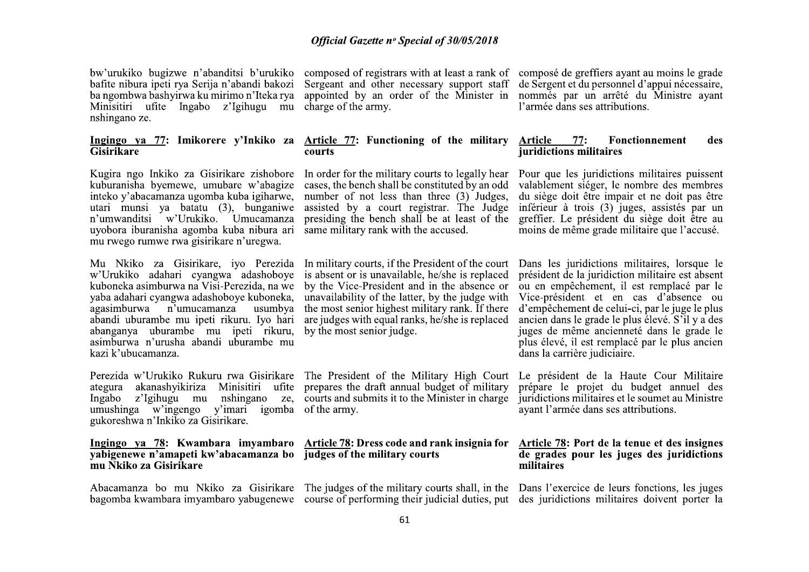bw'urukiko bugizwe n'abanditsi b'urukiko bafite nibura ipeti rya Serija n'abandi bakozi ba ngombwa bashyirwa ku mirimo n'Iteka rya Minisitiri ufite Ingabo z'Igihugu mu nshingano ze.

#### Ingingo ya 77: Imikorere y'Inkiko za **Gisirikare**

Kugira ngo Inkiko za Gisirikare zishobore kuburanisha byemewe, umubare w'abagize inteko y'abacamanza ugomba kuba igiharwe, utari munsi ya batatu (3), bunganiwe n'umwanditsi w'Urukiko. Umucamanza uyobora iburanisha agomba kuba nibura ari mu rwego rumwe rwa gisirikare n'uregwa.

Mu Nkiko za Gisirikare, iyo Perezida In military courts, if the President of the court w'Urukiko adahari cyangwa adashoboye kuboneka asimburwa na Visi-Perezida, na we yaba adahari cyangwa adashoboye kuboneka, agasimburwa n'umucamanza usumbya abandi uburambe mu ipeti rikuru. Ivo hari abanganya uburambe mu ipeti rikuru, asimburwa n'urusha abandi uburambe mu kazi k'ubucamanza.

Perezida w'Urukiko Rukuru rwa Gisirikare The President of the Military High Court ategura akanashyikiriza Minisitiri ufite prepares the draft annual budget of military Ingabo z'Igihugu mu umushinga w'ingengo y'imari igomba of the army. gukoreshwa n'Inkiko za Gisirikare.

## yabigenewe n'amapeti kw'abacamanza bo judges of the military courts mu Nkiko za Gisirikare

charge of the army.

#### Article 77: Functioning of the military courts

In order for the military courts to legally hear cases, the bench shall be constituted by an odd number of not less than three (3) Judges, assisted by a court registrar. The Judge presiding the bench shall be at least of the same military rank with the accused.

composed of registrars with at least a rank of composé de greffiers avant au moins le grade Sergeant and other necessary support staff de Sergent et du personnel d'appui nécessaire, appointed by an order of the Minister in nommés par un arrêté du Ministre ayant l'armée dans ses attributions.

#### Article  $77:$ **Fonctionnement** des iuridictions militaires

Pour que les juridictions militaires puissent valablement siéger, le nombre des membres du siège doit être impair et ne doit pas être inférieur à trois (3) juges, assistés par un greffier. Le président du siège doit être au moins de même grade militaire que l'accusé.

is absent or is unavailable, he/she is replaced by the Vice-President and in the absence or unavailability of the latter, by the judge with the most senior highest military rank. If there are judges with equal ranks, he/she is replaced by the most senior judge.

nshingano ze, courts and submits it to the Minister in charge

# Ingingo ya 78: Kwambara imyambaro Article 78: Dress code and rank insignia for

Abacamanza bo mu Nkiko za Gisirikare The judges of the military courts shall, in the Dans l'exercice de leurs fonctions, les juges bagomba kwambara imyambaro yabugenewe course of performing their judicial duties, put des juridictions militaires doivent porter la

Dans les juridictions militaires, lorsque le président de la juridiction militaire est absent ou en empêchement, il est remplacé par le Vice-président et en cas d'absence ou d'empêchement de celui-ci, par le juge le plus ancien dans le grade le plus élevé. S'il y a des juges de même ancienneté dans le grade le plus élevé, il est remplacé par le plus ancien dans la carrière judiciaire.

Le président de la Haute Cour Militaire prépare le projet du budget annuel des juridictions militaires et le soumet au Ministre ayant l'armée dans ses attributions.

#### Article 78: Port de la tenue et des insignes de grades pour les juges des juridictions militaires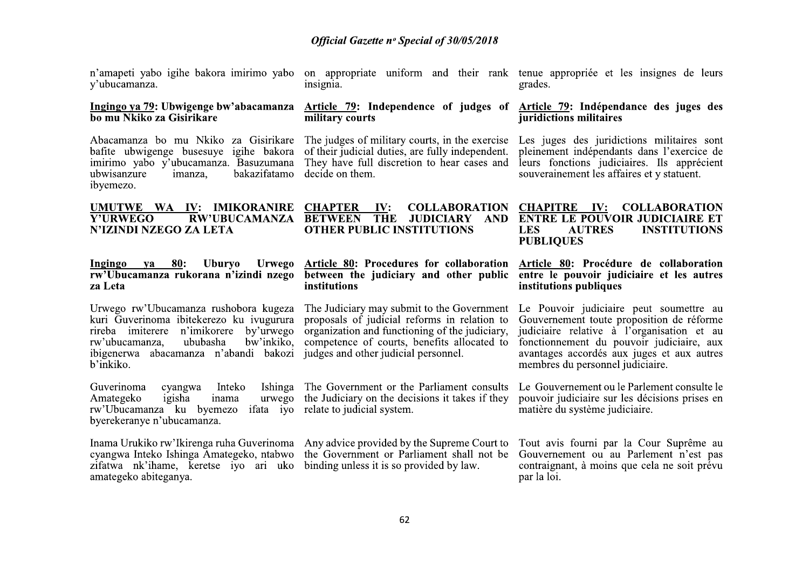n'amapeti yabo igihe ba<br>y'ubucamanza.<br>**Ingingo ya 79: Ubwigen<br>bo mu Nkiko za Gisirika**<br>Abacamanza bo mu N.<br>bafite ubwigenge buses **Official Gazette n° S**<br> **n'amapeti yabo igihe bakora imirimo yabo** on appropriate unif<br>
y'ubucamanza.<br> **Ingingo ya 79: Ubwigenge bw'abacamanza**  $\Delta$ **rticle 79: Indepen<br>
bo mu Nkiko za Gisirikare military courts**<br>
Abacama *Official Gazette n<sup>o</sup> S<sub>1</sub></sub>*<br>
n'amapeti yabo igihe bakora imirimo yabo on appropriate unif<br>
y'ubucamanza.<br>
<u>Ingingo va 79</u>: Ubwigenge bw'abacamanza Article 79: Indepen<br>
bo mu Nkiko za Gisirikare<br>
Abacamanza bo mu Nkiko z Abacamanza bo mu N<br>
bafite ubwigenge buse<br>
imirimo yabo y'ubucar<br>
ubwisanzure imanza<br>
ibyemezo.<br> **UMUTWE WA IV:**<br>
Y'URWEGO RN<br>
N'IZINDI NZEGO ZA<br>
<u>Ingingo ya 80</u>:<br>
Imgingo ya 80:<br>
Imgingo ya 80:<br>
Iw'Ubucamanza rukor<br>
za Le

**Official Gazette nº Special donton**<br>
bakora imirimo yabo on appropriate uniform and<br>
insignia.<br> **Anticle 79:** Independence<br> **Anticle 79:** Independence<br> **Anticle 79:** Independence<br> **Anticle 79:** Independence<br>
Nkiko za Gisi **Official Gazette nº Special of**<br>
ra imirimo yabo on appropriate uniform and<br>
insignia.<br> **bw'abacamanza Article 79:** Independence of<br>
military courts<br>
to za Gisirikare The judges of military courts, if<br>
igihe bakora of th **Official Gazette nº Special of 30/05/20**<br>imirimo yabo on appropriate uniform and their<br>insignia.<br>**N'abacamanza <u>Article 79</u>: Independence of judge<br>military courts**<br>za Gisirikare The judges of military courts, in the exal **Official Gazette nº Special of 30/05/20**<br>
by yabo on appropriate uniform and their<br>
insignia.<br> **Anticle 79:** Independence of judge<br>
military courts<br>
sirikare The judges of military courts, in the exe<br>
bakora of their jud **Official Gazette nº Special of 30/05/2018**<br>yabo on appropriate uniform and their rank ten<br>insignia. gra<br>**Article 79:** Independence of judges of  $\frac{AT}{D}$ <br>military courts<br>irikare The judges of military courts, in the exer **Official Gazette nº Special of 30/05/2018**<br>
a appropriate uniform and their rank tenue appropriée e<br>
signia.<br> **a** grades.<br> **a** grades.<br> **a** grades.<br> **intiguary courts**<br> **he judges of military courts, in the exercise Les Official Gazette n° Special of 30/05/2018**<br>
bakora imirimo yabo on appropriate uniform and their rank tenue appropriée et<br>
insignia.<br> **enge bw'abacamanza Article 79:** Independence of judges of Article 79: Indépendence<br>

**becial of 30/05/2018**<br>
both and their rank tenue appropriée et les insignes de leurs<br>
grades.<br> **dence of judges of <u>Article 79</u>: Indépendance des juges des<br>
juridictions militaires**<br>
courts, in the exercise Les juges des **Solution Accord SECUTE:** THE THE STITUTIONS<br>
SECURIES THE STITUTIONS<br>
SECURIES AND EXAMPLE THE SUIT OF SUIT AND SUIT AND SUIT AND SUIT AND SUIT AND SUIT AND SUIT AND SUIT AND SUIT AND SUIT AND SUIT AND SUIT AND SUIT AND S 6µ`^,£Yd`^,`^,£Y\_\\Ub\+W^,V\¤\bT\\_`^,^+Wb, ¶! "!· h"h"¶¸).!."" ¤`Y\_^,a+WUb\+W^,£Y\U\T\\_`^j,¤^,T\_³U\`Wb, ^+Y`\_T\W`V`Wb,¤`^,TaaT\\_`^,`b,e,^bTbY`Wbj6

# **6** Official Gazette  $n^{\circ}S_1$ <br>  $\mu$ 'ubucamanza.<br> **Insigmia.**<br> **Insigmia.**<br> **Insigmia.**<br> **Insigmia.**<br> **Insigmia.**<br> **Insigmia.**<br> **Insigmia.**<br> **Insigmia.**<br> **IDENTIFY ON SOFT UP:**<br> **CONTEXA** CONTEXA DEPTIFY AND UNIVENTIFY A **Ingingo va 79:** Ubwigenge bw'abacamanza Article 79: Independent to multikly za Gisirikare military courts<br>
Abacamanza bo mu Nkiko za Gisirikare military courts<br>
Abacamanza bo mu Nkiko za Gisirikare The judges of military *Official Gazette nº Special of 30/05/2018*<br>
bakora imirimo yabo on appropriate uniform and their rank tenue appropriée et l<br>
imsignia.<br>
enge bw'abacamanza Article 79: Independence of judges of Article 79: Indépend<br>
ikare *Official Gazette n*<sup>o</sup> *Special of 30/05/2018*<br>
bakora imirimo yabo on appropriate uniform and their rank tenue appropriée et<br>
insignia.<br>
enge bw'abacamanza Article 79: Independence of judges of Article 79: Indépendence<br> insignia.<br>
enge bw'abacamanza Article 79: Independe<br>
ikare military courts<br>
Nkiko za Gisirikare The judges of military courts<br>
sesuye igihe bakora of their judicial duties, a<br>
amanza. Basuzumana They have full discretio<br>
i **Example both and an article 19:** Independence of judges of <u>Article 79</u>: Indépendence military courts<br>
ikare<br>
Sixtex a Gisirikare The judges of military courts, in the exercise Les juges des juridices<br>
suscause igite bako Nkiko za Gisirikare The judges of military concessuye igihe bakora of their judicial duties, an amanza. Basuzumana They have full discretio bakazifatamo decide on them.<br> **V:** IMIKORANIRE CHAPTER IV: C<br> **V:** IMIKORANIRE CHA Sesuye igihe bakora of their judicial duties, are fully independent. pleinement indépenda<br>
amanza. Basuzumana They have full discretion to hear cases and leurs fonctions judic<br>
zza, bakazifatamo decide on them.<br> **EVALUATIO** EXECT SOLABORATION CHAPTER IV:<br>
SETWENT THE JUDICIARY AND ENTRE LE POUVON<br>
ALETA OTHER PUBLIC INSTITUTIONS LES<br>
UDES COUNTS UNEXANTENT OF THE POUNCE OF COUNTABLE SURVIVES<br>
UDES COUNTS UNEXANTENT OF THE PUBLICULE SURVIVES I grades.<br>
dence of judges of <u>Article 79</u>: Indépenda<br>
juridictions militaires<br>
courts, in the exercise Les juges des juridicti<br>
are fully independent. pleinement indépendants<br>
isouverainement les affait<br>
souverainement les

bafite ubwigenge busesuye igihe bakora of their judicial duties,<br>imirimo yabo y'ubucamanza. Basuzumana They have full discrete<br>ubwisanzure imanza, bakazifatamo decide on them.<br> **COMPTER WATEL MORANIRE CHAPTER IV:**<br> **CONFIG** 6)&%")\$-./")-h'%\$%)"(-&/" [Y\_\,]Y`\_\W+VT,\\*\b`[`\_`X+,[Y,\YdY\_Y\_T, )!)\$"!! ))"!!(%))"\$#-)&%" )-\$-./" -\$-\$h'" \$!(!(%" !\$!&)"\$./"\$!"\$(%/!" \$!(!(%0, From Ubucamanza rukorana n'izindi nzego between the judicial<br>
za Leta<br>
Urwego rw'Ubucamanza rushobora kugeza The Judicial<br>
kuri Giverninoma ibitekerezo ku ivugurura proposals of judicial<br>
rireba imiterere n'imikorere by'ur Fireba imiterere n'imikorere by'urwego organization and funct<br>
rw'ubucamanza, ububasha bw'inkiko, competence of courts<br>
ibigenerwa abacamanza n'abandi bakozi judges and other judici<br>
b'inkiko.<br>
Guverinoma cyangwa Inteko Is Uburyo Urwego Article 80: Procedures<br>
orana n'izindi nzego between the judiciary<br>
institutions<br>
aza rushobora kugeza The Judiciary may subme<br>
ekerezo ku ivugurura proposals of judicial re<br>
mikorere by'urwego organization a ekerezo ku ivugurura proposals of judicial remikorere by'urwego organization and function<br>to ubasha bw'inkiko, competence of courts, b<br>nical n'abandi bakozi judges and other judicial<br>va Inteko Ishinga The Government or the

Guverinoma cyangwa<br>Amategeko igisha<br>rw'Ubucamanza ku b<br>byerekeranye n'ubucama<br>Inama Urukiko rw'Ikiren<br>cyangwa Inteko Ishinga<br>zifatwa nk'ihame, ker<br>amategeko abiteganya. va Inteko Ishinga The Government or the<br>
inama urwego the Judiciary on the deci<br>
byemezo ifata iyo relate to judicial system.<br>
manza.<br>
enga ruha Guvernoma Any advice provided by t<br>
ga Amategeko, ntabwo the Government or Pa va Inteko Ishinga The Government or the<br>
inama urwego the Judiciary on the deci<br>
byemezo ifata iyo relate to judicial system.<br>
manza.<br>
enga ruha Guvernoma Any advice provided by t<br>
ga Amategeko, ntabwo the Government or Pa

Inama Urukiko rw'Ikireng<br>cyangwa Inteko Ishinga Z<br>zifatwa nk'ihame, kera<br>amategeko abiteganya.

Frame in the provided of the provided by the Sovernment Le Pouvoir judinary<br>
institutions publiques<br>
are ushobora kugeza. The Judician reposals of judicial reforms in relation to Government tout provide intervent<br>
institut 62<br>
Final mikorere by'urwego organization and functioning of the judiciary, judiciaire relative a<br>
uubasha bw'inkiko, competence of courts, benefits allocated to fonctionment at up<br>
avantages accordés and<br>
invariages and o

Any advice provided by the Supreme Court to<br>the Government or Parliament shall not be<br>binding unless it is so provided by law.<br>62

dence of judges of  $\frac{\text{Article } 92}{\text{Juridictions}}$  Indépendance des juges des<br>
courts, in the exercise Les juges des juridictions militaires sont<br>
are fully independent. pleinement indépendants dans l'exercice de<br>
ion to hear cases are fully independent. pleinement independants dans l'exercice de<br>
son to hear cases and leurs fonctions judiciaires. Ils apprécient<br>
souverainement les affaires et y statuent.<br>
COLLABORATION<br>
JUDICIARY AND ENTRE LE POUVOI **COLLABORATION CHAPITRE IV: COLLABORATION**<br> **JUDICIARY AND ENTRE LE POUVOIR JUDICIAIRE ET**<br> **STITUTIONS**<br> **PUBLIQUES**<br> **ES.** AUTRES INSTITUTIONS<br>
PUBLIQUES<br>
TRIS AUTRES INTERITUATIONS<br>
TRIS AUTRES INTERITY INTERITY INTE From the total of the pouring indicative et les autres<br>
institutions publiques<br>
method to Government toute proposition de réforme<br>
reforms in relation to Government toute proposition de réforme<br>
ioning of the judiciary, ju reforms in relation to Gouvernement toute pro<br>
ioning of the judiciary, judiciaire relative à l'<br>
benefits allocated to fonctionnement du pou<br>
al personnel.<br>
avantages accordés aux<br>
membres du personnel ju<br>
ne Parliament c From the publicary, indiciaire relative a l'organisation et aux<br>
benefits allocated to fonctionment du pouvoir judiciaire, aux<br>
and personnel.<br>
a avantages accordés aux juges et aux autres<br>
membres du personnel judiciaire.

Ne Parliament consults Le Gouvernement ou le le consideration du le fuscion du latte du système judiciaire sur les<br>
in.<br>
Supreme Court to Tout avis fourni par la<br>
du système judiciaire du système judic<br>
du système judic<br>
p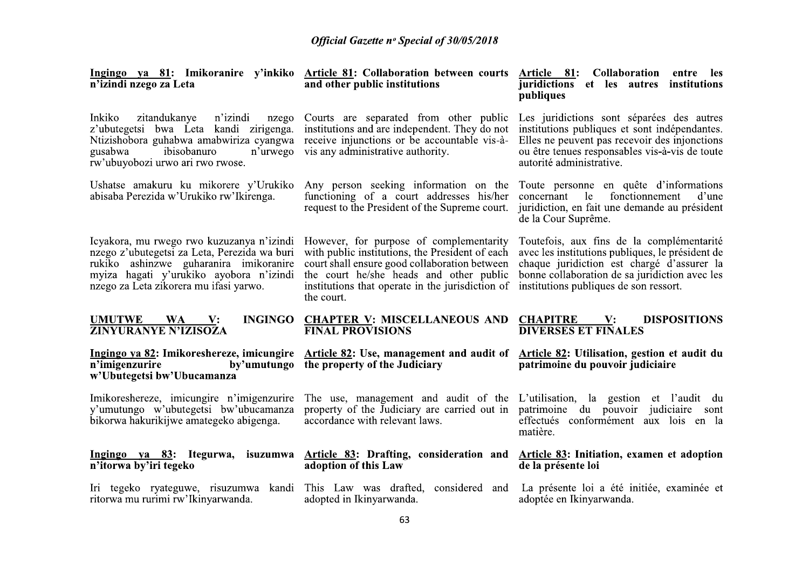| n'izindi nzego za Leta                                                                                                                                                                                                   | <u>Ingingo ya 81</u> : Imikoranire y'inkiko <u>Article 81</u> : Collaboration between courts <u>Article 81</u> : Collaboration<br>and other public institutions                                                                                          | entre les<br>juridictions et les autres<br>institutions<br>publiques                                                                                                                                                                    |
|--------------------------------------------------------------------------------------------------------------------------------------------------------------------------------------------------------------------------|----------------------------------------------------------------------------------------------------------------------------------------------------------------------------------------------------------------------------------------------------------|-----------------------------------------------------------------------------------------------------------------------------------------------------------------------------------------------------------------------------------------|
| Inkiko<br>n'izindi<br>zitandukanye<br>nzego<br>z'ubutegetsi bwa Leta kandi zirigenga.<br>Ntizishobora guhabwa amabwiriza cyangwa<br>gusabwa<br>n'urwego<br>ibisobanuro<br>rw'ubuyobozi urwo ari rwo rwose.               | Courts are separated from other public<br>institutions and are independent. They do not<br>receive injunctions or be accountable vis-à-<br>vis any administrative authority.                                                                             | Les juridictions sont séparées des autres<br>institutions publiques et sont indépendantes.<br>Elles ne peuvent pas recevoir des injonctions<br>ou être tenues responsables vis-à-vis de toute<br>autorité administrative.               |
| Ushatse amakuru ku mikorere y'Urukiko<br>abisaba Perezida w'Urukiko rw'Ikirenga.                                                                                                                                         | Any person seeking information on the<br>functioning of a court addresses his/her<br>request to the President of the Supreme court.                                                                                                                      | Toute personne en quête d'informations<br>le<br>fonctionnement<br>concernant<br>d'une<br>juridiction, en fait une demande au président<br>de la Cour Suprême.                                                                           |
| Icyakora, mu rwego rwo kuzuzanya n'izindi<br>nzego z'ubutegetsi za Leta, Perezida wa buri<br>rukiko ashinzwe guharanira imikoranire<br>myiza hagati y'urukiko ayobora n'izindi<br>nzego za Leta zikorera mu ifasi yarwo. | However, for purpose of complementarity<br>with public institutions, the President of each<br>court shall ensure good collaboration between<br>the court he/she heads and other public<br>institutions that operate in the jurisdiction of<br>the court. | Toutefois, aux fins de la complémentarité<br>avec les institutions publiques, le président de<br>chaque juridiction est chargé d'assurer la<br>bonne collaboration de sa juridiction avec les<br>institutions publiques de son ressort. |
| <b>UMUTWE</b><br>$W_A$ $V$ :<br><b>ZINYURANYE N'IZISOZA</b>                                                                                                                                                              | INGINGO CHAPTER V: MISCELLANEOUS AND<br><b>FINAL PROVISIONS</b>                                                                                                                                                                                          | <b>CHAPITRE V:</b><br><b>DISPOSITIONS</b><br><b>DIVERSES ET FINALES</b>                                                                                                                                                                 |
| Ingingo ya 82: Imikoreshereze, imicungire<br>n'imigenzurire<br>by'umutungo<br>w'Ubutegetsi bw'Ubucamanza                                                                                                                 | <b>Article 82: Use, management and audit of</b><br>the property of the Judiciary                                                                                                                                                                         | Article 82: Utilisation, gestion et audit du<br>patrimoine du pouvoir judiciaire                                                                                                                                                        |
| Imikoreshereze, imicungire n'imigenzurire<br>y'umutungo w'ubutegetsi bw'ubucamanza<br>bikorwa hakurikijwe amategeko abigenga.                                                                                            | accordance with relevant laws.                                                                                                                                                                                                                           | The use, management and audit of the L'utilisation, la gestion et l'audit du<br>property of the Judiciary are carried out in patrimoine du pouvoir judiciaire sont<br>effectués conformément aux lois en la<br>matière.                 |
| n'itorwa by'iri tegeko                                                                                                                                                                                                   | Ingingo ya 83: Itegurwa, isuzumwa Article 83: Drafting, consideration and Article 83: Initiation, examen et adoption<br>adoption of this Law                                                                                                             | de la présente loi                                                                                                                                                                                                                      |
| ritorwa mu rurimi rw'Ikinyarwanda.                                                                                                                                                                                       | Iri tegeko ryateguwe, risuzumwa kandi This Law was drafted, considered and<br>adopted in Ikinyarwanda.                                                                                                                                                   | La présente loi a été initiée, examinée et<br>adoptée en Ikinyarwanda.                                                                                                                                                                  |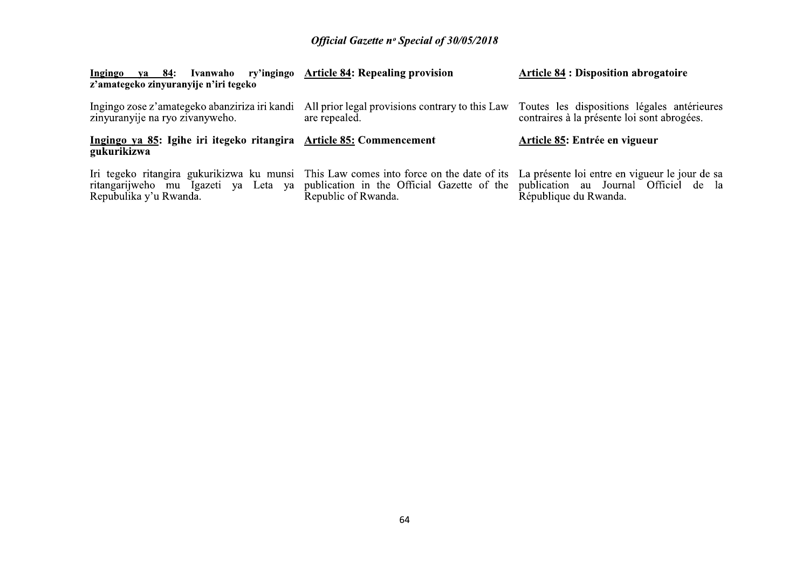| Ingingo<br>ya 84:<br>z'amategeko zinyuranyije n'iri tegeko                                                                                                  | Ivanwaho ry'ingingo Article 84: Repealing provision                                                          | <b>Article 84 : Disposition abrogatoire</b>                             |
|-------------------------------------------------------------------------------------------------------------------------------------------------------------|--------------------------------------------------------------------------------------------------------------|-------------------------------------------------------------------------|
| Ingingo zose z'amategeko abanziriza iri kandi<br>zinyuranyije na ryo zivanyweho.                                                                            | All prior legal provisions contrary to this Law Toutes les dispositions légales antérieures<br>are repealed. | contraires à la présente loi sont abrogées.                             |
| Ingingo ya 85: Igihe iri itegeko ritangira Article 85: Commencement<br>gukurikizwa                                                                          |                                                                                                              | Article 85: Entrée en vigueur                                           |
| Iri tegeko ritangira gukurikizwa ku munsi This Law comes into force on the date of its<br>ritangarijweho mu Igazeti<br>ya Leta ya<br>Repubulika y'u Rwanda. | publication in the Official Gazette of the publication au Journal Officiel de la<br>Republic of Rwanda.      | La présente loi entre en vigueur le jour de sa<br>République du Rwanda. |